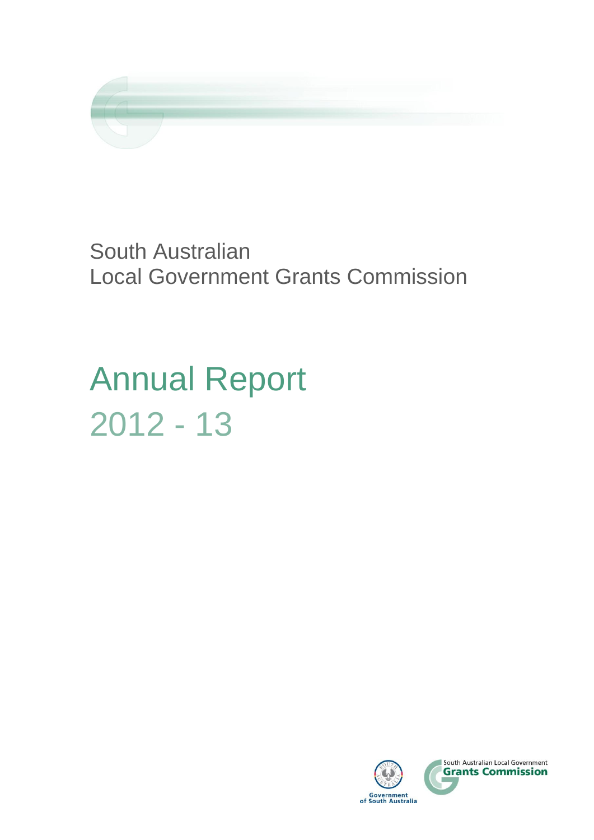

South Australian Local Government Grants Commission

Annual Report 2012 - 13

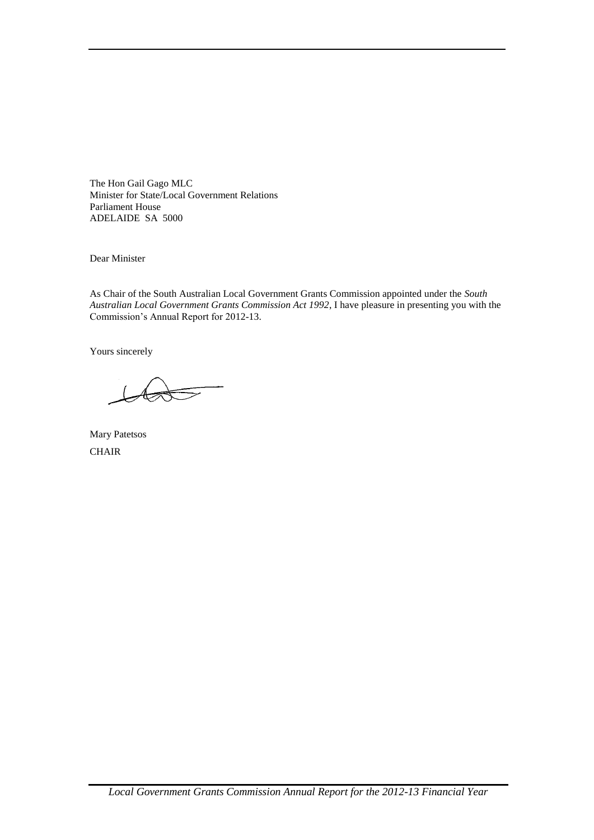The Hon Gail Gago MLC Minister for State/Local Government Relations Parliament House ADELAIDE SA 5000

Dear Minister

As Chair of the South Australian Local Government Grants Commission appointed under the *South Australian Local Government Grants Commission Act 1992*, I have pleasure in presenting you with the Commission's Annual Report for 2012-13.

Yours sincerely

Mary Patetsos **CHAIR**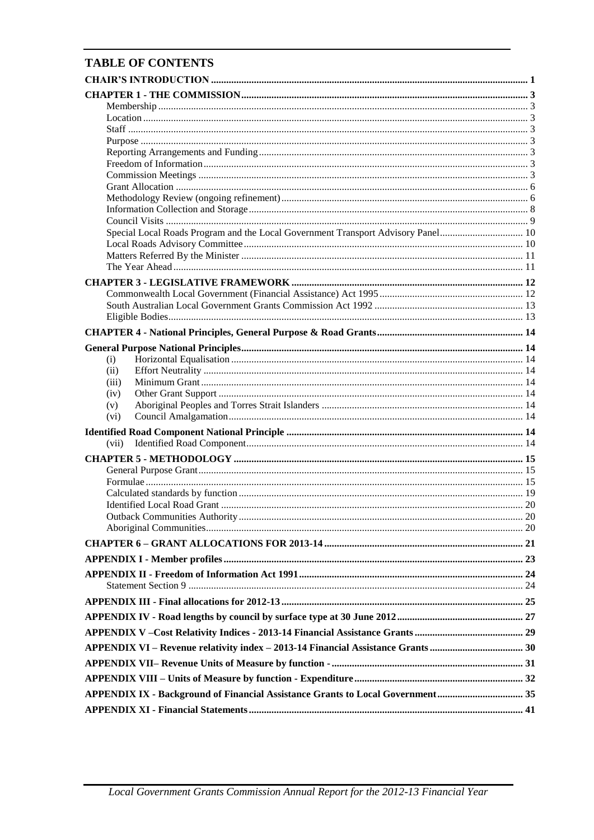## **TABLE OF CONTENTS**

| Special Local Roads Program and the Local Government Transport Advisory Panel 10 |  |
|----------------------------------------------------------------------------------|--|
|                                                                                  |  |
|                                                                                  |  |
|                                                                                  |  |
|                                                                                  |  |
|                                                                                  |  |
|                                                                                  |  |
|                                                                                  |  |
|                                                                                  |  |
|                                                                                  |  |
|                                                                                  |  |
| (i)                                                                              |  |
| (ii)<br>(iii)                                                                    |  |
| (iv)                                                                             |  |
| (v)                                                                              |  |
| (vi)                                                                             |  |
|                                                                                  |  |
| (vii)                                                                            |  |
|                                                                                  |  |
|                                                                                  |  |
|                                                                                  |  |
|                                                                                  |  |
|                                                                                  |  |
|                                                                                  |  |
|                                                                                  |  |
|                                                                                  |  |
|                                                                                  |  |
|                                                                                  |  |
|                                                                                  |  |
|                                                                                  |  |
|                                                                                  |  |
|                                                                                  |  |
|                                                                                  |  |
|                                                                                  |  |
|                                                                                  |  |
| APPENDIX IX - Background of Financial Assistance Grants to Local Government 35   |  |
|                                                                                  |  |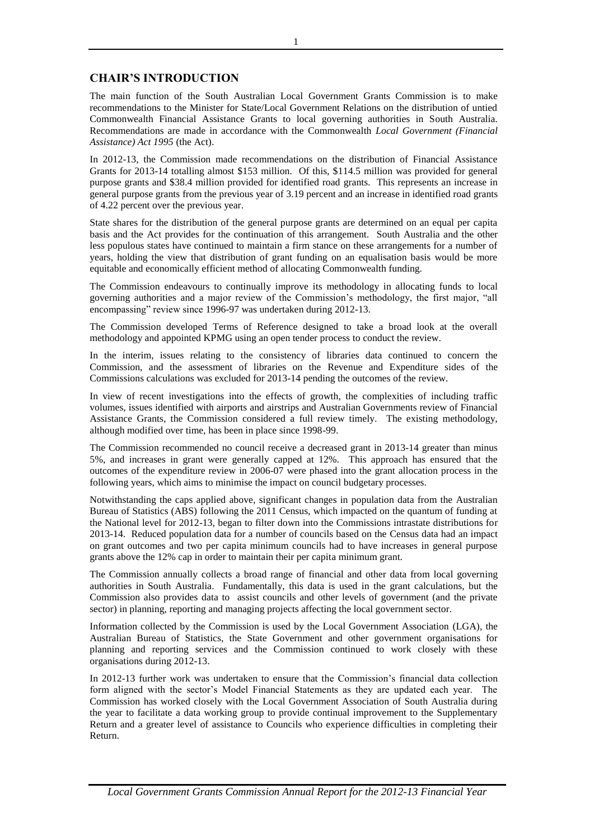## **CHAIR'S INTRODUCTION**

The main function of the South Australian Local Government Grants Commission is to make recommendations to the Minister for State/Local Government Relations on the distribution of untied Commonwealth Financial Assistance Grants to local governing authorities in South Australia. Recommendations are made in accordance with the Commonwealth *Local Government (Financial Assistance) Act 1995* (the Act).

In 2012-13, the Commission made recommendations on the distribution of Financial Assistance Grants for 2013-14 totalling almost \$153 million. Of this, \$114.5 million was provided for general purpose grants and \$38.4 million provided for identified road grants. This represents an increase in general purpose grants from the previous year of 3.19 percent and an increase in identified road grants of 4.22 percent over the previous year.

State shares for the distribution of the general purpose grants are determined on an equal per capita basis and the Act provides for the continuation of this arrangement. South Australia and the other less populous states have continued to maintain a firm stance on these arrangements for a number of years, holding the view that distribution of grant funding on an equalisation basis would be more equitable and economically efficient method of allocating Commonwealth funding.

The Commission endeavours to continually improve its methodology in allocating funds to local governing authorities and a major review of the Commission's methodology, the first major, "all encompassing" review since 1996-97 was undertaken during 2012-13.

The Commission developed Terms of Reference designed to take a broad look at the overall methodology and appointed KPMG using an open tender process to conduct the review.

In the interim, issues relating to the consistency of libraries data continued to concern the Commission, and the assessment of libraries on the Revenue and Expenditure sides of the Commissions calculations was excluded for 2013-14 pending the outcomes of the review.

In view of recent investigations into the effects of growth, the complexities of including traffic volumes, issues identified with airports and airstrips and Australian Governments review of Financial Assistance Grants, the Commission considered a full review timely. The existing methodology, although modified over time, has been in place since 1998-99.

The Commission recommended no council receive a decreased grant in 2013-14 greater than minus 5%, and increases in grant were generally capped at 12%. This approach has ensured that the outcomes of the expenditure review in 2006-07 were phased into the grant allocation process in the following years, which aims to minimise the impact on council budgetary processes.

Notwithstanding the caps applied above, significant changes in population data from the Australian Bureau of Statistics (ABS) following the 2011 Census, which impacted on the quantum of funding at the National level for 2012-13, began to filter down into the Commissions intrastate distributions for 2013-14. Reduced population data for a number of councils based on the Census data had an impact on grant outcomes and two per capita minimum councils had to have increases in general purpose grants above the 12% cap in order to maintain their per capita minimum grant.

The Commission annually collects a broad range of financial and other data from local governing authorities in South Australia. Fundamentally, this data is used in the grant calculations, but the Commission also provides data to assist councils and other levels of government (and the private sector) in planning, reporting and managing projects affecting the local government sector.

Information collected by the Commission is used by the Local Government Association (LGA), the Australian Bureau of Statistics, the State Government and other government organisations for planning and reporting services and the Commission continued to work closely with these organisations during 2012-13.

In 2012-13 further work was undertaken to ensure that the Commission's financial data collection form aligned with the sector's Model Financial Statements as they are updated each year. The Commission has worked closely with the Local Government Association of South Australia during the year to facilitate a data working group to provide continual improvement to the Supplementary Return and a greater level of assistance to Councils who experience difficulties in completing their Return.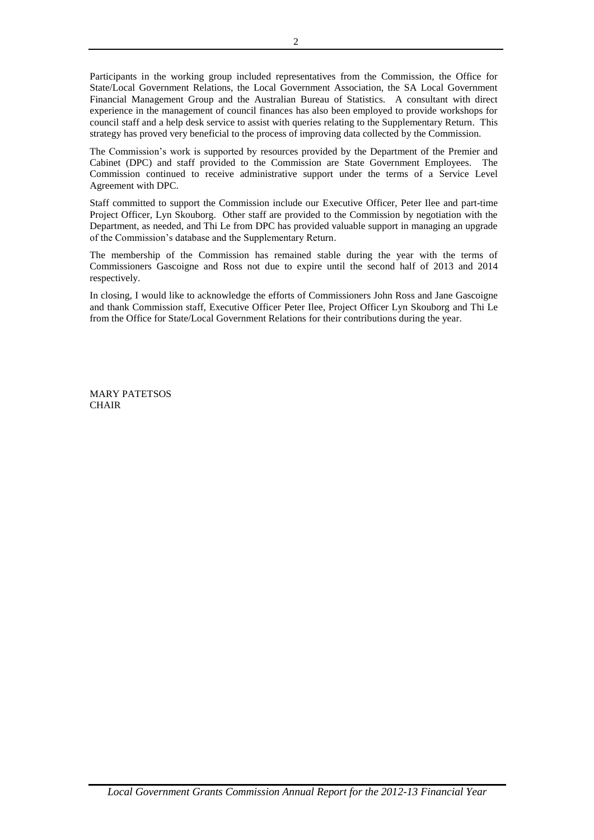Participants in the working group included representatives from the Commission, the Office for State/Local Government Relations, the Local Government Association, the SA Local Government Financial Management Group and the Australian Bureau of Statistics. A consultant with direct experience in the management of council finances has also been employed to provide workshops for council staff and a help desk service to assist with queries relating to the Supplementary Return. This strategy has proved very beneficial to the process of improving data collected by the Commission.

The Commission's work is supported by resources provided by the Department of the Premier and Cabinet (DPC) and staff provided to the Commission are State Government Employees. The Commission continued to receive administrative support under the terms of a Service Level Agreement with DPC.

Staff committed to support the Commission include our Executive Officer, Peter Ilee and part-time Project Officer, Lyn Skouborg. Other staff are provided to the Commission by negotiation with the Department, as needed, and Thi Le from DPC has provided valuable support in managing an upgrade of the Commission's database and the Supplementary Return.

The membership of the Commission has remained stable during the year with the terms of Commissioners Gascoigne and Ross not due to expire until the second half of 2013 and 2014 respectively.

In closing, I would like to acknowledge the efforts of Commissioners John Ross and Jane Gascoigne and thank Commission staff, Executive Officer Peter Ilee, Project Officer Lyn Skouborg and Thi Le from the Office for State/Local Government Relations for their contributions during the year.

MARY PATETSOS **CHAIR**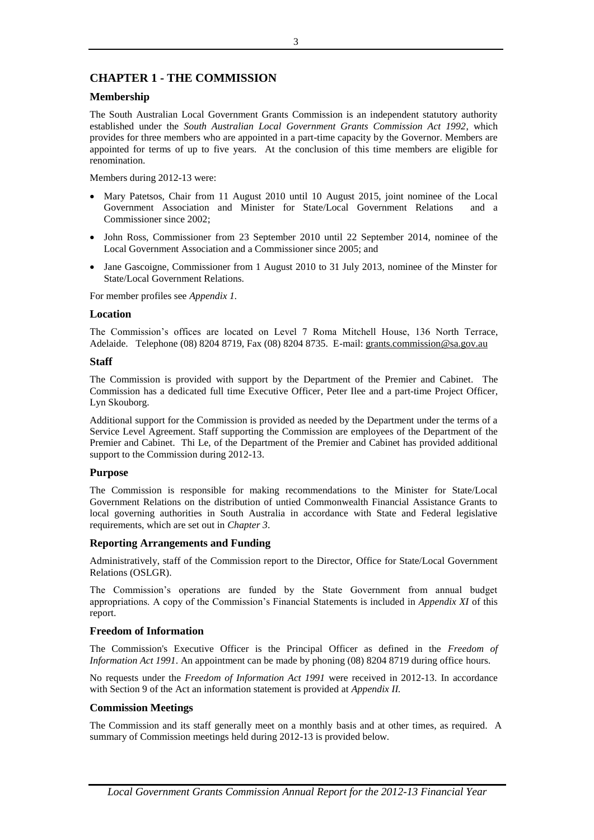## **CHAPTER 1 - THE COMMISSION**

## **Membership**

The South Australian Local Government Grants Commission is an independent statutory authority established under the *South Australian Local Government Grants Commission Act 1992*, which provides for three members who are appointed in a part-time capacity by the Governor. Members are appointed for terms of up to five years. At the conclusion of this time members are eligible for renomination.

Members during 2012-13 were:

- Mary Patetsos, Chair from 11 August 2010 until 10 August 2015, joint nominee of the Local Government Association and Minister for State/Local Government Relations and a Commissioner since 2002;
- John Ross, Commissioner from 23 September 2010 until 22 September 2014, nominee of the Local Government Association and a Commissioner since 2005; and
- Jane Gascoigne, Commissioner from 1 August 2010 to 31 July 2013, nominee of the Minster for State/Local Government Relations.

For member profiles see *Appendix 1.*

## **Location**

The Commission's offices are located on Level 7 Roma Mitchell House, 136 North Terrace, Adelaide. Telephone (08) 8204 8719, Fax (08) 8204 8735. E-mail: grants.commission@sa.gov.au

## **Staff**

The Commission is provided with support by the Department of the Premier and Cabinet. The Commission has a dedicated full time Executive Officer, Peter Ilee and a part-time Project Officer, Lyn Skouborg.

Additional support for the Commission is provided as needed by the Department under the terms of a Service Level Agreement. Staff supporting the Commission are employees of the Department of the Premier and Cabinet. Thi Le, of the Department of the Premier and Cabinet has provided additional support to the Commission during 2012-13.

## **Purpose**

The Commission is responsible for making recommendations to the Minister for State/Local Government Relations on the distribution of untied Commonwealth Financial Assistance Grants to local governing authorities in South Australia in accordance with State and Federal legislative requirements, which are set out in *Chapter 3*.

## **Reporting Arrangements and Funding**

Administratively, staff of the Commission report to the Director, Office for State/Local Government Relations (OSLGR).

The Commission's operations are funded by the State Government from annual budget appropriations. A copy of the Commission's Financial Statements is included in *Appendix XI* of this report.

## **Freedom of Information**

The Commission's Executive Officer is the Principal Officer as defined in the *Freedom of Information Act 1991*. An appointment can be made by phoning (08) 8204 8719 during office hours.

No requests under the *Freedom of Information Act 1991* were received in 2012-13. In accordance with Section 9 of the Act an information statement is provided at *Appendix II.*

## **Commission Meetings**

The Commission and its staff generally meet on a monthly basis and at other times, as required. A summary of Commission meetings held during 2012-13 is provided below.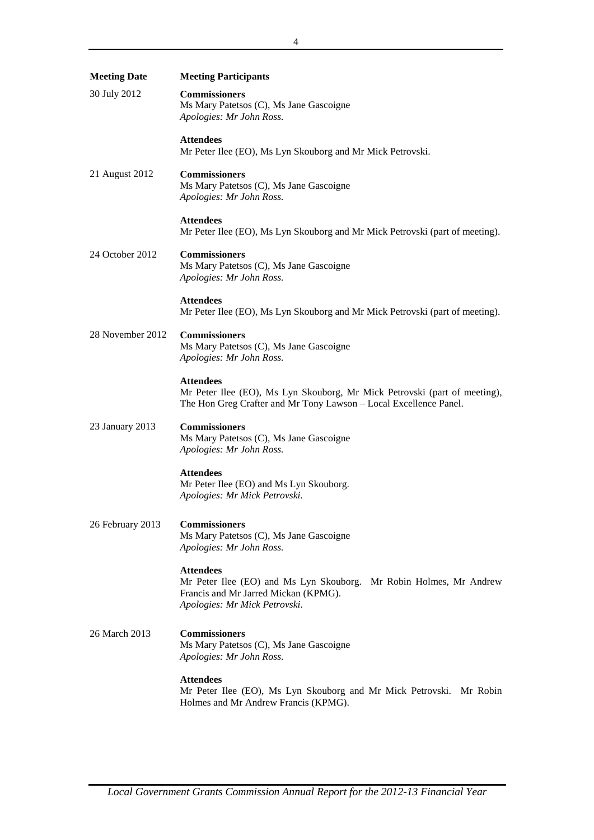| <b>Meeting Date</b> | <b>Meeting Participants</b>                                                                                                                                        |
|---------------------|--------------------------------------------------------------------------------------------------------------------------------------------------------------------|
| 30 July 2012        | <b>Commissioners</b><br>Ms Mary Patetsos (C), Ms Jane Gascoigne<br>Apologies: Mr John Ross.                                                                        |
|                     | <b>Attendees</b><br>Mr Peter Ilee (EO), Ms Lyn Skouborg and Mr Mick Petrovski.                                                                                     |
| 21 August 2012      | <b>Commissioners</b><br>Ms Mary Patetsos (C), Ms Jane Gascoigne<br>Apologies: Mr John Ross.                                                                        |
|                     | <b>Attendees</b><br>Mr Peter Ilee (EO), Ms Lyn Skouborg and Mr Mick Petrovski (part of meeting).                                                                   |
| 24 October 2012     | <b>Commissioners</b><br>Ms Mary Patetsos (C), Ms Jane Gascoigne<br>Apologies: Mr John Ross.                                                                        |
|                     | <b>Attendees</b><br>Mr Peter Ilee (EO), Ms Lyn Skouborg and Mr Mick Petrovski (part of meeting).                                                                   |
| 28 November 2012    | <b>Commissioners</b><br>Ms Mary Patetsos (C), Ms Jane Gascoigne<br>Apologies: Mr John Ross.                                                                        |
|                     | <b>Attendees</b><br>Mr Peter Ilee (EO), Ms Lyn Skouborg, Mr Mick Petrovski (part of meeting),<br>The Hon Greg Crafter and Mr Tony Lawson - Local Excellence Panel. |
| 23 January 2013     | <b>Commissioners</b><br>Ms Mary Patetsos (C), Ms Jane Gascoigne<br>Apologies: Mr John Ross.                                                                        |
|                     | <b>Attendees</b><br>Mr Peter Ilee (EO) and Ms Lyn Skouborg.<br>Apologies: Mr Mick Petrovski.                                                                       |
| 26 February 2013    | <b>Commissioners</b><br>Ms Mary Patetsos (C), Ms Jane Gascoigne<br>Apologies: Mr John Ross.                                                                        |
|                     | <b>Attendees</b><br>Mr Peter Ilee (EO) and Ms Lyn Skouborg. Mr Robin Holmes, Mr Andrew<br>Francis and Mr Jarred Mickan (KPMG).<br>Apologies: Mr Mick Petrovski.    |
| 26 March 2013       | <b>Commissioners</b><br>Ms Mary Patetsos (C), Ms Jane Gascoigne<br>Apologies: Mr John Ross.                                                                        |
|                     | <b>Attendees</b><br>Mr Peter Ilee (EO), Ms Lyn Skouborg and Mr Mick Petrovski. Mr Robin<br>Holmes and Mr Andrew Francis (KPMG).                                    |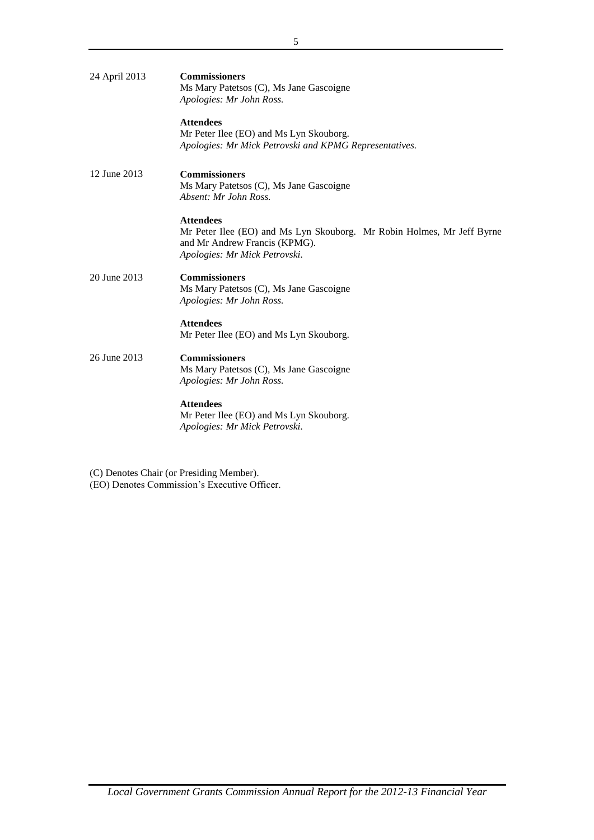| 24 April 2013 | <b>Commissioners</b><br>Ms Mary Patetsos (C), Ms Jane Gascoigne<br>Apologies: Mr John Ross.                                                                  |
|---------------|--------------------------------------------------------------------------------------------------------------------------------------------------------------|
|               | <b>Attendees</b><br>Mr Peter Ilee (EO) and Ms Lyn Skouborg.<br>Apologies: Mr Mick Petrovski and KPMG Representatives.                                        |
| 12 June 2013  | <b>Commissioners</b><br>Ms Mary Patetsos (C), Ms Jane Gascoigne<br>Absent: Mr John Ross.                                                                     |
|               | <b>Attendees</b><br>Mr Peter Ilee (EO) and Ms Lyn Skouborg. Mr Robin Holmes, Mr Jeff Byrne<br>and Mr Andrew Francis (KPMG).<br>Apologies: Mr Mick Petrovski. |
| 20 June 2013  | <b>Commissioners</b><br>Ms Mary Patetsos (C), Ms Jane Gascoigne<br>Apologies: Mr John Ross.                                                                  |
|               | <b>Attendees</b><br>Mr Peter Ilee (EO) and Ms Lyn Skouborg.                                                                                                  |
| 26 June 2013  | <b>Commissioners</b><br>Ms Mary Patetsos (C), Ms Jane Gascoigne<br>Apologies: Mr John Ross.                                                                  |
|               | <b>Attendees</b><br>Mr Peter Ilee (EO) and Ms Lyn Skouborg.<br>Apologies: Mr Mick Petrovski.                                                                 |

(C) Denotes Chair (or Presiding Member). (EO) Denotes Commission's Executive Officer.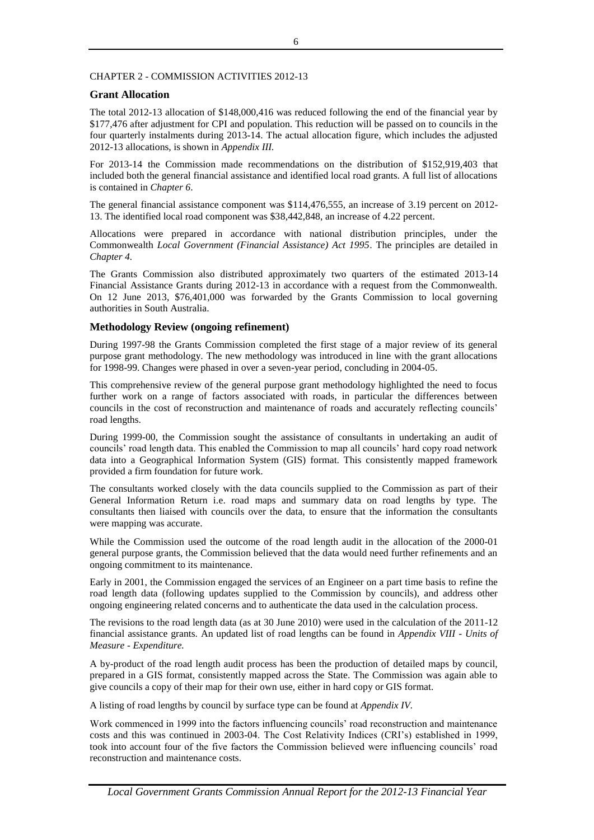## CHAPTER 2 - COMMISSION ACTIVITIES 2012-13

## **Grant Allocation**

The total 2012-13 allocation of \$148,000,416 was reduced following the end of the financial year by \$177,476 after adjustment for CPI and population. This reduction will be passed on to councils in the four quarterly instalments during 2013-14. The actual allocation figure, which includes the adjusted 2012-13 allocations, is shown in *Appendix III.*

For 2013-14 the Commission made recommendations on the distribution of \$152,919,403 that included both the general financial assistance and identified local road grants. A full list of allocations is contained in *Chapter 6*.

The general financial assistance component was \$114,476,555, an increase of 3.19 percent on 2012- 13. The identified local road component was \$38,442,848, an increase of 4.22 percent.

Allocations were prepared in accordance with national distribution principles, under the Commonwealth *Local Government (Financial Assistance) Act 1995*. The principles are detailed in *Chapter 4.*

The Grants Commission also distributed approximately two quarters of the estimated 2013-14 Financial Assistance Grants during 2012-13 in accordance with a request from the Commonwealth. On 12 June 2013, \$76,401,000 was forwarded by the Grants Commission to local governing authorities in South Australia.

## **Methodology Review (ongoing refinement)**

During 1997-98 the Grants Commission completed the first stage of a major review of its general purpose grant methodology. The new methodology was introduced in line with the grant allocations for 1998-99. Changes were phased in over a seven-year period, concluding in 2004-05.

This comprehensive review of the general purpose grant methodology highlighted the need to focus further work on a range of factors associated with roads, in particular the differences between councils in the cost of reconstruction and maintenance of roads and accurately reflecting councils' road lengths.

During 1999-00, the Commission sought the assistance of consultants in undertaking an audit of councils' road length data. This enabled the Commission to map all councils' hard copy road network data into a Geographical Information System (GIS) format. This consistently mapped framework provided a firm foundation for future work.

The consultants worked closely with the data councils supplied to the Commission as part of their General Information Return i.e. road maps and summary data on road lengths by type. The consultants then liaised with councils over the data, to ensure that the information the consultants were mapping was accurate.

While the Commission used the outcome of the road length audit in the allocation of the 2000-01 general purpose grants, the Commission believed that the data would need further refinements and an ongoing commitment to its maintenance.

Early in 2001, the Commission engaged the services of an Engineer on a part time basis to refine the road length data (following updates supplied to the Commission by councils), and address other ongoing engineering related concerns and to authenticate the data used in the calculation process.

The revisions to the road length data (as at 30 June 2010) were used in the calculation of the 2011-12 financial assistance grants. An updated list of road lengths can be found in *Appendix VIII - Units of Measure - Expenditure.*

A by-product of the road length audit process has been the production of detailed maps by council, prepared in a GIS format, consistently mapped across the State. The Commission was again able to give councils a copy of their map for their own use, either in hard copy or GIS format.

A listing of road lengths by council by surface type can be found at *Appendix IV.*

Work commenced in 1999 into the factors influencing councils' road reconstruction and maintenance costs and this was continued in 2003-04. The Cost Relativity Indices (CRI's) established in 1999, took into account four of the five factors the Commission believed were influencing councils' road reconstruction and maintenance costs.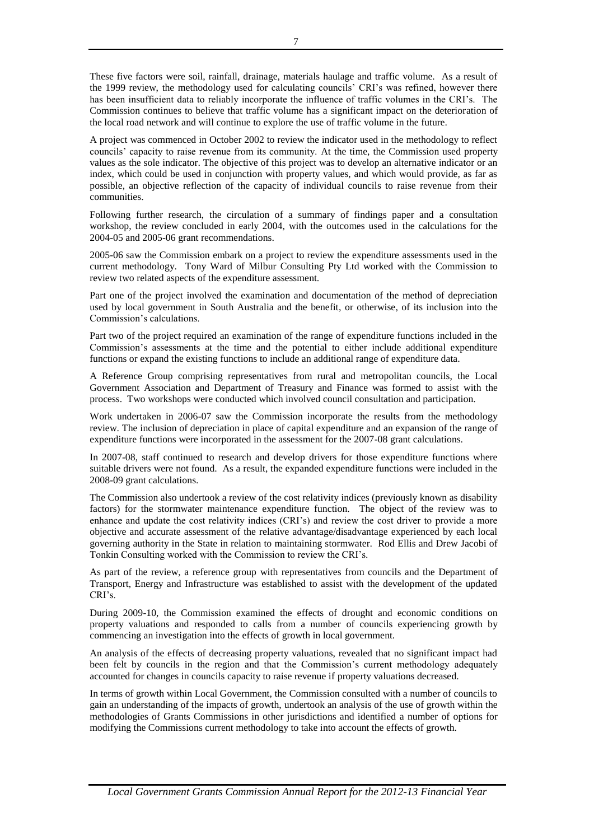These five factors were soil, rainfall, drainage, materials haulage and traffic volume. As a result of the 1999 review, the methodology used for calculating councils' CRI's was refined, however there has been insufficient data to reliably incorporate the influence of traffic volumes in the CRI's. The Commission continues to believe that traffic volume has a significant impact on the deterioration of the local road network and will continue to explore the use of traffic volume in the future.

A project was commenced in October 2002 to review the indicator used in the methodology to reflect councils' capacity to raise revenue from its community. At the time, the Commission used property values as the sole indicator. The objective of this project was to develop an alternative indicator or an index, which could be used in conjunction with property values, and which would provide, as far as possible, an objective reflection of the capacity of individual councils to raise revenue from their communities.

Following further research, the circulation of a summary of findings paper and a consultation workshop, the review concluded in early 2004, with the outcomes used in the calculations for the 2004-05 and 2005-06 grant recommendations.

2005-06 saw the Commission embark on a project to review the expenditure assessments used in the current methodology. Tony Ward of Milbur Consulting Pty Ltd worked with the Commission to review two related aspects of the expenditure assessment.

Part one of the project involved the examination and documentation of the method of depreciation used by local government in South Australia and the benefit, or otherwise, of its inclusion into the Commission's calculations.

Part two of the project required an examination of the range of expenditure functions included in the Commission's assessments at the time and the potential to either include additional expenditure functions or expand the existing functions to include an additional range of expenditure data.

A Reference Group comprising representatives from rural and metropolitan councils, the Local Government Association and Department of Treasury and Finance was formed to assist with the process. Two workshops were conducted which involved council consultation and participation.

Work undertaken in 2006-07 saw the Commission incorporate the results from the methodology review. The inclusion of depreciation in place of capital expenditure and an expansion of the range of expenditure functions were incorporated in the assessment for the 2007-08 grant calculations.

In 2007-08, staff continued to research and develop drivers for those expenditure functions where suitable drivers were not found. As a result, the expanded expenditure functions were included in the 2008-09 grant calculations.

The Commission also undertook a review of the cost relativity indices (previously known as disability factors) for the stormwater maintenance expenditure function. The object of the review was to enhance and update the cost relativity indices (CRI's) and review the cost driver to provide a more objective and accurate assessment of the relative advantage/disadvantage experienced by each local governing authority in the State in relation to maintaining stormwater. Rod Ellis and Drew Jacobi of Tonkin Consulting worked with the Commission to review the CRI's.

As part of the review, a reference group with representatives from councils and the Department of Transport, Energy and Infrastructure was established to assist with the development of the updated CRI's.

During 2009-10, the Commission examined the effects of drought and economic conditions on property valuations and responded to calls from a number of councils experiencing growth by commencing an investigation into the effects of growth in local government.

An analysis of the effects of decreasing property valuations, revealed that no significant impact had been felt by councils in the region and that the Commission's current methodology adequately accounted for changes in councils capacity to raise revenue if property valuations decreased.

In terms of growth within Local Government, the Commission consulted with a number of councils to gain an understanding of the impacts of growth, undertook an analysis of the use of growth within the methodologies of Grants Commissions in other jurisdictions and identified a number of options for modifying the Commissions current methodology to take into account the effects of growth.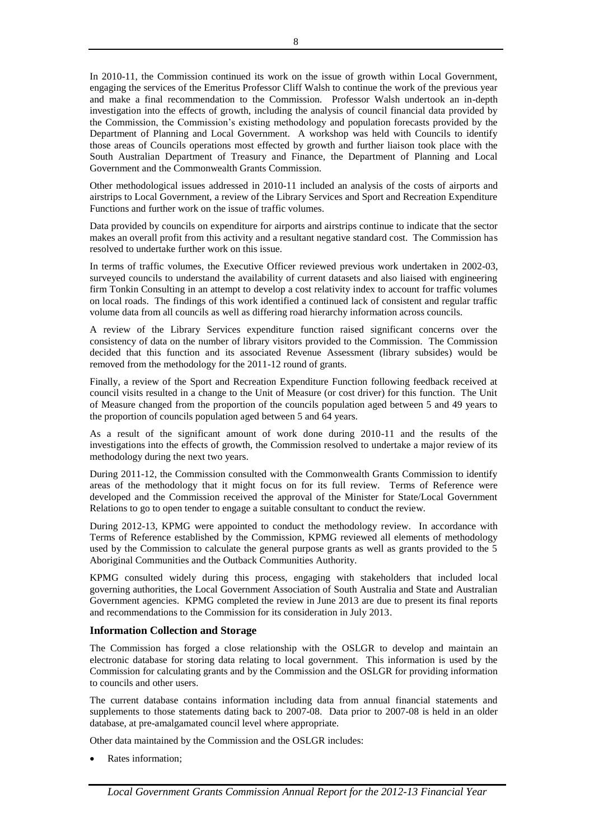In 2010-11, the Commission continued its work on the issue of growth within Local Government, engaging the services of the Emeritus Professor Cliff Walsh to continue the work of the previous year and make a final recommendation to the Commission. Professor Walsh undertook an in-depth investigation into the effects of growth, including the analysis of council financial data provided by the Commission, the Commission's existing methodology and population forecasts provided by the Department of Planning and Local Government. A workshop was held with Councils to identify those areas of Councils operations most effected by growth and further liaison took place with the South Australian Department of Treasury and Finance, the Department of Planning and Local Government and the Commonwealth Grants Commission.

Other methodological issues addressed in 2010-11 included an analysis of the costs of airports and airstrips to Local Government, a review of the Library Services and Sport and Recreation Expenditure Functions and further work on the issue of traffic volumes.

Data provided by councils on expenditure for airports and airstrips continue to indicate that the sector makes an overall profit from this activity and a resultant negative standard cost. The Commission has resolved to undertake further work on this issue.

In terms of traffic volumes, the Executive Officer reviewed previous work undertaken in 2002-03, surveyed councils to understand the availability of current datasets and also liaised with engineering firm Tonkin Consulting in an attempt to develop a cost relativity index to account for traffic volumes on local roads. The findings of this work identified a continued lack of consistent and regular traffic volume data from all councils as well as differing road hierarchy information across councils.

A review of the Library Services expenditure function raised significant concerns over the consistency of data on the number of library visitors provided to the Commission. The Commission decided that this function and its associated Revenue Assessment (library subsides) would be removed from the methodology for the 2011-12 round of grants.

Finally, a review of the Sport and Recreation Expenditure Function following feedback received at council visits resulted in a change to the Unit of Measure (or cost driver) for this function. The Unit of Measure changed from the proportion of the councils population aged between 5 and 49 years to the proportion of councils population aged between 5 and 64 years.

As a result of the significant amount of work done during 2010-11 and the results of the investigations into the effects of growth, the Commission resolved to undertake a major review of its methodology during the next two years.

During 2011-12, the Commission consulted with the Commonwealth Grants Commission to identify areas of the methodology that it might focus on for its full review. Terms of Reference were developed and the Commission received the approval of the Minister for State/Local Government Relations to go to open tender to engage a suitable consultant to conduct the review.

During 2012-13, KPMG were appointed to conduct the methodology review. In accordance with Terms of Reference established by the Commission, KPMG reviewed all elements of methodology used by the Commission to calculate the general purpose grants as well as grants provided to the 5 Aboriginal Communities and the Outback Communities Authority.

KPMG consulted widely during this process, engaging with stakeholders that included local governing authorities, the Local Government Association of South Australia and State and Australian Government agencies. KPMG completed the review in June 2013 are due to present its final reports and recommendations to the Commission for its consideration in July 2013.

## **Information Collection and Storage**

The Commission has forged a close relationship with the OSLGR to develop and maintain an electronic database for storing data relating to local government. This information is used by the Commission for calculating grants and by the Commission and the OSLGR for providing information to councils and other users.

The current database contains information including data from annual financial statements and supplements to those statements dating back to 2007-08. Data prior to 2007-08 is held in an older database, at pre-amalgamated council level where appropriate.

Other data maintained by the Commission and the OSLGR includes:

Rates information;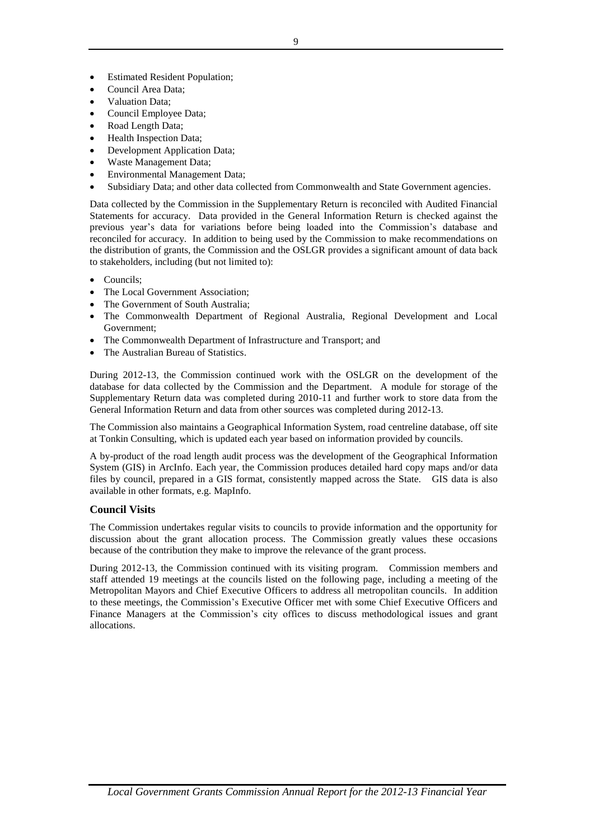- Estimated Resident Population;
- Council Area Data;
- Valuation Data;
- Council Employee Data;
- Road Length Data;
- Health Inspection Data;
- Development Application Data:
- Waste Management Data;
- Environmental Management Data;
- Subsidiary Data; and other data collected from Commonwealth and State Government agencies.

Data collected by the Commission in the Supplementary Return is reconciled with Audited Financial Statements for accuracy. Data provided in the General Information Return is checked against the previous year's data for variations before being loaded into the Commission's database and reconciled for accuracy. In addition to being used by the Commission to make recommendations on the distribution of grants, the Commission and the OSLGR provides a significant amount of data back to stakeholders, including (but not limited to):

- Councils;
- The Local Government Association;
- The Government of South Australia;
- The Commonwealth Department of Regional Australia, Regional Development and Local Government;
- The Commonwealth Department of Infrastructure and Transport; and
- The Australian Bureau of Statistics.

During 2012-13, the Commission continued work with the OSLGR on the development of the database for data collected by the Commission and the Department. A module for storage of the Supplementary Return data was completed during 2010-11 and further work to store data from the General Information Return and data from other sources was completed during 2012-13.

The Commission also maintains a Geographical Information System, road centreline database, off site at Tonkin Consulting, which is updated each year based on information provided by councils.

A by-product of the road length audit process was the development of the Geographical Information System (GIS) in ArcInfo. Each year, the Commission produces detailed hard copy maps and/or data files by council, prepared in a GIS format, consistently mapped across the State. GIS data is also available in other formats, e.g. MapInfo.

## **Council Visits**

The Commission undertakes regular visits to councils to provide information and the opportunity for discussion about the grant allocation process. The Commission greatly values these occasions because of the contribution they make to improve the relevance of the grant process.

During 2012-13, the Commission continued with its visiting program. Commission members and staff attended 19 meetings at the councils listed on the following page, including a meeting of the Metropolitan Mayors and Chief Executive Officers to address all metropolitan councils. In addition to these meetings, the Commission's Executive Officer met with some Chief Executive Officers and Finance Managers at the Commission's city offices to discuss methodological issues and grant allocations.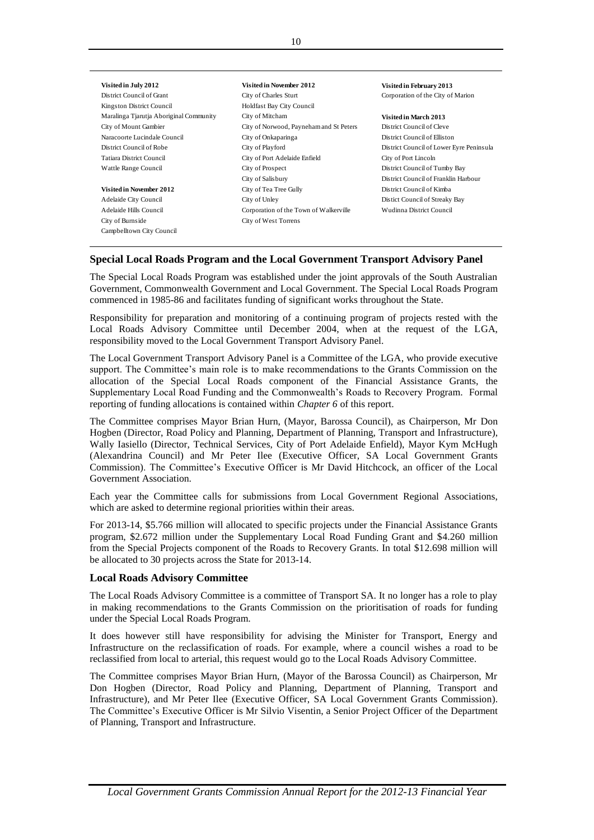| Visited in July 2012                    | Visited in November 2012                | Visited in February 2013                 |
|-----------------------------------------|-----------------------------------------|------------------------------------------|
| District Council of Grant               | City of Charles Sturt                   | Corporation of the City of Marion        |
| Kingston District Council               | Holdfast Bay City Council               |                                          |
| Maralinga Tjarutja Aboriginal Community | City of Mitcham                         | Visited in March 2013                    |
| City of Mount Gambier                   | City of Norwood, Payneham and St Peters | District Council of Cleve                |
| Naracoorte Lucindale Council            | City of Onkaparinga                     | District Council of Elliston             |
| District Council of Robe                | City of Playford                        | District Council of Lower Eyre Peninsula |
| Tatiara District Council                | City of Port Adelaide Enfield           | City of Port Lincoln                     |
| Wattle Range Council                    | City of Prospect                        | District Council of Tumby Bay            |
|                                         | City of Salisbury                       | District Council of Franklin Harbour     |
| Visited in November 2012                | City of Tea Tree Gully                  | District Council of Kimba                |
| Adelaide City Council                   | City of Unley                           | Distict Council of Streaky Bay           |
| Adelaide Hills Council                  | Corporation of the Town of Walkerville  | Wudinna District Council                 |
| City of Burnside                        | City of West Torrens                    |                                          |
| Campbelltown City Council               |                                         |                                          |

## **Special Local Roads Program and the Local Government Transport Advisory Panel**

The Special Local Roads Program was established under the joint approvals of the South Australian Government, Commonwealth Government and Local Government. The Special Local Roads Program commenced in 1985-86 and facilitates funding of significant works throughout the State.

Responsibility for preparation and monitoring of a continuing program of projects rested with the Local Roads Advisory Committee until December 2004, when at the request of the LGA, responsibility moved to the Local Government Transport Advisory Panel.

The Local Government Transport Advisory Panel is a Committee of the LGA, who provide executive support. The Committee's main role is to make recommendations to the Grants Commission on the allocation of the Special Local Roads component of the Financial Assistance Grants, the Supplementary Local Road Funding and the Commonwealth's Roads to Recovery Program. Formal reporting of funding allocations is contained within *Chapter 6* of this report.

The Committee comprises Mayor Brian Hurn, (Mayor, Barossa Council), as Chairperson, Mr Don Hogben (Director, Road Policy and Planning, Department of Planning, Transport and Infrastructure), Wally Iasiello (Director, Technical Services, City of Port Adelaide Enfield), Mayor Kym McHugh (Alexandrina Council) and Mr Peter Ilee (Executive Officer, SA Local Government Grants Commission). The Committee's Executive Officer is Mr David Hitchcock, an officer of the Local Government Association.

Each year the Committee calls for submissions from Local Government Regional Associations, which are asked to determine regional priorities within their areas.

For 2013-14, \$5.766 million will allocated to specific projects under the Financial Assistance Grants program, \$2.672 million under the Supplementary Local Road Funding Grant and \$4.260 million from the Special Projects component of the Roads to Recovery Grants. In total \$12.698 million will be allocated to 30 projects across the State for 2013-14.

## **Local Roads Advisory Committee**

The Local Roads Advisory Committee is a committee of Transport SA. It no longer has a role to play in making recommendations to the Grants Commission on the prioritisation of roads for funding under the Special Local Roads Program.

It does however still have responsibility for advising the Minister for Transport, Energy and Infrastructure on the reclassification of roads. For example, where a council wishes a road to be reclassified from local to arterial, this request would go to the Local Roads Advisory Committee.

The Committee comprises Mayor Brian Hurn, (Mayor of the Barossa Council) as Chairperson, Mr Don Hogben (Director, Road Policy and Planning, Department of Planning, Transport and Infrastructure), and Mr Peter Ilee (Executive Officer, SA Local Government Grants Commission). The Committee's Executive Officer is Mr Silvio Visentin, a Senior Project Officer of the Department of Planning, Transport and Infrastructure.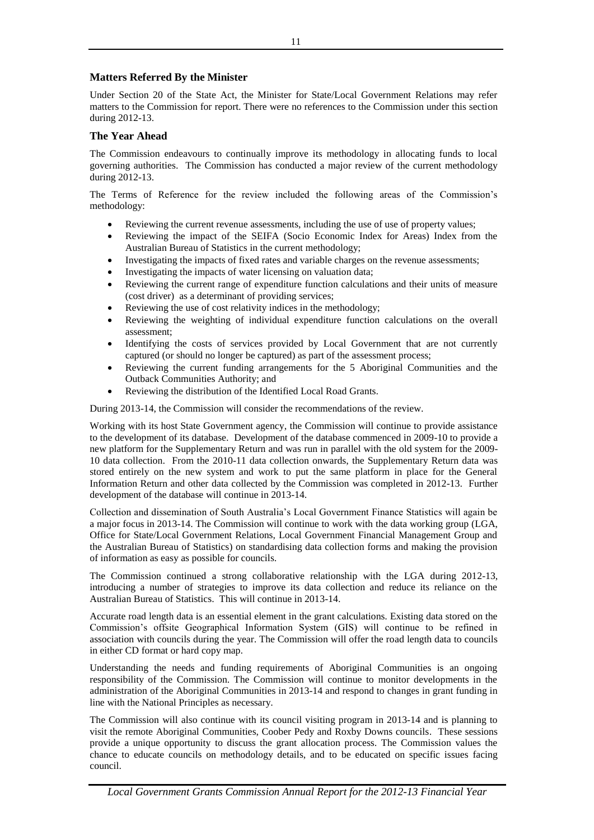## **Matters Referred By the Minister**

Under Section 20 of the State Act, the Minister for State/Local Government Relations may refer matters to the Commission for report. There were no references to the Commission under this section during 2012-13.

## **The Year Ahead**

The Commission endeavours to continually improve its methodology in allocating funds to local governing authorities. The Commission has conducted a major review of the current methodology during 2012-13.

The Terms of Reference for the review included the following areas of the Commission's methodology:

- Reviewing the current revenue assessments, including the use of use of property values;
- Reviewing the impact of the SEIFA (Socio Economic Index for Areas) Index from the Australian Bureau of Statistics in the current methodology;
- Investigating the impacts of fixed rates and variable charges on the revenue assessments;
- Investigating the impacts of water licensing on valuation data;
- Reviewing the current range of expenditure function calculations and their units of measure (cost driver) as a determinant of providing services;
- Reviewing the use of cost relativity indices in the methodology;
- Reviewing the weighting of individual expenditure function calculations on the overall assessment;
- Identifying the costs of services provided by Local Government that are not currently captured (or should no longer be captured) as part of the assessment process;
- Reviewing the current funding arrangements for the 5 Aboriginal Communities and the Outback Communities Authority; and
- Reviewing the distribution of the Identified Local Road Grants.

During 2013-14, the Commission will consider the recommendations of the review.

Working with its host State Government agency, the Commission will continue to provide assistance to the development of its database. Development of the database commenced in 2009-10 to provide a new platform for the Supplementary Return and was run in parallel with the old system for the 2009- 10 data collection. From the 2010-11 data collection onwards, the Supplementary Return data was stored entirely on the new system and work to put the same platform in place for the General Information Return and other data collected by the Commission was completed in 2012-13. Further development of the database will continue in 2013-14.

Collection and dissemination of South Australia's Local Government Finance Statistics will again be a major focus in 2013-14. The Commission will continue to work with the data working group (LGA, Office for State/Local Government Relations, Local Government Financial Management Group and the Australian Bureau of Statistics) on standardising data collection forms and making the provision of information as easy as possible for councils.

The Commission continued a strong collaborative relationship with the LGA during 2012-13, introducing a number of strategies to improve its data collection and reduce its reliance on the Australian Bureau of Statistics. This will continue in 2013-14.

Accurate road length data is an essential element in the grant calculations. Existing data stored on the Commission's offsite Geographical Information System (GIS) will continue to be refined in association with councils during the year. The Commission will offer the road length data to councils in either CD format or hard copy map.

Understanding the needs and funding requirements of Aboriginal Communities is an ongoing responsibility of the Commission. The Commission will continue to monitor developments in the administration of the Aboriginal Communities in 2013-14 and respond to changes in grant funding in line with the National Principles as necessary.

The Commission will also continue with its council visiting program in 2013-14 and is planning to visit the remote Aboriginal Communities, Coober Pedy and Roxby Downs councils. These sessions provide a unique opportunity to discuss the grant allocation process. The Commission values the chance to educate councils on methodology details, and to be educated on specific issues facing council.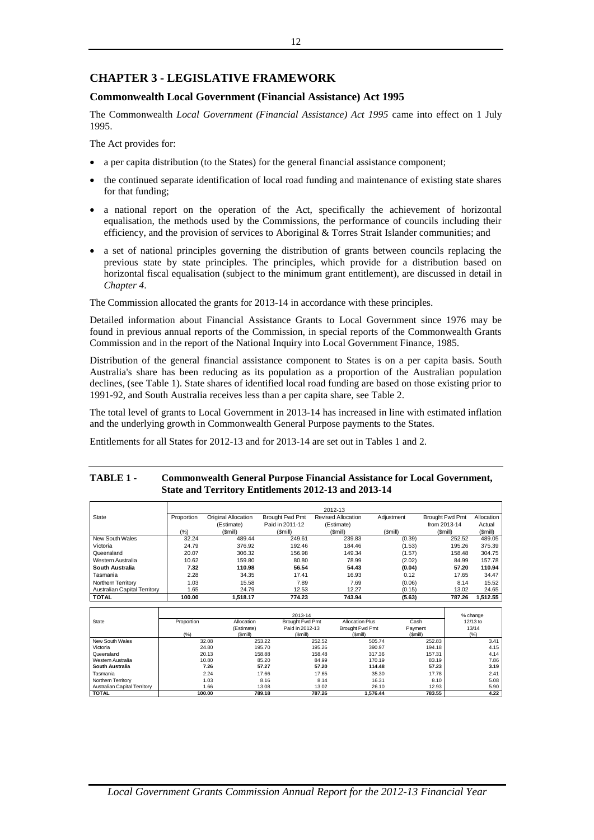## **CHAPTER 3 - LEGISLATIVE FRAMEWORK**

## **Commonwealth Local Government (Financial Assistance) Act 1995**

The Commonwealth *Local Government (Financial Assistance) Act 1995* came into effect on 1 July 1995.

The Act provides for:

- a per capita distribution (to the States) for the general financial assistance component;
- the continued separate identification of local road funding and maintenance of existing state shares for that funding;
- a national report on the operation of the Act, specifically the achievement of horizontal equalisation, the methods used by the Commissions, the performance of councils including their efficiency, and the provision of services to Aboriginal & Torres Strait Islander communities; and
- a set of national principles governing the distribution of grants between councils replacing the previous state by state principles. The principles, which provide for a distribution based on horizontal fiscal equalisation (subject to the minimum grant entitlement), are discussed in detail in *Chapter 4*.

The Commission allocated the grants for 2013-14 in accordance with these principles.

Detailed information about Financial Assistance Grants to Local Government since 1976 may be found in previous annual reports of the Commission, in special reports of the Commonwealth Grants Commission and in the report of the National Inquiry into Local Government Finance, 1985.

Distribution of the general financial assistance component to States is on a per capita basis. South Australia's share has been reducing as its population as a proportion of the Australian population declines, (see Table 1). State shares of identified local road funding are based on those existing prior to 1991-92, and South Australia receives less than a per capita share, see Table 2.

The total level of grants to Local Government in 2013-14 has increased in line with estimated inflation and the underlying growth in Commonwealth General Purpose payments to the States.

Entitlements for all States for 2012-13 and for 2013-14 are set out in Tables 1 and 2.

## **TABLE 1 - Commonwealth General Purpose Financial Assistance for Local Government, State and Territory Entitlements 2012-13 and 2013-14**

|                                     |            |                     |                        | 2012-13                   |            |                        |            |
|-------------------------------------|------------|---------------------|------------------------|---------------------------|------------|------------------------|------------|
| State                               | Proportion | Original Allocation | <b>Brought Fwd Pmt</b> | <b>Revised Allocation</b> | Adjustment | <b>Brought Fwd Pmt</b> | Allocation |
|                                     |            | (Estimate)          | Paid in 2011-12        | (Estimate)                |            | from 2013-14           | Actual     |
|                                     | $(\% )$    | (Smill)             | (Smill)                | (\$mill)                  | (Smill)    | (Smill)                | (Smill)    |
| New South Wales                     | 32.24      | 489.44              | 249.61                 | 239.83                    | (0.39)     | 252.52                 | 489.05     |
| Victoria                            | 24.79      | 376.92              | 192.46                 | 184.46                    | (1.53)     | 195.26                 | 375.39     |
| Queensland                          | 20.07      | 306.32              | 156.98                 | 149.34                    | (1.57)     | 158.48                 | 304.75     |
| Western Australia                   | 10.62      | 159.80              | 80.80                  | 78.99                     | (2.02)     | 84.99                  | 157.78     |
| South Australia                     | 7.32       | 110.98              | 56.54                  | 54.43                     | (0.04)     | 57.20                  | 110.94     |
| Tasmania                            | 2.28       | 34.35               | 17.41                  | 16.93                     | 0.12       | 17.65                  | 34.47      |
| Northern Territory                  | 1.03       | 15.58               | 7.89                   | 7.69                      | (0.06)     | 8.14                   | 15.52      |
| <b>Australian Capital Territory</b> | 1.65       | 24.79               | 12.53                  | 12.27                     | (0.15)     | 13.02                  | 24.65      |
| <b>TOTAL</b>                        | 100.00     | 1.518.17            | 774.23                 | 743.94                    | (5.63)     | 787.26                 | 1,512.55   |

|                                     |            |            | 2013-14         |                        |         | % change |
|-------------------------------------|------------|------------|-----------------|------------------------|---------|----------|
| State                               | Proportion | Allocation | Brought Fwd Pmt | <b>Allocation Plus</b> | Cash    | 12/13 to |
|                                     |            | (Estimate) | Paid in 2012-13 | Brought Fwd Pmt        | Payment | 13/14    |
|                                     | (%)        | (Smill)    | (Smill)         | (Smill)                | (Sm  )  | (%)      |
| New South Wales                     | 32.08      | 253.22     | 252.52          | 505.74                 | 252.83  | 3.41     |
| Victoria                            | 24.80      | 195.70     | 195.26          | 390.97                 | 194.18  | 4.15     |
| Queensland                          | 20.13      | 158.88     | 158.48          | 317.36                 | 157.31  | 4.14     |
| Western Australia                   | 10.80      | 85.20      | 84.99           | 170.19                 | 83.19   | 7.86     |
| South Australia                     | 7.26       | 57.27      | 57.20           | 114.48                 | 57.23   | 3.19     |
| Tasmania                            | 2.24       | 17.66      | 17.65           | 35.30                  | 17.78   | 2.41     |
| Northern Territory                  | 1.03       | 8.16       | 8.14            | 16.31                  | 8.10    | 5.08     |
| <b>Australian Capital Territory</b> | 1.66       | 13.08      | 13.02           | 26.10                  | 12.93   | 5.90     |
| <b>TOTAL</b>                        | 100.00     | 789.18     | 787.26          | 1.576.44               | 783.55  | 4.22     |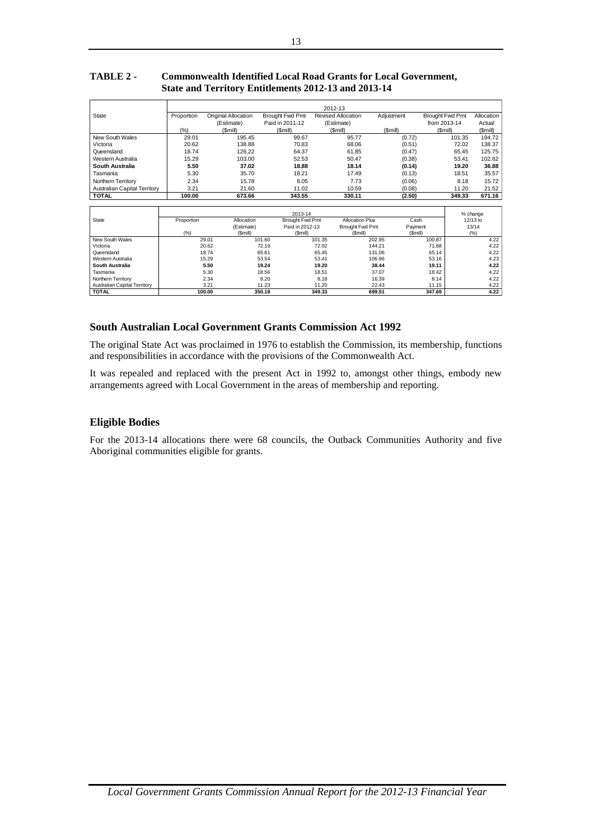## **TABLE 2 - Commonwealth Identified Local Road Grants for Local Government, State and Territory Entitlements 2012-13 and 2013-14**

|                                     | 2012-13    |                     |                 |                           |            |                        |            |  |
|-------------------------------------|------------|---------------------|-----------------|---------------------------|------------|------------------------|------------|--|
| State                               | Proportion | Original Allocation | Brought Fwd Pmt | <b>Revised Allocation</b> | Adiustment | <b>Brought Fwd Pmt</b> | Allocation |  |
|                                     |            | (Estimate)          | Paid in 2011-12 | (Estimate)                |            | from 2013-14           | Actual     |  |
|                                     | (%)        | (Smill)             | (Smill)         | (Smill)                   | (Smill)    | (Smill)                | (\$mill)   |  |
| New South Wales                     | 29.01      | 195.45              | 99.67           | 95.77                     | (0.72)     | 101.35                 | 194.72     |  |
| Victoria                            | 20.62      | 138.88              | 70.83           | 68.06                     | (0.51)     | 72.02                  | 138.37     |  |
| Queensland                          | 18.74      | 126.22              | 64.37           | 61.85                     | (0.47)     | 65.45                  | 125.75     |  |
| Western Australia                   | 15.29      | 103.00              | 52.53           | 50.47                     | (0.38)     | 53.41                  | 102.62     |  |
| South Australia                     | 5.50       | 37.02               | 18.88           | 18.14                     | (0.14)     | 19.20                  | 36.88      |  |
| Tasmania                            | 5.30       | 35.70               | 18.21           | 17.49                     | (0.13)     | 18.51                  | 35.57      |  |
| Northern Territory                  | 2.34       | 15.78               | 8.05            | 7.73                      | (0.06)     | 8.18                   | 15.72      |  |
| <b>Australian Capital Territory</b> | 3.21       | 21.60               | 11.02           | 10.59                     | (0.08)     | 11.20                  | 21.52      |  |
| <b>TOTAL</b>                        | 100.00     | 673.66              | 343.55          | 330.11                    | (2.50)     | 349.33                 | 671.16     |  |

|                                     | 2013-14    |            |                 |                        |         |          |
|-------------------------------------|------------|------------|-----------------|------------------------|---------|----------|
| State                               | Proportion | Allocation | Brought Fwd Pmt | <b>Allocation Plus</b> | Cash    | 12/13 to |
|                                     |            | (Estimate) | Paid in 2012-13 | Brought Fwd Pmt        | Payment | 13/14    |
|                                     | (% )       | (Smill)    | (Smill)         | (Smill)                | (Smill) | (%)      |
| New South Wales                     | 29.01      | 101.60     | 101.35          | 202.95                 | 100.87  | 4.22     |
| Victoria                            | 20.62      | 72.19      | 72.02           | 144.21                 | 71.68   | 4.22     |
| Queensland                          | 18.74      | 65.61      | 65.45           | 131.06                 | 65.14   | 4.22     |
| Western Australia                   | 15.29      | 53.54      | 53.41           | 106.96                 | 53.16   | 4.23     |
| South Australia                     | 5.50       | 19.24      | 19.20           | 38.44                  | 19.11   | 4.22     |
| Tasmania                            | 5.30       | 18.56      | 18.51           | 37.07                  | 18.42   | 4.22     |
| Northern Territory                  | 2.34       | 8.20       | 8.18            | 16.39                  | 8.14    | 4.22     |
| <b>Australian Capital Territory</b> | 3.21       | 11.23      | 11.20           | 22.43                  | 11.15   | 4.22     |
| <b>TOTAL</b>                        | 100.00     | 350.18     | 349.33          | 699.51                 | 347.69  | 4.22     |

## **South Australian Local Government Grants Commission Act 1992**

The original State Act was proclaimed in 1976 to establish the Commission, its membership, functions and responsibilities in accordance with the provisions of the Commonwealth Act.

It was repealed and replaced with the present Act in 1992 to, amongst other things, embody new arrangements agreed with Local Government in the areas of membership and reporting.

## **Eligible Bodies**

For the 2013-14 allocations there were 68 councils, the Outback Communities Authority and five Aboriginal communities eligible for grants*.*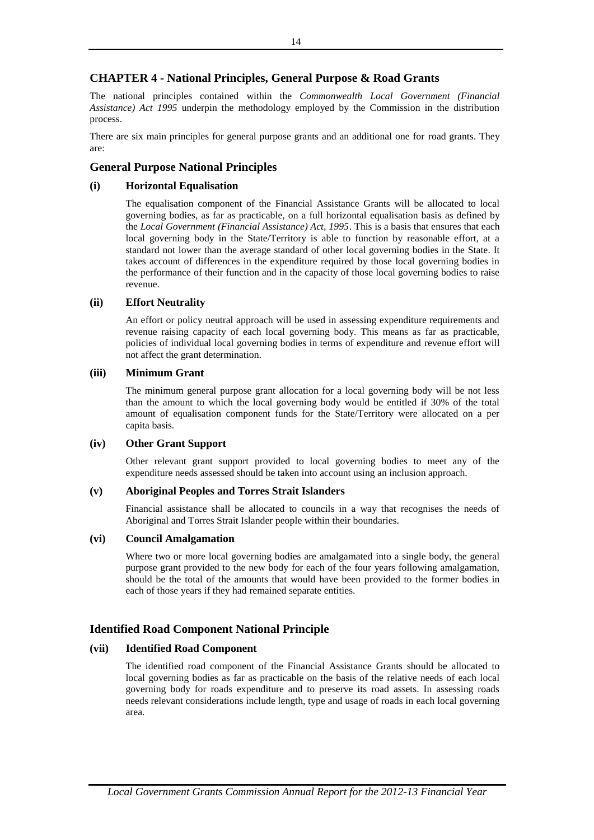## **CHAPTER 4 - National Principles, General Purpose & Road Grants**

The national principles contained within the *Commonwealth Local Government (Financial Assistance) Act 1995* underpin the methodology employed by the Commission in the distribution process.

There are six main principles for general purpose grants and an additional one for road grants. They are:

## **General Purpose National Principles**

## **(i) Horizontal Equalisation**

The equalisation component of the Financial Assistance Grants will be allocated to local governing bodies, as far as practicable, on a full horizontal equalisation basis as defined by the *Local Government (Financial Assistance) Act, 1995*. This is a basis that ensures that each local governing body in the State/Territory is able to function by reasonable effort, at a standard not lower than the average standard of other local governing bodies in the State. It takes account of differences in the expenditure required by those local governing bodies in the performance of their function and in the capacity of those local governing bodies to raise revenue.

## **(ii) Effort Neutrality**

An effort or policy neutral approach will be used in assessing expenditure requirements and revenue raising capacity of each local governing body. This means as far as practicable, policies of individual local governing bodies in terms of expenditure and revenue effort will not affect the grant determination.

## **(iii) Minimum Grant**

The minimum general purpose grant allocation for a local governing body will be not less than the amount to which the local governing body would be entitled if 30% of the total amount of equalisation component funds for the State/Territory were allocated on a per capita basis.

## **(iv) Other Grant Support**

Other relevant grant support provided to local governing bodies to meet any of the expenditure needs assessed should be taken into account using an inclusion approach.

## **(v) Aboriginal Peoples and Torres Strait Islanders**

Financial assistance shall be allocated to councils in a way that recognises the needs of Aboriginal and Torres Strait Islander people within their boundaries.

## **(vi) Council Amalgamation**

Where two or more local governing bodies are amalgamated into a single body, the general purpose grant provided to the new body for each of the four years following amalgamation, should be the total of the amounts that would have been provided to the former bodies in each of those years if they had remained separate entities.

## **Identified Road Component National Principle**

## **(vii) Identified Road Component**

The identified road component of the Financial Assistance Grants should be allocated to local governing bodies as far as practicable on the basis of the relative needs of each local governing body for roads expenditure and to preserve its road assets. In assessing roads needs relevant considerations include length, type and usage of roads in each local governing area.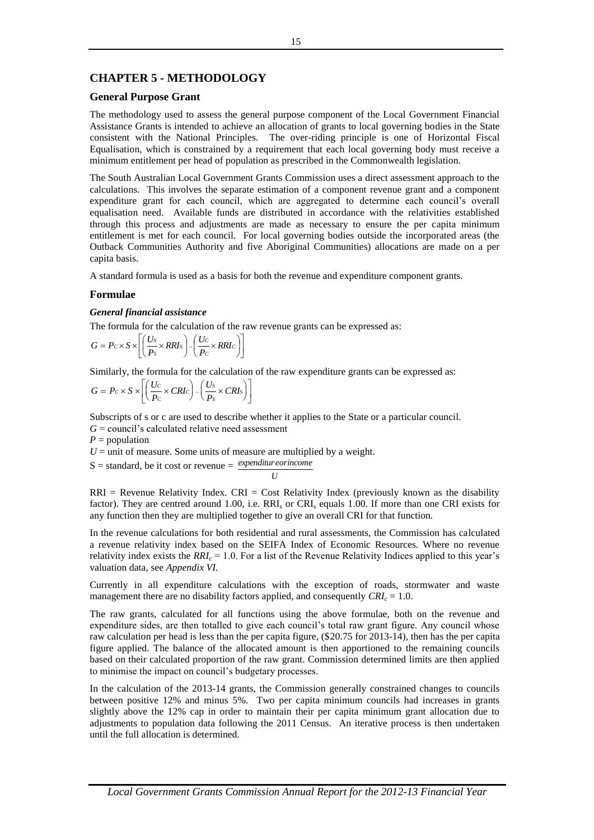## **CHAPTER 5 - METHODOLOGY**

## **General Purpose Grant**

The methodology used to assess the general purpose component of the Local Government Financial Assistance Grants is intended to achieve an allocation of grants to local governing bodies in the State consistent with the National Principles. The over-riding principle is one of Horizontal Fiscal Equalisation, which is constrained by a requirement that each local governing body must receive a minimum entitlement per head of population as prescribed in the Commonwealth legislation.

The South Australian Local Government Grants Commission uses a direct assessment approach to the calculations. This involves the separate estimation of a component revenue grant and a component expenditure grant for each council, which are aggregated to determine each council's overall equalisation need. Available funds are distributed in accordance with the relativities established through this process and adjustments are made as necessary to ensure the per capita minimum entitlement is met for each council. For local governing bodies outside the incorporated areas (the Outback Communities Authority and five Aboriginal Communities) allocations are made on a per capita basis.

A standard formula is used as a basis for both the revenue and expenditure component grants.

## **Formulae**

## *General financial assistance*

The formula for the calculation of the raw revenue grants can be expressed as:

$$
G = P c \times S \times \left[ \left( \frac{U_S}{P_S} \times R R I_S \right) - \left( \frac{U_c}{P_C} \times R R I_c \right) \right]
$$

Similarly, the formula for the calculation of the raw expenditure grants can be expressed as:

$$
G = Pc \times S \times \left[ \left( \frac{Uc}{P_c} \times CRIc \right) - \left( \frac{U_s}{P_s} \times CRI_s \right) \right]
$$

Subscripts of s or c are used to describe whether it applies to the State or a particular council.

 $G =$  council's calculated relative need assessment

 $P =$  population

 $U =$  unit of measure. Some units of measure are multiplied by a weight.

 $S =$  standard, be it cost or revenue  $=$  *expenditureorincome U*

 $RRI =$  Revenue Relativity Index.  $CRI =$  Cost Relativity Index (previously known as the disability factor). They are centred around 1.00, i.e. RRI<sub>s</sub> or CRI<sub>s</sub> equals 1.00. If more than one CRI exists for any function then they are multiplied together to give an overall CRI for that function.

In the revenue calculations for both residential and rural assessments, the Commission has calculated a revenue relativity index based on the SEIFA Index of Economic Resources. Where no revenue relativity index exists the *RRI<sup>c</sup>* = 1.0. For a list of the Revenue Relativity Indices applied to this year's valuation data, see *Appendix VI.*

Currently in all expenditure calculations with the exception of roads, stormwater and waste management there are no disability factors applied, and consequently  $CRI_c = 1.0$ .

The raw grants, calculated for all functions using the above formulae, both on the revenue and expenditure sides, are then totalled to give each council's total raw grant figure. Any council whose raw calculation per head is less than the per capita figure, (\$20.75 for 2013-14), then has the per capita figure applied. The balance of the allocated amount is then apportioned to the remaining councils based on their calculated proportion of the raw grant. Commission determined limits are then applied to minimise the impact on council's budgetary processes.

In the calculation of the 2013-14 grants, the Commission generally constrained changes to councils between positive 12% and minus 5%. Two per capita minimum councils had increases in grants slightly above the 12% cap in order to maintain their per capita minimum grant allocation due to adjustments to population data following the 2011 Census. An iterative process is then undertaken until the full allocation is determined.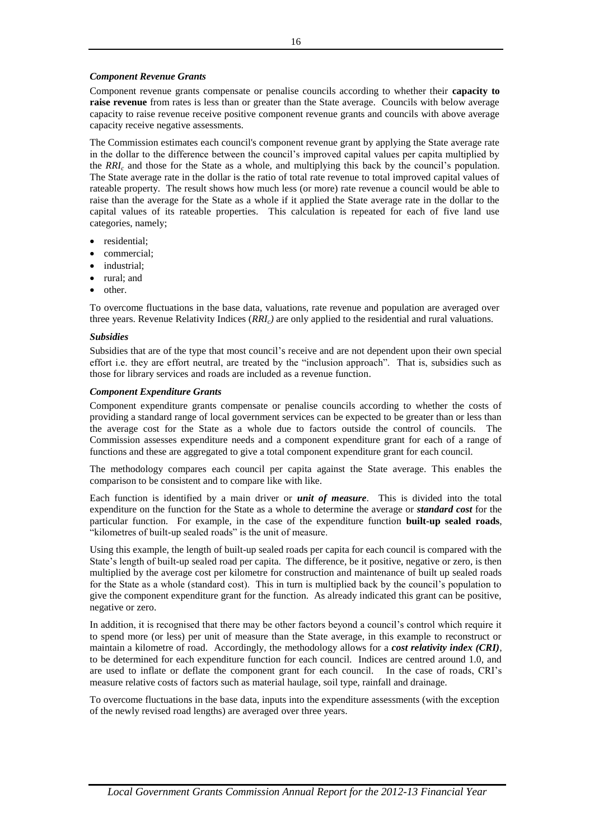## *Component Revenue Grants*

Component revenue grants compensate or penalise councils according to whether their **capacity to raise revenue** from rates is less than or greater than the State average. Councils with below average capacity to raise revenue receive positive component revenue grants and councils with above average capacity receive negative assessments.

The Commission estimates each council's component revenue grant by applying the State average rate in the dollar to the difference between the council's improved capital values per capita multiplied by the *RRI<sup>c</sup>* and those for the State as a whole, and multiplying this back by the council's population. The State average rate in the dollar is the ratio of total rate revenue to total improved capital values of rateable property. The result shows how much less (or more) rate revenue a council would be able to raise than the average for the State as a whole if it applied the State average rate in the dollar to the capital values of its rateable properties. This calculation is repeated for each of five land use categories, namely;

- residential;
- commercial;
- industrial;
- rural; and
- other.

To overcome fluctuations in the base data, valuations, rate revenue and population are averaged over three years. Revenue Relativity Indices (*RRIc)* are only applied to the residential and rural valuations.

#### *Subsidies*

Subsidies that are of the type that most council's receive and are not dependent upon their own special effort i.e. they are effort neutral, are treated by the "inclusion approach". That is, subsidies such as those for library services and roads are included as a revenue function.

#### *Component Expenditure Grants*

Component expenditure grants compensate or penalise councils according to whether the costs of providing a standard range of local government services can be expected to be greater than or less than the average cost for the State as a whole due to factors outside the control of councils. The Commission assesses expenditure needs and a component expenditure grant for each of a range of functions and these are aggregated to give a total component expenditure grant for each council.

The methodology compares each council per capita against the State average. This enables the comparison to be consistent and to compare like with like.

Each function is identified by a main driver or *unit of measure*. This is divided into the total expenditure on the function for the State as a whole to determine the average or *standard cost* for the particular function. For example, in the case of the expenditure function **built-up sealed roads**, "kilometres of built-up sealed roads" is the unit of measure.

Using this example, the length of built-up sealed roads per capita for each council is compared with the State's length of built-up sealed road per capita. The difference, be it positive, negative or zero, is then multiplied by the average cost per kilometre for construction and maintenance of built up sealed roads for the State as a whole (standard cost). This in turn is multiplied back by the council's population to give the component expenditure grant for the function. As already indicated this grant can be positive, negative or zero.

In addition, it is recognised that there may be other factors beyond a council's control which require it to spend more (or less) per unit of measure than the State average, in this example to reconstruct or maintain a kilometre of road. Accordingly, the methodology allows for a *cost relativity index (CRI)*, to be determined for each expenditure function for each council. Indices are centred around 1.0, and are used to inflate or deflate the component grant for each council. In the case of roads, CRI's measure relative costs of factors such as material haulage, soil type, rainfall and drainage.

To overcome fluctuations in the base data, inputs into the expenditure assessments (with the exception of the newly revised road lengths) are averaged over three years.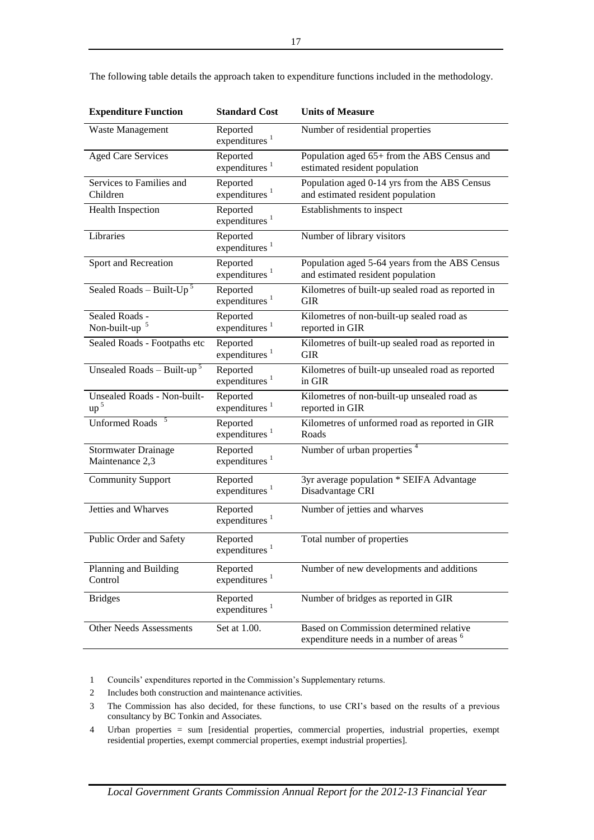| <b>Expenditure Function</b>                    | <b>Standard Cost</b>                  | <b>Units of Measure</b>                                                                        |
|------------------------------------------------|---------------------------------------|------------------------------------------------------------------------------------------------|
| Waste Management                               | Reported<br>expenditures <sup>1</sup> | Number of residential properties                                                               |
| <b>Aged Care Services</b>                      | Reported<br>expenditures <sup>1</sup> | Population aged 65+ from the ABS Census and<br>estimated resident population                   |
| Services to Families and<br>Children           | Reported<br>expenditures <sup>1</sup> | Population aged 0-14 yrs from the ABS Census<br>and estimated resident population              |
| <b>Health Inspection</b>                       | Reported<br>expenditures $1$          | Establishments to inspect                                                                      |
| Libraries                                      | Reported<br>expenditures $1$          | Number of library visitors                                                                     |
| Sport and Recreation                           | Reported<br>expenditures <sup>1</sup> | Population aged 5-64 years from the ABS Census<br>and estimated resident population            |
| Sealed Roads - Built-Up <sup>5</sup>           | Reported<br>expenditures $1$          | Kilometres of built-up sealed road as reported in<br><b>GIR</b>                                |
| Sealed Roads -<br>Non-built-up $5$             | Reported<br>expenditures <sup>1</sup> | Kilometres of non-built-up sealed road as<br>reported in GIR                                   |
| Sealed Roads - Footpaths etc                   | Reported<br>expenditures $1$          | Kilometres of built-up sealed road as reported in<br><b>GIR</b>                                |
| Unsealed Roads - Built-up <sup>5</sup>         | Reported<br>expenditures <sup>1</sup> | Kilometres of built-up unsealed road as reported<br>in GIR                                     |
| Unsealed Roads - Non-built-<br>up <sup>5</sup> | Reported<br>expenditures <sup>1</sup> | Kilometres of non-built-up unsealed road as<br>reported in GIR                                 |
| <b>Unformed Roads</b>                          | Reported<br>expenditures <sup>1</sup> | Kilometres of unformed road as reported in GIR<br>Roads                                        |
| <b>Stormwater Drainage</b><br>Maintenance 2,3  | Reported<br>expenditures <sup>1</sup> | Number of urban properties <sup>4</sup>                                                        |
| <b>Community Support</b>                       | Reported<br>expenditures <sup>1</sup> | 3yr average population * SEIFA Advantage<br>Disadvantage CRI                                   |
| Jetties and Wharves                            | Reported<br>expenditures $1$          | Number of jetties and wharves                                                                  |
| Public Order and Safety                        | Reported<br>expenditures <sup>1</sup> | Total number of properties                                                                     |
| Planning and Building<br>Control               | Reported<br>expenditures <sup>1</sup> | Number of new developments and additions                                                       |
| <b>Bridges</b>                                 | Reported<br>expenditures <sup>1</sup> | Number of bridges as reported in GIR                                                           |
| Other Needs Assessments                        | Set at 1.00.                          | Based on Commission determined relative<br>expenditure needs in a number of areas <sup>6</sup> |

The following table details the approach taken to expenditure functions included in the methodology.

1 Councils' expenditures reported in the Commission's Supplementary returns.

- 2 Includes both construction and maintenance activities.
- 3 The Commission has also decided, for these functions, to use CRI's based on the results of a previous consultancy by BC Tonkin and Associates.
- 4 Urban properties = sum [residential properties, commercial properties, industrial properties, exempt residential properties, exempt commercial properties, exempt industrial properties].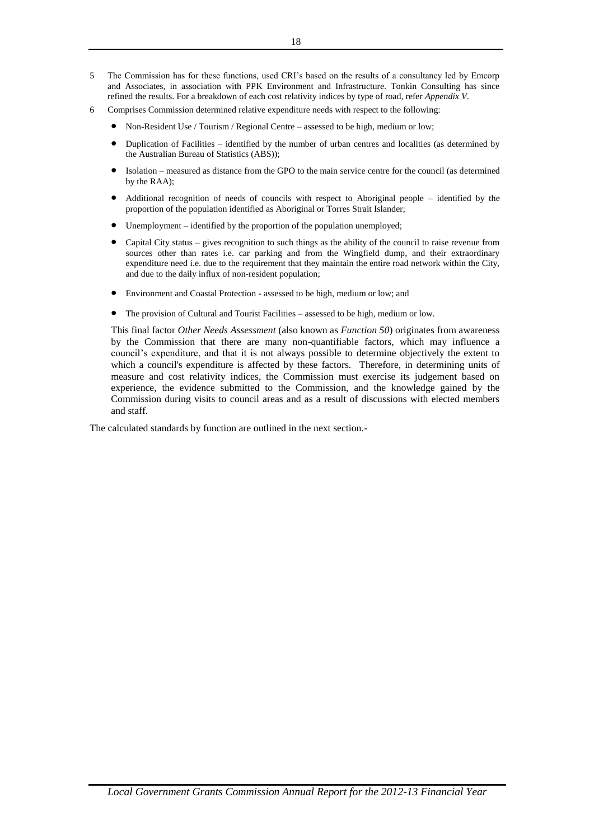- 5 The Commission has for these functions, used CRI's based on the results of a consultancy led by Emcorp and Associates, in association with PPK Environment and Infrastructure. Tonkin Consulting has since refined the results. For a breakdown of each cost relativity indices by type of road, refer *Appendix V*.
- 6 Comprises Commission determined relative expenditure needs with respect to the following:
	- Non-Resident Use / Tourism / Regional Centre assessed to be high, medium or low;
	- Duplication of Facilities identified by the number of urban centres and localities (as determined by the Australian Bureau of Statistics (ABS));
	- Isolation measured as distance from the GPO to the main service centre for the council (as determined by the RAA);
	- Additional recognition of needs of councils with respect to Aboriginal people identified by the proportion of the population identified as Aboriginal or Torres Strait Islander;
	- Unemployment identified by the proportion of the population unemployed;
	- Capital City status gives recognition to such things as the ability of the council to raise revenue from sources other than rates i.e. car parking and from the Wingfield dump, and their extraordinary expenditure need i.e. due to the requirement that they maintain the entire road network within the City, and due to the daily influx of non-resident population;
	- Environment and Coastal Protection assessed to be high, medium or low; and
	- The provision of Cultural and Tourist Facilities assessed to be high, medium or low.

This final factor *Other Needs Assessment* (also known as *Function 50*) originates from awareness by the Commission that there are many non-quantifiable factors, which may influence a council's expenditure, and that it is not always possible to determine objectively the extent to which a council's expenditure is affected by these factors. Therefore, in determining units of measure and cost relativity indices, the Commission must exercise its judgement based on experience, the evidence submitted to the Commission, and the knowledge gained by the Commission during visits to council areas and as a result of discussions with elected members and staff.

The calculated standards by function are outlined in the next section.-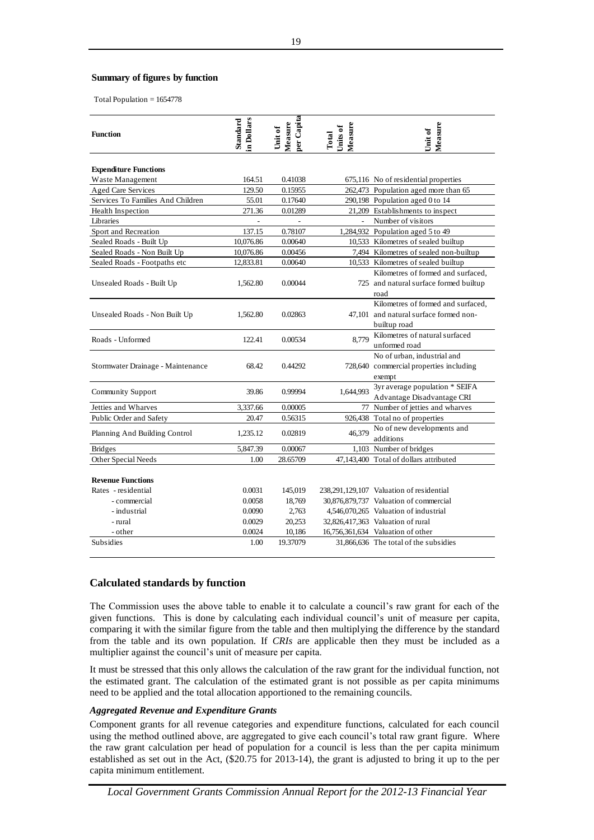## Summary of figures by function

| Total Population $= 1654778$                                                                                                                                                                                                                                                                                                                                                                                                                                                                                                                                                                                                                                                                                                                                                                                                               |                        |                                  |                              |                                                                                              |
|--------------------------------------------------------------------------------------------------------------------------------------------------------------------------------------------------------------------------------------------------------------------------------------------------------------------------------------------------------------------------------------------------------------------------------------------------------------------------------------------------------------------------------------------------------------------------------------------------------------------------------------------------------------------------------------------------------------------------------------------------------------------------------------------------------------------------------------------|------------------------|----------------------------------|------------------------------|----------------------------------------------------------------------------------------------|
| <b>Function</b>                                                                                                                                                                                                                                                                                                                                                                                                                                                                                                                                                                                                                                                                                                                                                                                                                            | in Dollars<br>Standard | per Capita<br>Measure<br>Unit of | Measure<br>Units of<br>Total | Measure<br>Unit of                                                                           |
| <b>Expenditure Functions</b>                                                                                                                                                                                                                                                                                                                                                                                                                                                                                                                                                                                                                                                                                                                                                                                                               |                        |                                  |                              |                                                                                              |
| Waste Management                                                                                                                                                                                                                                                                                                                                                                                                                                                                                                                                                                                                                                                                                                                                                                                                                           | 164.51                 | 0.41038                          |                              | 675,116 No of residential properties                                                         |
| <b>Aged Care Services</b>                                                                                                                                                                                                                                                                                                                                                                                                                                                                                                                                                                                                                                                                                                                                                                                                                  | 129.50                 | 0.15955                          |                              | 262,473 Population aged more than 65                                                         |
| Services To Families And Children                                                                                                                                                                                                                                                                                                                                                                                                                                                                                                                                                                                                                                                                                                                                                                                                          | 55.01                  | 0.17640                          |                              | 290,198 Population aged 0 to 14                                                              |
| Health Inspection<br>Libraries                                                                                                                                                                                                                                                                                                                                                                                                                                                                                                                                                                                                                                                                                                                                                                                                             | 271.36                 | 0.01289<br>$\overline{a}$        | $\overline{\phantom{a}}$     | 21,209 Establishments to inspect<br>Number of visitors                                       |
| Sport and Recreation                                                                                                                                                                                                                                                                                                                                                                                                                                                                                                                                                                                                                                                                                                                                                                                                                       | 137.15                 | 0.78107                          |                              | 1,284,932 Population aged 5 to 49                                                            |
| Sealed Roads - Built Up                                                                                                                                                                                                                                                                                                                                                                                                                                                                                                                                                                                                                                                                                                                                                                                                                    | 10,076.86              | 0.00640                          |                              | 10,533 Kilometres of sealed builtup                                                          |
| Sealed Roads - Non Built Up                                                                                                                                                                                                                                                                                                                                                                                                                                                                                                                                                                                                                                                                                                                                                                                                                | 10,076.86              | 0.00456                          |                              | 7,494 Kilometres of sealed non-builtup                                                       |
| Sealed Roads - Footpaths etc                                                                                                                                                                                                                                                                                                                                                                                                                                                                                                                                                                                                                                                                                                                                                                                                               | 12,833.81              | 0.00640                          |                              | 10,533 Kilometres of sealed builtup                                                          |
| Unsealed Roads - Built Up                                                                                                                                                                                                                                                                                                                                                                                                                                                                                                                                                                                                                                                                                                                                                                                                                  | 1,562.80               | 0.00044                          |                              | Kilometres of formed and surfaced,<br>725 and natural surface formed builtup<br>road         |
| Unsealed Roads - Non Built Up                                                                                                                                                                                                                                                                                                                                                                                                                                                                                                                                                                                                                                                                                                                                                                                                              | 1,562.80               | 0.02863                          |                              | Kilometres of formed and surfaced,<br>47,101 and natural surface formed non-<br>builtup road |
| Roads - Unformed                                                                                                                                                                                                                                                                                                                                                                                                                                                                                                                                                                                                                                                                                                                                                                                                                           | 122.41                 | 0.00534                          | 8.779                        | Kilometres of natural surfaced<br>unformed road                                              |
| Stormwater Drainage - Maintenance                                                                                                                                                                                                                                                                                                                                                                                                                                                                                                                                                                                                                                                                                                                                                                                                          | 68.42                  | 0.44292                          |                              | No of urban, industrial and<br>728,640 commercial properties including<br>exempt             |
| Community Support                                                                                                                                                                                                                                                                                                                                                                                                                                                                                                                                                                                                                                                                                                                                                                                                                          | 39.86                  | 0.99994                          | 1,644,993                    | 3yr average population * SEIFA<br>Advantage Disadvantage CRI                                 |
| Jetties and Wharves                                                                                                                                                                                                                                                                                                                                                                                                                                                                                                                                                                                                                                                                                                                                                                                                                        | 3,337.66               | 0.00005                          |                              | 77 Number of jetties and wharves                                                             |
| Public Order and Safety                                                                                                                                                                                                                                                                                                                                                                                                                                                                                                                                                                                                                                                                                                                                                                                                                    | 20.47                  | 0.56315                          |                              | 926,438 Total no of properties                                                               |
| Planning And Building Control                                                                                                                                                                                                                                                                                                                                                                                                                                                                                                                                                                                                                                                                                                                                                                                                              | 1,235.12               | 0.02819                          | 46.379                       | No of new developments and<br>additions                                                      |
| <b>Bridges</b><br>Other Special Needs                                                                                                                                                                                                                                                                                                                                                                                                                                                                                                                                                                                                                                                                                                                                                                                                      | 5,847.39<br>1.00       | 0.00067<br>28.65709              |                              | 1,103 Number of bridges<br>47,143,400 Total of dollars attributed                            |
|                                                                                                                                                                                                                                                                                                                                                                                                                                                                                                                                                                                                                                                                                                                                                                                                                                            |                        |                                  |                              |                                                                                              |
| <b>Revenue Functions</b>                                                                                                                                                                                                                                                                                                                                                                                                                                                                                                                                                                                                                                                                                                                                                                                                                   |                        |                                  |                              |                                                                                              |
| Rates - residential                                                                                                                                                                                                                                                                                                                                                                                                                                                                                                                                                                                                                                                                                                                                                                                                                        | 0.0031                 | 145,019                          |                              | 238,291,129,107 Valuation of residential                                                     |
| - commercial                                                                                                                                                                                                                                                                                                                                                                                                                                                                                                                                                                                                                                                                                                                                                                                                                               | 0.0058                 | 18,769                           |                              | 30,876,879,737 Valuation of commercial                                                       |
| - industrial                                                                                                                                                                                                                                                                                                                                                                                                                                                                                                                                                                                                                                                                                                                                                                                                                               | 0.0090                 | 2,763                            |                              | 4,546,070,265 Valuation of industrial                                                        |
| - rural                                                                                                                                                                                                                                                                                                                                                                                                                                                                                                                                                                                                                                                                                                                                                                                                                                    | 0.0029                 | 20,253                           |                              | 32,826,417,363 Valuation of rural                                                            |
| - other<br>Subsidies                                                                                                                                                                                                                                                                                                                                                                                                                                                                                                                                                                                                                                                                                                                                                                                                                       | 0.0024<br>1.00         | 10,186<br>19.37079               |                              | 16,756,361,634 Valuation of other<br>31,866,636 The total of the subsidies                   |
| <b>Calculated standards by function</b><br>The Commission uses the above table to enable it to calculate a council's raw grant for each of the<br>given functions. This is done by calculating each individual council's unit of measure per capita<br>comparing it with the similar figure from the table and then multiplying the difference by the standard<br>from the table and its own population. If CRIs are applicable then they must be included as a<br>multiplier against the council's unit of measure per capita.<br>It must be stressed that this only allows the calculation of the raw grant for the individual function, not<br>the estimated grant. The calculation of the estimated grant is not possible as per capita minimums<br>need to be applied and the total allocation apportioned to the remaining councils. |                        |                                  |                              |                                                                                              |
| <b>Aggregated Revenue and Expenditure Grants</b>                                                                                                                                                                                                                                                                                                                                                                                                                                                                                                                                                                                                                                                                                                                                                                                           |                        |                                  |                              |                                                                                              |
| Component grants for all revenue categories and expenditure functions, calculated for each counci<br>using the method outlined above, are aggregated to give each council's total raw grant figure. Where<br>the raw grant calculation per head of population for a council is less than the per capita minimum<br>established as set out in the Act, (\$20.75 for 2013-14), the grant is adjusted to bring it up to the per<br>capita minimum entitlement.                                                                                                                                                                                                                                                                                                                                                                                |                        |                                  |                              |                                                                                              |

## **Calculated standards by function**

#### *Aggregated Revenue and Expenditure Grants*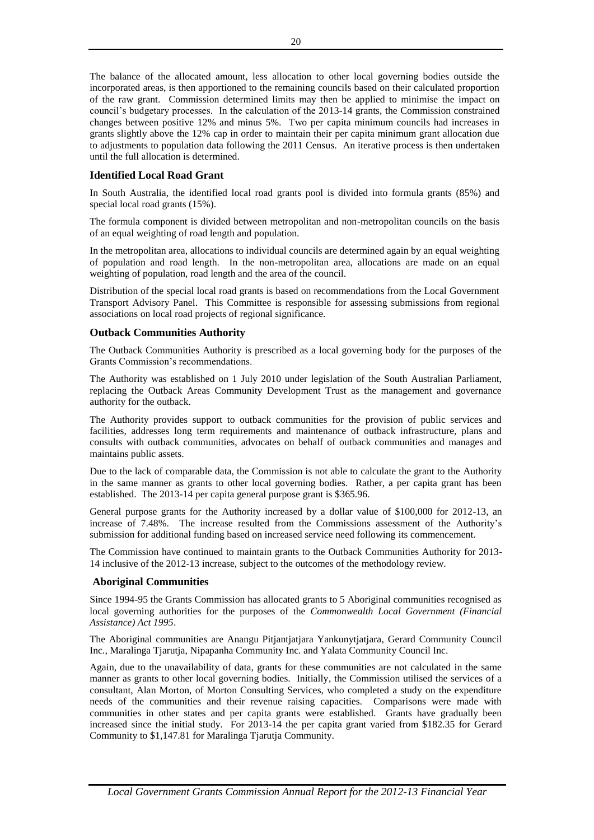The balance of the allocated amount, less allocation to other local governing bodies outside the incorporated areas, is then apportioned to the remaining councils based on their calculated proportion of the raw grant. Commission determined limits may then be applied to minimise the impact on council's budgetary processes. In the calculation of the 2013-14 grants, the Commission constrained changes between positive 12% and minus 5%. Two per capita minimum councils had increases in grants slightly above the 12% cap in order to maintain their per capita minimum grant allocation due to adjustments to population data following the 2011 Census. An iterative process is then undertaken until the full allocation is determined.

## **Identified Local Road Grant**

In South Australia, the identified local road grants pool is divided into formula grants (85%) and special local road grants (15%).

The formula component is divided between metropolitan and non-metropolitan councils on the basis of an equal weighting of road length and population.

In the metropolitan area, allocations to individual councils are determined again by an equal weighting of population and road length. In the non-metropolitan area, allocations are made on an equal weighting of population, road length and the area of the council.

Distribution of the special local road grants is based on recommendations from the Local Government Transport Advisory Panel. This Committee is responsible for assessing submissions from regional associations on local road projects of regional significance.

## **Outback Communities Authority**

The Outback Communities Authority is prescribed as a local governing body for the purposes of the Grants Commission's recommendations.

The Authority was established on 1 July 2010 under legislation of the South Australian Parliament, replacing the Outback Areas Community Development Trust as the management and governance authority for the outback.

The Authority provides support to outback communities for the provision of public services and facilities, addresses long term requirements and maintenance of outback infrastructure, plans and consults with outback communities, advocates on behalf of outback communities and manages and maintains public assets.

Due to the lack of comparable data, the Commission is not able to calculate the grant to the Authority in the same manner as grants to other local governing bodies. Rather, a per capita grant has been established. The 2013-14 per capita general purpose grant is \$365.96.

General purpose grants for the Authority increased by a dollar value of \$100,000 for 2012-13, an increase of 7.48%. The increase resulted from the Commissions assessment of the Authority's submission for additional funding based on increased service need following its commencement.

The Commission have continued to maintain grants to the Outback Communities Authority for 2013- 14 inclusive of the 2012-13 increase, subject to the outcomes of the methodology review.

## **Aboriginal Communities**

Since 1994-95 the Grants Commission has allocated grants to 5 Aboriginal communities recognised as local governing authorities for the purposes of the *Commonwealth Local Government (Financial Assistance) Act 1995*.

The Aboriginal communities are Anangu Pitjantjatjara Yankunytjatjara, Gerard Community Council Inc., Maralinga Tjarutja, Nipapanha Community Inc. and Yalata Community Council Inc.

Again, due to the unavailability of data, grants for these communities are not calculated in the same manner as grants to other local governing bodies. Initially, the Commission utilised the services of a consultant, Alan Morton, of Morton Consulting Services, who completed a study on the expenditure needs of the communities and their revenue raising capacities. Comparisons were made with communities in other states and per capita grants were established. Grants have gradually been increased since the initial study. For 2013-14 the per capita grant varied from \$182.35 for Gerard Community to \$1,147.81 for Maralinga Tjarutja Community.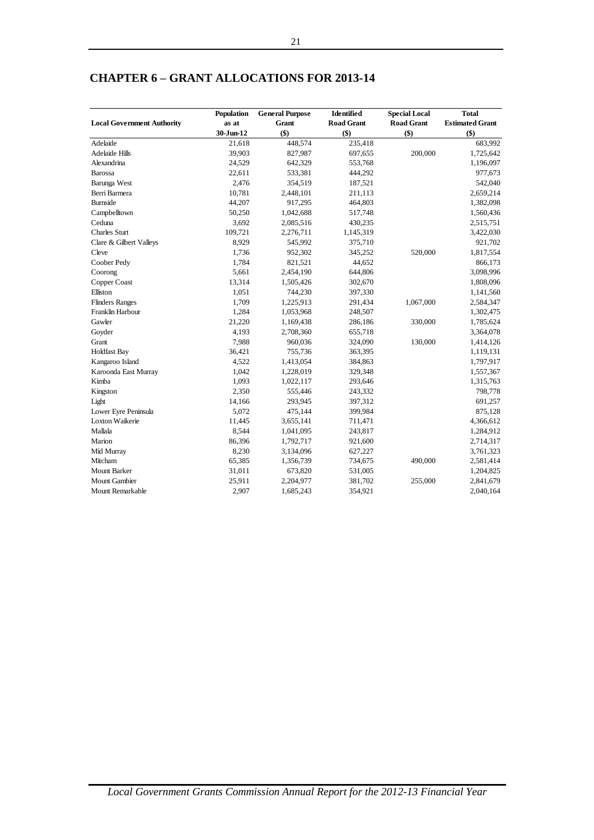|                                   | Population | <b>General Purpose</b> | <b>Identified</b> | <b>Special Local</b> | <b>Total</b>           |
|-----------------------------------|------------|------------------------|-------------------|----------------------|------------------------|
| <b>Local Government Authority</b> | as at      | <b>Grant</b>           | <b>Road Grant</b> | <b>Road Grant</b>    | <b>Estimated Grant</b> |
|                                   | 30-Jun-12  | \$)                    | \$)               | $(\$)$               | \$)                    |
| Adelaide                          | 21,618     | 448,574                | 235,418           |                      | 683,992                |
| <b>Adelaide Hills</b>             | 39,903     | 827,987                | 697,655           | 200,000              | 1,725,642              |
| Alexandrina                       | 24,529     | 642,329                | 553,768           |                      | 1,196,097              |
| <b>Barossa</b>                    | 22,611     | 533,381                | 444,292           |                      | 977,673                |
| Barunga West                      | 2,476      | 354,519                | 187,521           |                      | 542,040                |
| Berri Barmera                     | 10,781     | 2,448,101              | 211,113           |                      | 2,659,214              |
| <b>Burnside</b>                   | 44,207     | 917,295                | 464,803           |                      | 1,382,098              |
| Campbelltown                      | 50,250     | 1,042,688              | 517,748           |                      | 1,560,436              |
| Ceduna                            | 3,692      | 2,085,516              | 430,235           |                      | 2,515,751              |
| <b>Charles Sturt</b>              | 109,721    | 2,276,711              | 1,145,319         |                      | 3,422,030              |
| Clare & Gilbert Valleys           | 8,929      | 545,992                | 375,710           |                      | 921,702                |
| Cleve                             | 1,736      | 952,302                | 345,252           | 520,000              | 1,817,554              |
| Coober Pedy                       | 1,784      | 821,521                | 44,652            |                      | 866,173                |
| Coorong                           | 5,661      | 2,454,190              | 644,806           |                      | 3,098,996              |
| Copper Coast                      | 13,314     | 1,505,426              | 302,670           |                      | 1,808,096              |
| Elliston                          | 1,051      | 744,230                | 397,330           |                      | 1,141,560              |
| <b>Flinders Ranges</b>            | 1,709      | 1,225,913              | 291,434           | 1,067,000            | 2,584,347              |
| Franklin Harbour                  | 1,284      | 1,053,968              | 248,507           |                      | 1,302,475              |
| Gawler                            | 21,220     | 1,169,438              | 286,186           | 330,000              | 1,785,624              |
| Goyder                            | 4,193      | 2,708,360              | 655,718           |                      | 3,364,078              |
| Grant                             | 7,988      | 960,036                | 324,090           | 130,000              | 1,414,126              |
| <b>Holdfast Bay</b>               | 36,421     | 755,736                | 363,395           |                      | 1,119,131              |
| Kangaroo Island                   | 4,522      | 1,413,054              | 384,863           |                      | 1,797,917              |
| Karoonda East Murray              | 1,042      | 1,228,019              | 329,348           |                      | 1,557,367              |
| Kimba                             | 1,093      | 1,022,117              | 293,646           |                      | 1,315,763              |
| Kingston                          | 2,350      | 555,446                | 243,332           |                      | 798,778                |
| Light                             | 14,166     | 293,945                | 397,312           |                      | 691,257                |
| Lower Eyre Peninsula              | 5,072      | 475,144                | 399,984           |                      | 875,128                |
| Loxton Waikerie                   | 11,445     | 3,655,141              | 711,471           |                      | 4,366,612              |
| Mallala                           | 8,544      | 1,041,095              | 243,817           |                      | 1,284,912              |
| Marion                            | 86,396     | 1,792,717              | 921,600           |                      | 2,714,317              |
| Mid Murray                        | 8,230      | 3,134,096              | 627,227           |                      | 3,761,323              |
| Mitcham                           | 65,385     | 1,356,739              | 734,675           | 490,000              | 2,581,414              |
| <b>Mount Barker</b>               | 31,011     | 673,820                | 531,005           |                      | 1,204,825              |
| <b>Mount Gambier</b>              | 25,911     | 2,204,977              | 381,702           | 255,000              | 2,841,679              |
| Mount Remarkable                  | 2,907      | 1,685,243              | 354,921           |                      | 2,040,164              |

## **CHAPTER 6 – GRANT ALLOCATIONS FOR 2013-14**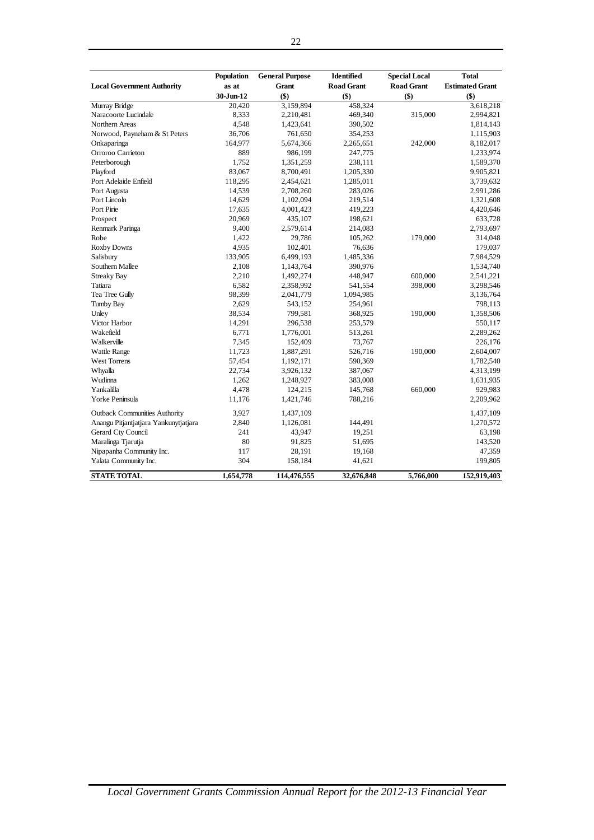|                                       | Population | <b>General Purpose</b> | Identified        | <b>Special Local</b> | <b>Total</b>           |
|---------------------------------------|------------|------------------------|-------------------|----------------------|------------------------|
| <b>Local Government Authority</b>     | as at      | <b>Grant</b>           | <b>Road Grant</b> | <b>Road Grant</b>    | <b>Estimated Grant</b> |
|                                       | 30-Jun-12  | \$)                    | $($)$             | $($)$                | $($ \$                 |
| Murray Bridge                         | 20,420     | 3,159,894              | 458,324           |                      | 3,618,218              |
| Naracoorte Lucindale                  | 8,333      | 2,210,481              | 469,340           | 315,000              | 2,994,821              |
| Northern Areas                        | 4,548      | 1,423,641              | 390,502           |                      | 1,814,143              |
| Norwood, Payneham & St Peters         | 36,706     | 761,650                | 354,253           |                      | 1,115,903              |
| Onkaparinga                           | 164,977    | 5,674,366              | 2,265,651         | 242,000              | 8,182,017              |
| Orroroo Carrieton                     | 889        | 986,199                | 247,775           |                      | 1,233,974              |
| Peterborough                          | 1,752      | 1,351,259              | 238,111           |                      | 1,589,370              |
| Playford                              | 83,067     | 8,700,491              | 1,205,330         |                      | 9,905,821              |
| Port Adelaide Enfield                 | 118,295    | 2,454,621              | 1,285,011         |                      | 3,739,632              |
| Port Augusta                          | 14,539     | 2,708,260              | 283,026           |                      | 2,991,286              |
| Port Lincoln                          | 14,629     | 1,102,094              | 219,514           |                      | 1,321,608              |
| Port Pirie                            | 17,635     | 4,001,423              | 419,223           |                      | 4,420,646              |
| Prospect                              | 20,969     | 435,107                | 198,621           |                      | 633,728                |
| Renmark Paringa                       | 9,400      | 2,579,614              | 214,083           |                      | 2,793,697              |
| Robe                                  | 1,422      | 29,786                 | 105,262           | 179,000              | 314,048                |
| <b>Roxby Downs</b>                    | 4,935      | 102,401                | 76,636            |                      | 179,037                |
| Salisbury                             | 133,905    | 6,499,193              | 1,485,336         |                      | 7,984,529              |
| Southern Mallee                       | 2,108      | 1,143,764              | 390,976           |                      | 1,534,740              |
| <b>Streaky Bay</b>                    | 2,210      | 1,492,274              | 448,947           | 600,000              | 2,541,221              |
| Tatiara                               | 6,582      | 2,358,992              | 541,554           | 398,000              | 3,298,546              |
| Tea Tree Gully                        | 98,399     | 2,041,779              | 1,094,985         |                      | 3,136,764              |
| Tumby Bay                             | 2,629      | 543,152                | 254,961           |                      | 798,113                |
| Unley                                 | 38,534     | 799,581                | 368,925           | 190,000              | 1,358,506              |
| Victor Harbor                         | 14,291     | 296,538                | 253,579           |                      | 550,117                |
| Wakefield                             | 6,771      | 1,776,001              | 513,261           |                      | 2,289,262              |
| Walkerville                           | 7,345      | 152,409                | 73,767            |                      | 226,176                |
| <b>Wattle Range</b>                   | 11,723     | 1,887,291              | 526,716           | 190,000              | 2,604,007              |
| West Torrens                          | 57,454     | 1,192,171              | 590,369           |                      | 1,782,540              |
| Whyalla                               | 22,734     | 3,926,132              | 387,067           |                      | 4,313,199              |
| Wudinna                               | 1,262      | 1,248,927              | 383,008           |                      | 1,631,935              |
| Yankalilla                            | 4,478      | 124,215                | 145,768           | 660,000              | 929,983                |
| Yorke Peninsula                       | 11,176     | 1,421,746              | 788,216           |                      | 2,209,962              |
| <b>Outback Communities Authority</b>  | 3,927      | 1,437,109              |                   |                      | 1,437,109              |
| Anangu Pitjantjatjara Yankunytjatjara | 2,840      | 1,126,081              | 144,491           |                      | 1,270,572              |
| Gerard Cty Council                    | 241        | 43,947                 | 19,251            |                      | 63,198                 |
| Maralinga Tjarutja                    | 80         | 91,825                 | 51,695            |                      | 143,520                |
| Nipapanha Community Inc.              | 117        | 28,191                 | 19,168            |                      | 47,359                 |
| Yalata Community Inc.                 | 304        | 158,184                | 41,621            |                      | 199,805                |
| <b>STATE TOTAL</b>                    | 1,654,778  | 114,476,555            | 32,676,848        | 5,766,000            | 152,919,403            |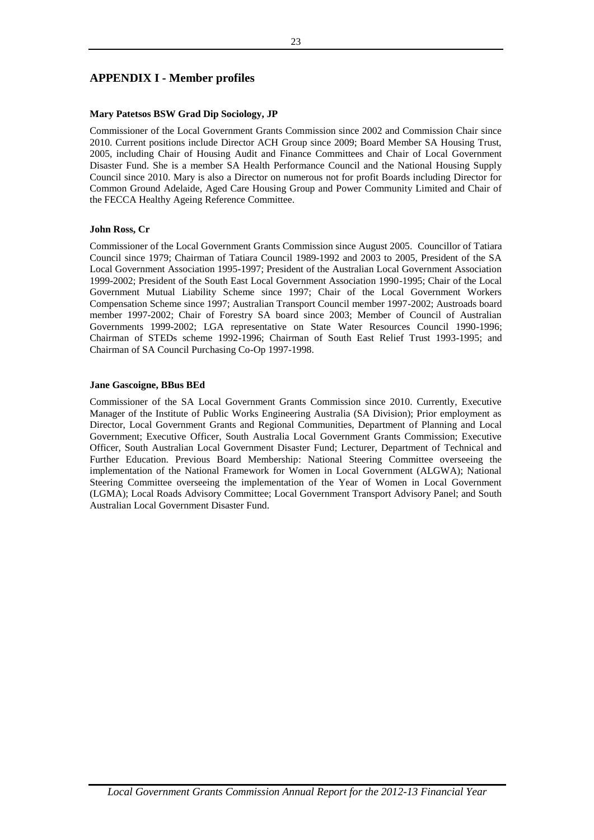## **APPENDIX I - Member profiles**

## **Mary Patetsos BSW Grad Dip Sociology, JP**

Commissioner of the Local Government Grants Commission since 2002 and Commission Chair since 2010. Current positions include Director ACH Group since 2009; Board Member SA Housing Trust, 2005, including Chair of Housing Audit and Finance Committees and Chair of Local Government Disaster Fund. She is a member SA Health Performance Council and the National Housing Supply Council since 2010. Mary is also a Director on numerous not for profit Boards including Director for Common Ground Adelaide, Aged Care Housing Group and Power Community Limited and Chair of the FECCA Healthy Ageing Reference Committee.

## **John Ross, Cr**

Commissioner of the Local Government Grants Commission since August 2005. Councillor of Tatiara Council since 1979; Chairman of Tatiara Council 1989-1992 and 2003 to 2005, President of the SA Local Government Association 1995-1997; President of the Australian Local Government Association 1999-2002; President of the South East Local Government Association 1990-1995; Chair of the Local Government Mutual Liability Scheme since 1997; Chair of the Local Government Workers Compensation Scheme since 1997; Australian Transport Council member 1997-2002; Austroads board member 1997-2002; Chair of Forestry SA board since 2003; Member of Council of Australian Governments 1999-2002; LGA representative on State Water Resources Council 1990-1996; Chairman of STEDs scheme 1992-1996; Chairman of South East Relief Trust 1993-1995; and Chairman of SA Council Purchasing Co-Op 1997-1998.

## **Jane Gascoigne, BBus BEd**

Commissioner of the SA Local Government Grants Commission since 2010. Currently, Executive Manager of the Institute of Public Works Engineering Australia (SA Division); Prior employment as Director, Local Government Grants and Regional Communities, Department of Planning and Local Government; Executive Officer, South Australia Local Government Grants Commission; Executive Officer, South Australian Local Government Disaster Fund; Lecturer, Department of Technical and Further Education. Previous Board Membership: National Steering Committee overseeing the implementation of the National Framework for Women in Local Government (ALGWA); National Steering Committee overseeing the implementation of the Year of Women in Local Government (LGMA); Local Roads Advisory Committee; Local Government Transport Advisory Panel; and South Australian Local Government Disaster Fund.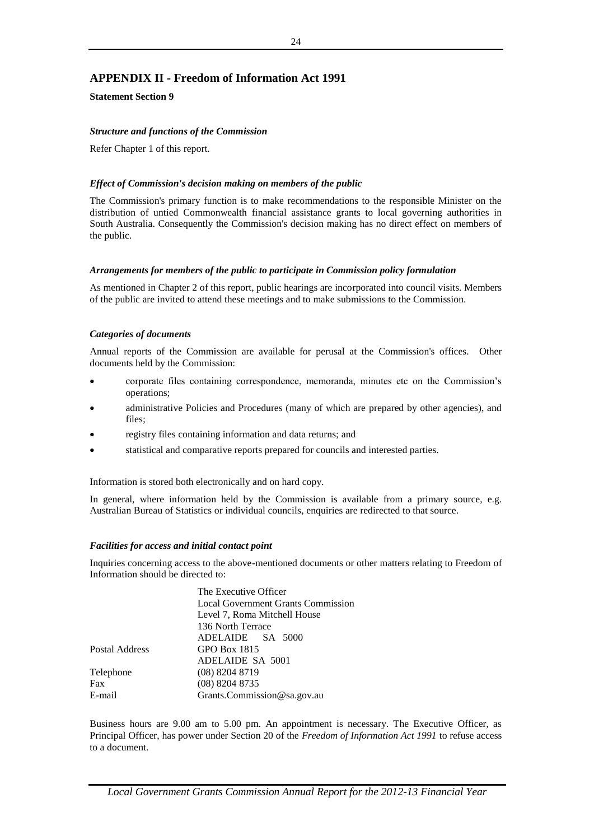## **APPENDIX II - Freedom of Information Act 1991**

**Statement Section 9**

## *Structure and functions of the Commission*

Refer Chapter 1 of this report.

## *Effect of Commission's decision making on members of the public*

The Commission's primary function is to make recommendations to the responsible Minister on the distribution of untied Commonwealth financial assistance grants to local governing authorities in South Australia. Consequently the Commission's decision making has no direct effect on members of the public.

## *Arrangements for members of the public to participate in Commission policy formulation*

As mentioned in Chapter 2 of this report, public hearings are incorporated into council visits. Members of the public are invited to attend these meetings and to make submissions to the Commission.

## *Categories of documents*

Annual reports of the Commission are available for perusal at the Commission's offices. Other documents held by the Commission:

- corporate files containing correspondence, memoranda, minutes etc on the Commission's operations;
- administrative Policies and Procedures (many of which are prepared by other agencies), and files;
- registry files containing information and data returns; and
- statistical and comparative reports prepared for councils and interested parties.

Information is stored both electronically and on hard copy.

In general, where information held by the Commission is available from a primary source, e.g. Australian Bureau of Statistics or individual councils, enquiries are redirected to that source.

## *Facilities for access and initial contact point*

Inquiries concerning access to the above-mentioned documents or other matters relating to Freedom of Information should be directed to:

| The Executive Officer                     |
|-------------------------------------------|
| <b>Local Government Grants Commission</b> |
| Level 7, Roma Mitchell House              |
| 136 North Terrace                         |
| ADELAIDE SA 5000                          |
| GPO Box 1815                              |
| ADELAIDE SA 5001                          |
| $(08)$ 8204 8719                          |
| $(08)$ 8204 8735                          |
| Grants.Commission@sa.gov.au               |
|                                           |

Business hours are 9.00 am to 5.00 pm. An appointment is necessary. The Executive Officer, as Principal Officer, has power under Section 20 of the *Freedom of Information Act 1991* to refuse access to a document.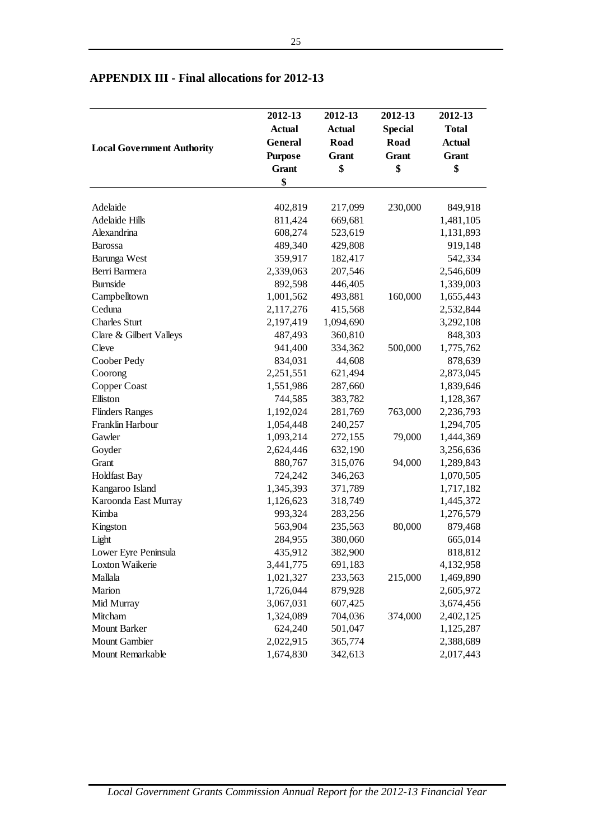|                                   | 2012-13        | 2012-13       | 2012-13        | 2012-13       |
|-----------------------------------|----------------|---------------|----------------|---------------|
|                                   | <b>Actual</b>  | <b>Actual</b> | <b>Special</b> | <b>Total</b>  |
|                                   | General        | Road          | <b>Road</b>    | <b>Actual</b> |
| <b>Local Government Authority</b> | <b>Purpose</b> | Grant         | Grant          | Grant         |
|                                   | <b>Grant</b>   | \$            | \$             | \$            |
|                                   | \$             |               |                |               |
|                                   |                |               |                |               |
| Adelaide                          | 402,819        | 217,099       | 230,000        | 849,918       |
| <b>Adelaide Hills</b>             | 811,424        | 669,681       |                | 1,481,105     |
| Alexandrina                       | 608,274        | 523,619       |                | 1,131,893     |
| <b>Barossa</b>                    | 489,340        | 429,808       |                | 919,148       |
| Barunga West                      | 359,917        | 182,417       |                | 542,334       |
| Berri Barmera                     | 2,339,063      | 207,546       |                | 2,546,609     |
| <b>Burnside</b>                   | 892,598        | 446,405       |                | 1,339,003     |
| Campbelltown                      | 1,001,562      | 493,881       | 160,000        | 1,655,443     |
| Ceduna                            | 2,117,276      | 415,568       |                | 2,532,844     |
| <b>Charles Sturt</b>              | 2,197,419      | 1,094,690     |                | 3,292,108     |
| Clare & Gilbert Valleys           | 487,493        | 360,810       |                | 848,303       |
| Cleve                             | 941,400        | 334,362       | 500,000        | 1,775,762     |
| Coober Pedy                       | 834,031        | 44,608        |                | 878,639       |
| Coorong                           | 2,251,551      | 621,494       |                | 2,873,045     |
| Copper Coast                      | 1,551,986      | 287,660       |                | 1,839,646     |
| Elliston                          | 744,585        | 383,782       |                | 1,128,367     |
| <b>Flinders Ranges</b>            | 1,192,024      | 281,769       | 763,000        | 2,236,793     |
| Franklin Harbour                  | 1,054,448      | 240,257       |                | 1,294,705     |
| Gawler                            | 1,093,214      | 272,155       | 79,000         | 1,444,369     |
| Goyder                            | 2,624,446      | 632,190       |                | 3,256,636     |
| Grant                             | 880,767        | 315,076       | 94,000         | 1,289,843     |
| <b>Holdfast Bay</b>               | 724,242        | 346,263       |                | 1,070,505     |
| Kangaroo Island                   | 1,345,393      | 371,789       |                | 1,717,182     |
| Karoonda East Murray              | 1,126,623      | 318,749       |                | 1,445,372     |
| Kimba                             | 993,324        | 283,256       |                | 1,276,579     |
| Kingston                          | 563,904        | 235,563       | 80,000         | 879,468       |
| Light                             | 284,955        | 380,060       |                | 665,014       |
| Lower Eyre Peninsula              | 435,912        | 382,900       |                | 818,812       |
| Loxton Waikerie                   | 3,441,775      | 691,183       |                | 4,132,958     |
| Mallala                           | 1,021,327      | 233,563       | 215,000        | 1,469,890     |
| Marion                            | 1,726,044      | 879,928       |                | 2,605,972     |
| Mid Murray                        | 3,067,031      | 607,425       |                | 3,674,456     |
| Mitcham                           | 1,324,089      | 704,036       | 374,000        | 2,402,125     |
| <b>Mount Barker</b>               | 624,240        | 501,047       |                | 1,125,287     |
| Mount Gambier                     | 2,022,915      | 365,774       |                | 2,388,689     |
| Mount Remarkable                  | 1,674,830      | 342,613       |                | 2,017,443     |

## **APPENDIX III - Final allocations for 2012-13**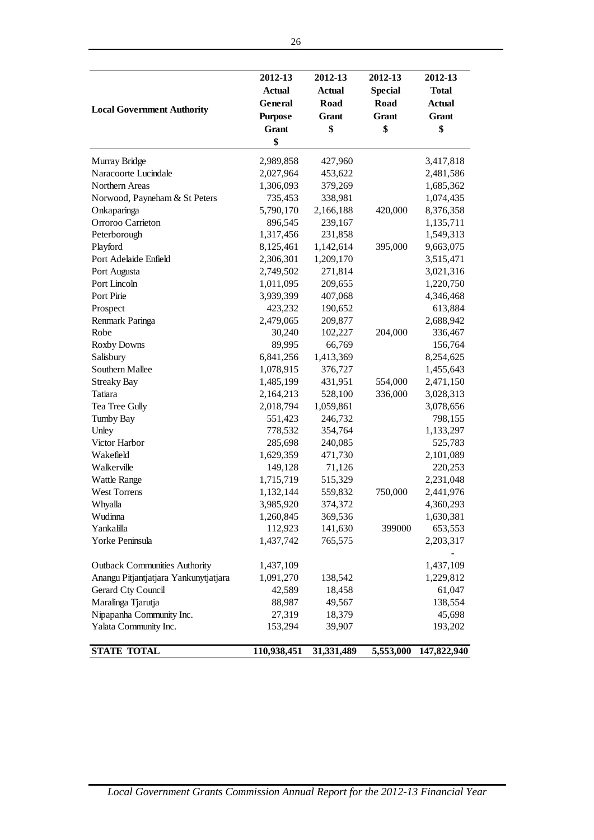| <b>Local Government Authority</b>     | 2012-13<br><b>Actual</b><br>General<br><b>Purpose</b><br><b>Grant</b><br>\$ | 2012-13<br><b>Actual</b><br>Road<br>Grant<br>\$ | 2012-13<br><b>Special</b><br>Road<br>Grant<br>\$ | 2012-13<br><b>Total</b><br><b>Actual</b><br>Grant<br>\$ |
|---------------------------------------|-----------------------------------------------------------------------------|-------------------------------------------------|--------------------------------------------------|---------------------------------------------------------|
| Murray Bridge                         | 2,989,858                                                                   | 427,960                                         |                                                  | 3,417,818                                               |
| Naracoorte Lucindale                  | 2,027,964                                                                   | 453,622                                         |                                                  | 2,481,586                                               |
| Northern Areas                        | 1,306,093                                                                   | 379,269                                         |                                                  | 1,685,362                                               |
| Norwood, Payneham & St Peters         | 735,453                                                                     | 338,981                                         |                                                  | 1,074,435                                               |
| Onkaparinga                           | 5,790,170                                                                   | 2,166,188                                       | 420,000                                          | 8,376,358                                               |
| Orroroo Carrieton                     | 896,545                                                                     | 239,167                                         |                                                  | 1,135,711                                               |
| Peterborough                          | 1,317,456                                                                   | 231,858                                         |                                                  | 1,549,313                                               |
| Playford                              | 8,125,461                                                                   | 1,142,614                                       | 395,000                                          | 9,663,075                                               |
| Port Adelaide Enfield                 | 2,306,301                                                                   | 1,209,170                                       |                                                  | 3,515,471                                               |
| Port Augusta                          | 2,749,502                                                                   | 271,814                                         |                                                  | 3,021,316                                               |
| Port Lincoln                          | 1,011,095                                                                   | 209,655                                         |                                                  | 1,220,750                                               |
| Port Pirie                            | 3,939,399                                                                   | 407,068                                         |                                                  | 4,346,468                                               |
| Prospect                              | 423,232                                                                     | 190,652                                         |                                                  | 613,884                                                 |
| Renmark Paringa                       | 2,479,065                                                                   | 209,877                                         |                                                  | 2,688,942                                               |
| Robe                                  | 30,240                                                                      | 102,227                                         | 204,000                                          | 336,467                                                 |
| <b>Roxby Downs</b>                    | 89,995                                                                      | 66,769                                          |                                                  | 156,764                                                 |
| Salisbury                             | 6,841,256                                                                   | 1,413,369                                       |                                                  | 8,254,625                                               |
| Southern Mallee                       | 1,078,915                                                                   | 376,727                                         |                                                  | 1,455,643                                               |
| <b>Streaky Bay</b>                    | 1,485,199                                                                   | 431,951                                         | 554,000                                          | 2,471,150                                               |
| Tatiara                               | 2,164,213                                                                   | 528,100                                         | 336,000                                          | 3,028,313                                               |
| Tea Tree Gully                        | 2,018,794                                                                   | 1,059,861                                       |                                                  | 3,078,656                                               |
| <b>Tumby Bay</b>                      | 551,423                                                                     | 246,732                                         |                                                  | 798,155                                                 |
| Unley                                 | 778,532                                                                     | 354,764                                         |                                                  | 1,133,297                                               |
| Victor Harbor                         | 285,698                                                                     | 240,085                                         |                                                  | 525,783                                                 |
| Wakefield                             | 1,629,359                                                                   | 471,730                                         |                                                  | 2,101,089                                               |
| Walkerville                           | 149,128                                                                     | 71,126                                          |                                                  | 220,253                                                 |
| <b>Wattle Range</b>                   | 1,715,719                                                                   | 515,329                                         |                                                  | 2,231,048                                               |
| <b>West Torrens</b>                   | 1,132,144                                                                   | 559,832                                         | 750,000                                          | 2,441,976                                               |
| Whyalla                               | 3,985,920                                                                   | 374,372                                         |                                                  | 4,360,293                                               |
| Wudinna                               | 1,260,845                                                                   | 369,536                                         |                                                  | 1,630,381                                               |
| Yankalilla                            | 112,923                                                                     | 141,630                                         | 399000                                           | 653,553                                                 |
| Yorke Peninsula                       | 1,437,742                                                                   | 765,575                                         |                                                  | 2,203,317                                               |
|                                       |                                                                             |                                                 |                                                  |                                                         |
| <b>Outback Communities Authority</b>  | 1,437,109                                                                   |                                                 |                                                  | 1,437,109                                               |
| Anangu Pitjantjatjara Yankunytjatjara | 1,091,270                                                                   | 138,542                                         |                                                  | 1,229,812                                               |
| <b>Gerard Cty Council</b>             | 42,589                                                                      | 18,458                                          |                                                  | 61,047                                                  |
| Maralinga Tjarutja                    | 88,987                                                                      | 49,567                                          |                                                  | 138,554                                                 |
| Nipapanha Community Inc.              | 27,319                                                                      | 18,379                                          |                                                  | 45,698                                                  |
| Yalata Community Inc.                 | 153,294                                                                     | 39,907                                          |                                                  | 193,202                                                 |
| <b>STATE TOTAL</b>                    | 110,938,451                                                                 | 31,331,489                                      | 5,553,000                                        | 147,822,940                                             |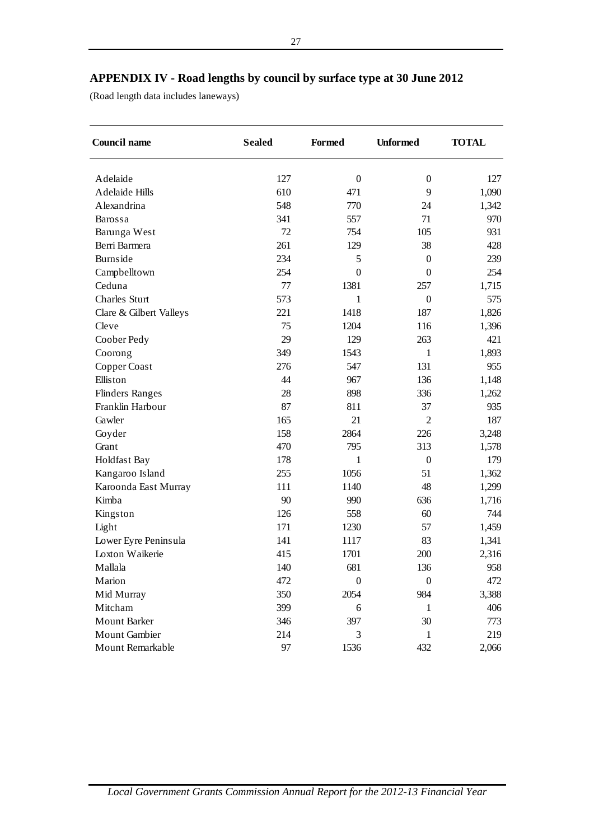## **APPENDIX IV - Road lengths by council by surface type at 30 June 2012**

(Road length data includes laneways)

| <b>Council name</b>     | <b>Sealed</b> | <b>Formed</b>    | <b>Unformed</b>  | <b>TOTAL</b> |
|-------------------------|---------------|------------------|------------------|--------------|
| Adelaide                | 127           | $\boldsymbol{0}$ | $\theta$         | 127          |
| <b>Adelaide Hills</b>   | 610           | 471              | 9                |              |
| Alexandrina             | 548           | 770              | 24               | 1,090        |
|                         |               |                  |                  | 1,342        |
| Barossa                 | 341<br>72     | 557              | 71               | 970          |
| Barunga West            |               | 754              | 105              | 931          |
| Berri Barmera           | 261           | 129              | 38               | 428          |
| Burnside                | 234           | 5                | $\boldsymbol{0}$ | 239          |
| Campbelltown            | 254           | $\boldsymbol{0}$ | $\boldsymbol{0}$ | 254          |
| Ceduna                  | 77            | 1381             | 257              | 1,715        |
| <b>Charles Sturt</b>    | 573           | 1                | $\boldsymbol{0}$ | 575          |
| Clare & Gilbert Valleys | 221           | 1418             | 187              | 1,826        |
| Cleve                   | 75            | 1204             | 116              | 1,396        |
| Coober Pedy             | 29            | 129              | 263              | 421          |
| Coorong                 | 349           | 1543             | $\mathbf{1}$     | 1,893        |
| Copper Coast            | 276           | 547              | 131              | 955          |
| Elliston                | 44            | 967              | 136              | 1,148        |
| <b>Flinders Ranges</b>  | 28            | 898              | 336              | 1,262        |
| Franklin Harbour        | 87            | 811              | 37               | 935          |
| Gawler                  | 165           | 21               | $\overline{2}$   | 187          |
| Goyder                  | 158           | 2864             | 226              | 3,248        |
| Grant                   | 470           | 795              | 313              | 1,578        |
| Holdfast Bay            | 178           | 1                | $\boldsymbol{0}$ | 179          |
| Kangaroo Island         | 255           | 1056             | 51               | 1,362        |
| Karoonda East Murray    | 111           | 1140             | 48               | 1,299        |
| Kimba                   | 90            | 990              | 636              | 1,716        |
| Kingston                | 126           | 558              | 60               | 744          |
| Light                   | 171           | 1230             | 57               | 1,459        |
| Lower Eyre Peninsula    | 141           | 1117             | 83               | 1,341        |
| Loxton Waikerie         | 415           | 1701             | 200              | 2,316        |
| Mallala                 | 140           | 681              | 136              | 958          |
| Marion                  | 472           | $\boldsymbol{0}$ | $\boldsymbol{0}$ | 472          |
| Mid Murray              | 350           | 2054             | 984              | 3,388        |
| Mitcham                 | 399           | 6                | 1                | 406          |
| <b>Mount Barker</b>     | 346           | 397              | 30               | 773          |
| Mount Gambier           | 214           | 3                | $\mathbf{1}$     | 219          |
| Mount Remarkable        | 97            | 1536             | 432              | 2,066        |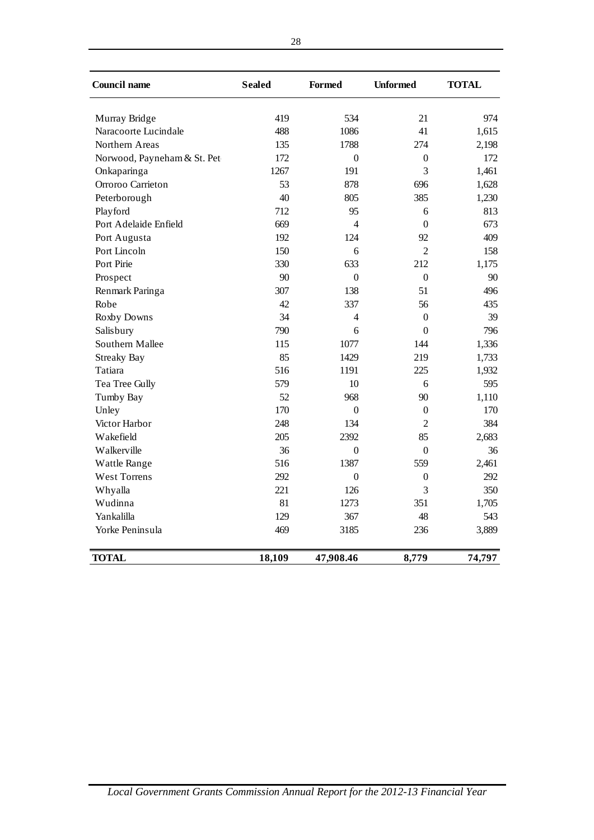| <b>Council name</b>                   | <b>Sealed</b> | <b>Formed</b> | <b>Unformed</b> | <b>TOTAL</b> |
|---------------------------------------|---------------|---------------|-----------------|--------------|
|                                       | 419           | 534           | 21              | 974          |
| Murray Bridge<br>Naracoorte Lucindale |               | 1086          | 41              | 1,615        |
|                                       | 488           |               |                 |              |
| Northern Areas                        | 135           | 1788          | 274             | 2,198        |
| Norwood, Payneham & St. Pet           | 172           | $\mathbf{0}$  | $\mathbf{0}$    | 172          |
| Onkaparinga                           | 1267          | 191           | 3               | 1,461        |
| Orroroo Carrieton                     | 53            | 878           | 696             | 1,628        |
| Peterborough                          | 40            | 805           | 385             | 1,230        |
| Playford                              | 712           | 95            | 6               | 813          |
| Port Adelaide Enfield                 | 669           | 4             | $\theta$        | 673          |
| Port Augusta                          | 192           | 124           | 92              | 409          |
| Port Lincoln                          | 150           | 6             | $\overline{2}$  | 158          |
| Port Pirie                            | 330           | 633           | 212             | 1,175        |
| Prospect                              | 90            | $\theta$      | $\Omega$        | 90           |
| Renmark Paringa                       | 307           | 138           | 51              | 496          |
| Robe                                  | 42            | 337           | 56              | 435          |
| Roxby Downs                           | 34            | 4             | $\theta$        | 39           |
| Salisbury                             | 790           | 6             | $\Omega$        | 796          |
| Southern Mallee                       | 115           | 1077          | 144             | 1,336        |
| <b>Streaky Bay</b>                    | 85            | 1429          | 219             | 1,733        |
| Tatiara                               | 516           | 1191          | 225             | 1,932        |
| Tea Tree Gully                        | 579           | 10            | 6               | 595          |
| Tumby Bay                             | 52            | 968           | 90              | 1,110        |
| Unley                                 | 170           | $\Omega$      | $\mathbf{0}$    | 170          |
| Victor Harbor                         | 248           | 134           | $\overline{2}$  | 384          |
| Wakefield                             | 205           | 2392          | 85              | 2,683        |
| Walkerville                           | 36            | $\theta$      | $\overline{0}$  | 36           |
| Wattle Range                          | 516           | 1387          | 559             | 2,461        |
| West Torrens                          | 292           | $\theta$      | $\theta$        | 292          |
| Whyalla                               | 221           | 126           | 3               | 350          |
| Wudinna                               | 81            | 1273          | 351             | 1,705        |
| Yankalilla                            | 129           | 367           | 48              | 543          |
| Yorke Peninsula                       | 469           | 3185          | 236             | 3,889        |
| <b>TOTAL</b>                          | 18,109        | 47,908.46     | 8,779           | 74,797       |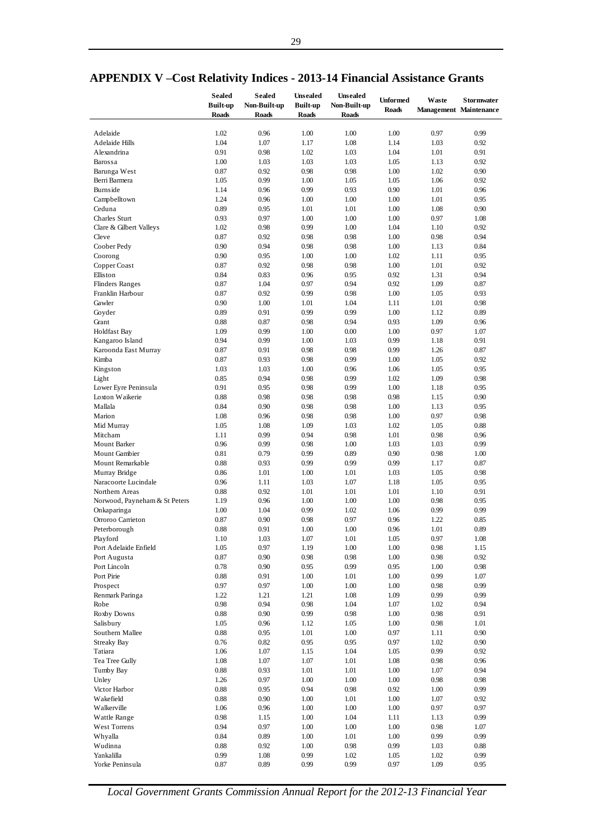|                               | <b>Sealed</b>   | <b>Sealed</b> | <b>Unsealed</b> | <b>Unsealed</b> |                 |       |                               |
|-------------------------------|-----------------|---------------|-----------------|-----------------|-----------------|-------|-------------------------------|
|                               | <b>Built-up</b> | Non-Built-up  | <b>Built-up</b> | Non-Built-up    | <b>Unformed</b> | Waste | <b>Stormwater</b>             |
|                               | <b>Roads</b>    | Roads         | <b>Roads</b>    | <b>Roads</b>    | <b>Roads</b>    |       | <b>Management Maintenance</b> |
|                               |                 |               |                 |                 |                 |       |                               |
| Adelaide                      | 1.02            | 0.96          | 1.00            | 1.00            | 1.00            | 0.97  | 0.99                          |
| Adelaide Hills                | 1.04            | 1.07          | 1.17            | 1.08            | 1.14            | 1.03  | 0.92                          |
| Alexandrina                   | 0.91            | 0.98          | 1.02            | 1.03            | 1.04            | 1.01  | 0.91                          |
| Barossa                       | 1.00            | 1.03          | 1.03            | 1.03            | 1.05            | 1.13  | 0.92                          |
| Barunga West                  | 0.87            | 0.92          | 0.98            | 0.98            | 1.00            | 1.02  | 0.90                          |
|                               |                 |               |                 |                 |                 |       |                               |
| Berri Barmera                 | 1.05            | 0.99          | 1.00            | 1.05            | 1.05            | 1.06  | 0.92                          |
| Burnside                      | 1.14            | 0.96          | 0.99            | 0.93            | 0.90            | 1.01  | 0.96                          |
| Campbelltown                  | 1.24            | 0.96          | 1.00            | 1.00            | 1.00            | 1.01  | 0.95                          |
| Ceduna                        | 0.89            | 0.95          | 1.01            | 1.01            | 1.00            | 1.08  | 0.90                          |
| Charles Sturt                 | 0.93            | 0.97          | 1.00            | 1.00            | 1.00            | 0.97  | 1.08                          |
| Clare & Gilbert Valleys       | 1.02            | 0.98          | 0.99            | 1.00            | 1.04            | 1.10  | 0.92                          |
| Cleve                         | 0.87            | 0.92          | 0.98            | 0.98            | 1.00            | 0.98  | 0.94                          |
| Coober Pedy                   | 0.90            | 0.94          | 0.98            | 0.98            | 1.00            | 1.13  | 0.84                          |
| Coorong                       | 0.90            | 0.95          | 1.00            | 1.00            | 1.02            | 1.11  | 0.95                          |
| Copper Coast                  | 0.87            | 0.92          | 0.98            | 0.98            | 1.00            | 1.01  | 0.92                          |
| Elliston                      | 0.84            |               |                 |                 | 0.92            |       |                               |
|                               |                 | 0.83          | 0.96            | 0.95            |                 | 1.31  | 0.94                          |
| <b>Flinders Ranges</b>        | 0.87            | 1.04          | 0.97            | 0.94            | 0.92            | 1.09  | 0.87                          |
| Franklin Harbour              | 0.87            | 0.92          | 0.99            | 0.98            | 1.00            | 1.05  | 0.93                          |
| Gawler                        | 0.90            | 1.00          | 1.01            | 1.04            | 1.11            | 1.01  | 0.98                          |
| Goyder                        | 0.89            | 0.91          | 0.99            | 0.99            | 1.00            | 1.12  | 0.89                          |
| Grant                         | 0.88            | 0.87          | 0.98            | 0.94            | 0.93            | 1.09  | 0.96                          |
| <b>Holdfast Bay</b>           | 1.09            | 0.99          | 1.00            | 0.00            | 1.00            | 0.97  | 1.07                          |
| Kangaroo Island               | 0.94            | 0.99          | 1.00            | 1.03            | 0.99            | 1.18  | 0.91                          |
| Karoonda East Murray          | 0.87            | 0.91          | 0.98            | 0.98            | 0.99            | 1.26  | 0.87                          |
| Kimba                         | 0.87            | 0.93          | 0.98            | 0.99            | 1.00            | 1.05  | 0.92                          |
| Kingston                      | 1.03            | 1.03          | 1.00            | 0.96            | 1.06            | 1.05  | 0.95                          |
|                               |                 |               |                 |                 | 1.02            |       |                               |
| Light                         | 0.85            | 0.94          | 0.98            | 0.99            |                 | 1.09  | 0.98                          |
| Lower Eyre Peninsula          | 0.91            | 0.95          | 0.98            | 0.99            | 1.00            | 1.18  | 0.95                          |
| Loxton Waikerie               | 0.88            | 0.98          | 0.98            | 0.98            | 0.98            | 1.15  | 0.90                          |
| Mallala                       | 0.84            | 0.90          | 0.98            | 0.98            | 1.00            | 1.13  | 0.95                          |
| Marion                        | 1.08            | 0.96          | 0.98            | 0.98            | 1.00            | 0.97  | 0.98                          |
| Mid Murray                    | 1.05            | 1.08          | 1.09            | 1.03            | 1.02            | 1.05  | 0.88                          |
| Mitcham                       | 1.11            | 0.99          | 0.94            | 0.98            | 1.01            | 0.98  | 0.96                          |
| Mount Barker                  | 0.96            | 0.99          | 0.98            | 1.00            | 1.03            | 1.03  | 0.99                          |
| Mount Gambier                 | 0.81            | 0.79          | 0.99            | 0.89            | 0.90            | 0.98  | 1.00                          |
| Mount Remarkable              | 0.88            | 0.93          | 0.99            | 0.99            | 0.99            | 1.17  | 0.87                          |
| Murray Bridge                 | 0.86            | 1.01          | 1.00            | 1.01            | 1.03            | 1.05  | 0.98                          |
| Naracoorte Lucindale          | 0.96            | 1.11          | 1.03            | 1.07            | 1.18            | 1.05  | 0.95                          |
|                               |                 |               |                 |                 |                 |       |                               |
| Northern Areas                | 0.88            | 0.92          | 1.01            | 1.01            | 1.01            | 1.10  | 0.91                          |
| Norwood, Payneham & St Peters | 1.19            | 0.96          | 1.00            | 1.00            | 1.00            | 0.98  | 0.95                          |
| Onkaparinga                   | 1.00            | 1.04          | 0.99            | 1.02            | 1.06            | 0.99  | 0.99                          |
| Orroroo Carrieton             | 0.87            | 0.90          | 0.98            | 0.97            | 0.96            | 1.22  | 0.85                          |
| Peterborough                  | 0.88            | 0.91          | 1.00            | 1.00            | 0.96            | 1.01  | 0.89                          |
| Playford                      | 1.10            | 1.03          | $1.07\,$        | 1.01            | $1.05\,$        | 0.97  | $1.08\,$                      |
| Port Adelaide Enfield         | 1.05            | 0.97          | 1.19            | 1.00            | 1.00            | 0.98  | 1.15                          |
| Port Augusta                  | 0.87            | 0.90          | 0.98            | 0.98            | 1.00            | 0.98  | 0.92                          |
| Port Lincoln                  | 0.78            | 0.90          | 0.95            | 0.99            | 0.95            | 1.00  | $0.98\,$                      |
| Port Pirie                    | 0.88            | 0.91          | 1.00            | 1.01            | 1.00            | 0.99  | 1.07                          |
| Prospect                      | 0.97            | 0.97          | 1.00            | 1.00            | 1.00            | 0.98  | 0.99                          |
|                               | 1.22            | 1.21          | 1.21            |                 | 1.09            | 0.99  | 0.99                          |
| Renmark Paringa               |                 |               |                 | 1.08            |                 |       |                               |
| Robe                          | 0.98            | 0.94          | 0.98            | 1.04            | 1.07            | 1.02  | 0.94                          |
| Roxby Downs                   | 0.88            | 0.90          | 0.99            | 0.98            | 1.00            | 0.98  | 0.91                          |
| Salisbury                     | 1.05            | 0.96          | 1.12            | 1.05            | 1.00            | 0.98  | 1.01                          |
| Southern Mallee               | 0.88            | 0.95          | 1.01            | 1.00            | 0.97            | 1.11  | 0.90                          |
| Streaky Bay                   | 0.76            | 0.82          | 0.95            | 0.95            | 0.97            | 1.02  | 0.90                          |
| Tatiara                       | 1.06            | 1.07          | 1.15            | 1.04            | 1.05            | 0.99  | 0.92                          |
| Tea Tree Gully                | 1.08            | 1.07          | 1.07            | 1.01            | 1.08            | 0.98  | 0.96                          |
| Tumby Bay                     | 0.88            | 0.93          | 1.01            | 1.01            | 1.00            | 1.07  | 0.94                          |
| Unley                         | 1.26            | 0.97          | 1.00            | 1.00            | 1.00            | 0.98  | 0.98                          |
| Victor Harbor                 | 0.88            | 0.95          | 0.94            | 0.98            | 0.92            | 1.00  | 0.99                          |
|                               | 0.88            | 0.90          |                 |                 |                 |       |                               |
| Wakefield                     |                 |               | 1.00            | 1.01            | 1.00            | 1.07  | 0.92                          |
| Walkerville                   | 1.06            | 0.96          | 1.00            | 1.00            | 1.00            | 0.97  | 0.97                          |
| Wattle Range                  | 0.98            | 1.15          | 1.00            | 1.04            | 1.11            | 1.13  | 0.99                          |
| West Torrens                  | 0.94            | 0.97          | 1.00            | 1.00            | 1.00            | 0.98  | 1.07                          |
| Whyalla                       | 0.84            | 0.89          | 1.00            | 1.01            | 1.00            | 0.99  | 0.99                          |
| Wudinna                       | 0.88            | 0.92          | 1.00            | 0.98            | 0.99            | 1.03  | 0.88                          |
| Yankalilla                    | 0.99            | 1.08          | 0.99            | 1.02            | 1.05            | 1.02  | 0.99                          |
| Yorke Peninsula               | 0.87            | 0.89          | 0.99            | 0.99            | 0.97            | 1.09  | 0.95                          |

## **APPENDIX V –Cost Relativity Indices - 2013-14 Financial Assistance Grants**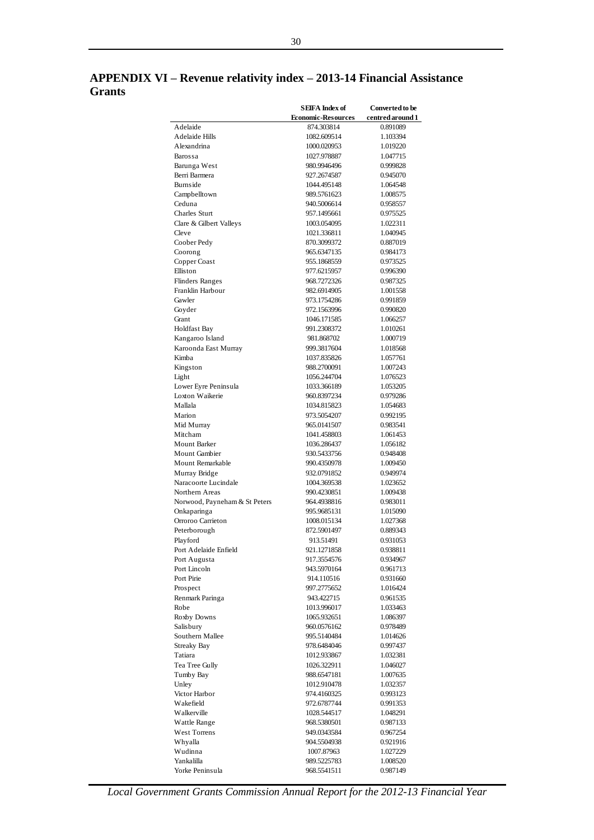## **APPENDIX VI – Revenue relativity index – 2013-14 Financial Assistance Grants**

|                                   | <b>SEIFA</b> Index of      | Converted to be      |
|-----------------------------------|----------------------------|----------------------|
|                                   | <b>Economic-Resources</b>  | centred around 1     |
| Adelaide                          | 874.303814                 | 0.891089             |
| Adelaide Hills                    | 1082.609514                | 1.103394             |
| Alexandrina                       | 1000.020953                | 1.019220             |
| Barossa                           | 1027.978887<br>980.9946496 | 1.047715<br>0.999828 |
| Barunga West<br>Berri Barmera     | 927.2674587                | 0.945070             |
| Burnside                          | 1044.495148                | 1.064548             |
| Campbelltown                      | 989.5761623                | 1.008575             |
| Ceduna                            | 940.5006614                | 0.958557             |
| Charles Sturt                     | 957.1495661                | 0.975525             |
| Clare & Gilbert Valleys           | 1003.054095                | 1.022311             |
| Cleve                             | 1021.336811                | 1.040945             |
| Coober Pedy                       | 870.3099372                | 0.887019             |
| Coorong                           | 965.6347135                | 0.984173             |
| Copper Coast                      | 955.1868559                | 0.973525             |
| Elliston                          | 977.6215957                | 0.996390             |
| <b>Flinders Ranges</b>            | 968.7272326                | 0.987325             |
| Franklin Harbour                  | 982.6914905                | 1.001558             |
| Gawler                            | 973.1754286                | 0.991859             |
| Goyder<br>Grant                   | 972.1563996<br>1046.171585 | 0.990820<br>1.066257 |
| Holdfast Bay                      | 991.2308372                | 1.010261             |
| Kangaroo Island                   | 981.868702                 | 1.000719             |
| Karoonda East Murray              | 999.3817604                | 1.018568             |
| Kimba                             | 1037.835826                | 1.057761             |
| Kingston                          | 988.2700091                | 1.007243             |
| Light                             | 1056.244704                | 1.076523             |
| Lower Eyre Peninsula              | 1033.366189                | 1.053205             |
| Loxton Waikerie                   | 960.8397234                | 0.979286             |
| Mallala                           | 1034.815823                | 1.054683             |
| Marion                            | 973.5054207                | 0.992195             |
| Mid Murray                        | 965.0141507                | 0.983541             |
| Mitcham                           | 1041.458803                | 1.061453             |
| <b>Mount Barker</b>               | 1036.286437                | 1.056182             |
| Mount Gambier                     | 930.5433756                | 0.948408             |
| Mount Remarkable<br>Murray Bridge | 990.4350978<br>932.0791852 | 1.009450<br>0.949974 |
| Naracoorte Lucindale              | 1004.369538                | 1.023652             |
| Northern Areas                    | 990.4230851                | 1.009438             |
| Norwood, Payneham & St Peters     | 964.4938816                | 0.983011             |
| Onkaparinga                       | 995.9685131                | 1.015090             |
| Orroroo Carrieton                 | 1008.015134                | 1.027368             |
| Peterborough                      | 872.5901497                | 0.889343             |
| Playford                          | 913.51491                  | 0.931053             |
| Port Adelaide Enfield             | 921.1271858                | 0.938811             |
| Port Augusta                      | 917.3554576                | 0.934967             |
| Port Lincoln                      | 943.5970164                | 0.961713             |
| Port Pirie                        | 914.110516                 | 0.931660             |
| Prospect                          | 997.2775652                | 1.016424             |
| Renmark Paringa                   | 943.422715                 | 0.961535             |
| Robe<br>Roxby Downs               | 1013.996017<br>1065.932651 | 1.033463<br>1.086397 |
| Salis bury                        | 960.0576162                | 0.978489             |
| Southern Mallee                   | 995.5140484                | 1.014626             |
| <b>Streaky Bay</b>                | 978.6484046                | 0.997437             |
| Tatiara                           | 1012.933867                | 1.032381             |
| Tea Tree Gully                    | 1026.322911                | 1.046027             |
| Tumby Bay                         | 988.6547181                | 1.007635             |
| Unley                             | 1012.910478                | 1.032357             |
| Victor Harbor                     | 974.4160325                | 0.993123             |
| Wakefield                         | 972.6787744                | 0.991353             |
| Walkerville                       | 1028.544517                | 1.048291             |
| Wattle Range                      | 968.5380501                | 0.987133             |
| West Torrens                      | 949.0343584                | 0.967254             |
| Whyalla                           | 904.5504938                | 0.921916             |
| Wudinna<br>Yankalilla             | 1007.87963<br>989.5225783  | 1.027229<br>1.008520 |
| Yorke Peninsula                   | 968.5541511                | 0.987149             |
|                                   |                            |                      |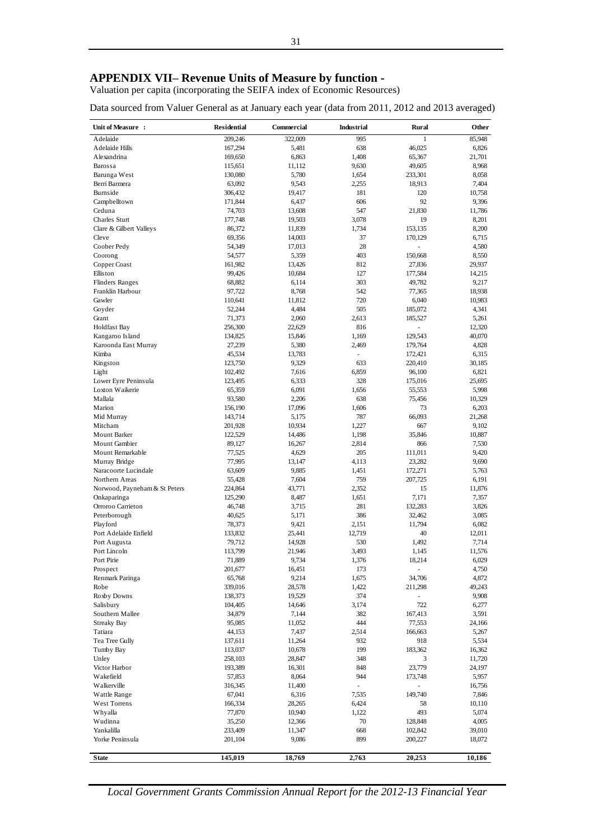## **APPENDIX VII– Revenue Units of Measure by function -**

Valuation per capita (incorporating the SEIFA index of Economic Resources)

Data sourced from Valuer General as at January each year (data from 2011, 2012 and 2013 averaged)

| Unit of Measure :                        | <b>Residential</b> | Commercial       | <b>Industrial</b> | Rural                               | Other           |
|------------------------------------------|--------------------|------------------|-------------------|-------------------------------------|-----------------|
| Adelaide                                 | 209,246            | 322,009          | 995               | 1                                   | 85,948          |
| Adelaide Hills                           | 167,294            | 5,481            | 638               | 46,025                              | 6,826           |
| Alexandrina                              | 169,650            | 6,863            | 1,408             | 65,367                              | 21,701          |
| Barossa                                  | 115,651            | 11,112           | 9,630             | 49,605                              | 8,968           |
| Barunga West                             | 130,080            | 5,780            | 1,654             | 233,301                             | 8,058           |
| Berri Barmera                            | 63,092             | 9,543            | 2,255             | 18,913                              | 7,404           |
| Burnside                                 | 306,432            | 19,417           | 181               | 120                                 | 10,758          |
| Campbelltown                             | 171,844            | 6,437            | 606               | 92                                  | 9,396           |
| Ceduna                                   | 74,703             | 13,608           | 547               | 21,830                              | 11,786          |
| Charles Sturt<br>Clare & Gilbert Valleys | 177,748<br>86,372  | 19,503<br>11,839 | 3,078<br>1,734    | 19<br>153,135                       | 8,201<br>8,200  |
| Cleve                                    | 69,356             | 14,003           | 37                | 170,129                             | 6,715           |
| Coober Pedy                              | 54,349             | 17,013           | 28                |                                     | 4,580           |
| Coorong                                  | 54,577             | 5,359            | 403               | 150,668                             | 8,550           |
| Copper Coast                             | 161,982            | 13,426           | 812               | 27,836                              | 29,937          |
| Elliston                                 | 99,426             | 10,684           | 127               | 177,584                             | 14,215          |
| <b>Flinders Ranges</b>                   | 68,882             | 6,114            | 303               | 49,782                              | 9,217           |
| Franklin Harbour                         | 97,722             | 8,768            | 542               | 77,365                              | 18,938          |
| Gawler                                   | 110,641            | 11,812           | 720               | 6,040                               | 10,983          |
| Goyder                                   | 52,244             | 4,484            | 505               | 185,072                             | 4,341           |
| Grant                                    | 71,373             | 2,060            | 2,613             | 185,527                             | 5,261           |
| <b>Holdfast Bay</b>                      | 256,300            | 22,629           | 816               | L,                                  | 12,320          |
| Kangaroo Island                          | 134,825            | 15,846           | 1,169             | 129,543                             | 40,070          |
| Karoonda East Murray                     | 27,239             | 5,380            | 2,469             | 179,764                             | 4,828           |
| Kimba                                    | 45,534             | 13,783           | ÷.                | 172,421                             | 6,315           |
| Kingston                                 | 123,750            | 9,329            | 633               | 220,410                             | 30,185          |
| Light                                    | 102,492            | 7,616            | 6,859             | 96,100                              | 6,821           |
| Lower Eyre Peninsula                     | 123,495            | 6,333            | 328               | 175,016                             | 25,695          |
| Loxton Waikerie                          | 65,359             | 6,091            | 1,656             | 55,553                              | 5,998           |
| Mallala<br>Marion                        | 93,580             | 2,206            | 638               | 75,456<br>73                        | 10,329          |
| Mid Murray                               | 156,190<br>143,714 | 17,096<br>5,175  | 1,606<br>787      | 66,093                              | 6,203<br>21,268 |
| Mitcham                                  | 201,928            | 10,934           | 1,227             | 667                                 | 9,102           |
| <b>Mount Barker</b>                      | 122,529            | 14,486           | 1,198             | 35,846                              | 10,887          |
| Mount Gambier                            | 89,127             | 16,267           | 2,814             | 866                                 | 7,530           |
| Mount Remarkable                         | 77,525             | 4,629            | 205               | 111,011                             | 9,420           |
| Murray Bridge                            | 77,995             | 13,147           | 4,113             | 23,282                              | 9,690           |
| Naracoorte Lucindale                     | 63,609             | 9,885            | 1,451             | 172,271                             | 5,763           |
| Northern Areas                           | 55,428             | 7,604            | 759               | 207,725                             | 6,191           |
| Norwood, Payneham & St Peters            | 224,864            | 43,771           | 2,352             | 15                                  | 11,876          |
| Onkaparinga                              | 125,290            | 8,487            | 1,651             | 7,171                               | 7,357           |
| Orroroo Carrieton                        | 46,748             | 3,715            | 281               | 132,283                             | 3,826           |
| Peterborough                             | 40,625             | 5,171            | 386               | 32,462                              | 3,085           |
| Playford                                 | 78,373             | 9,421            | 2,151             | 11,794                              | 6,082           |
| Port Adelaide Enfield                    | 133,832            | 25,441           | 12,719            | 40                                  | 12,011          |
| Port Augusta                             | 79,712             | 14,928           | 530               | 1,492                               | 7,714           |
| Port Lincoln                             | 113,799            | 21,946           | 3,493             | 1,145                               | 11,576          |
| Port Pirie                               | 71,889             | 9,734            | 1,376             | 18,214                              | 6,029           |
| Prospect                                 | 201,677            | 16,451           | 173               |                                     | 4,750           |
| Renmark Paringa<br>Robe                  | 65,768<br>339,016  | 9,214<br>28,578  | 1,675<br>1,422    | 34,706                              | 4,872<br>49,243 |
| Roxby Downs                              | 138,373            | 19,529           | 374               | 211,298<br>$\overline{\phantom{a}}$ | 9,908           |
| Salisbury                                | 104,405            | 14,646           | 3,174             | 722                                 | 6,277           |
| Southern Mallee                          | 34,879             | 7,144            | 382               | 167,413                             | 3,591           |
| <b>Streaky Bay</b>                       | 95,085             | 11,052           | 444               | 77,553                              | 24,166          |
| Tatiara                                  | 44,153             | 7,437            | 2,514             | 166,663                             | 5,267           |
| Tea Tree Gully                           | 137,611            | 11,264           | 932               | 918                                 | 5,534           |
| Tumby Bay                                | 113,037            | 10,678           | 199               | 183,362                             | 16,362          |
| Unley                                    | 258,103            | 28,847           | 348               | 3                                   | 11,720          |
| Victor Harbor                            | 193,389            | 16,301           | 848               | 23,779                              | 24,197          |
| Wakefield                                | 57,853             | 8,064            | 944               | 173,748                             | 5,957           |
| Walkerville                              | 316,345            | 11,400           |                   |                                     | 16,756          |
| Wattle Range                             | 67,041             | 6,316            | 7,535             | 149,740                             | 7,846           |
| West Torrens                             | 166,334            | 28,265           | 6,424             | 58                                  | 10,110          |
| Whyalla                                  | 77,870             | 10,940           | 1,122             | 493                                 | 5,074           |
| Wudinna                                  | 35,250             | 12,366           | 70                | 128,848                             | 4,005           |
| Yankalilla                               | 233,409            | 11,347           | 668               | 102,842                             | 39,010          |
| Yorke Peninsula                          | 201,104            | 9,086            | 899               | 200,227                             | 18,072          |
| <b>State</b>                             | 145,019            | 18,769           | 2,763             | 20,253                              | 10,186          |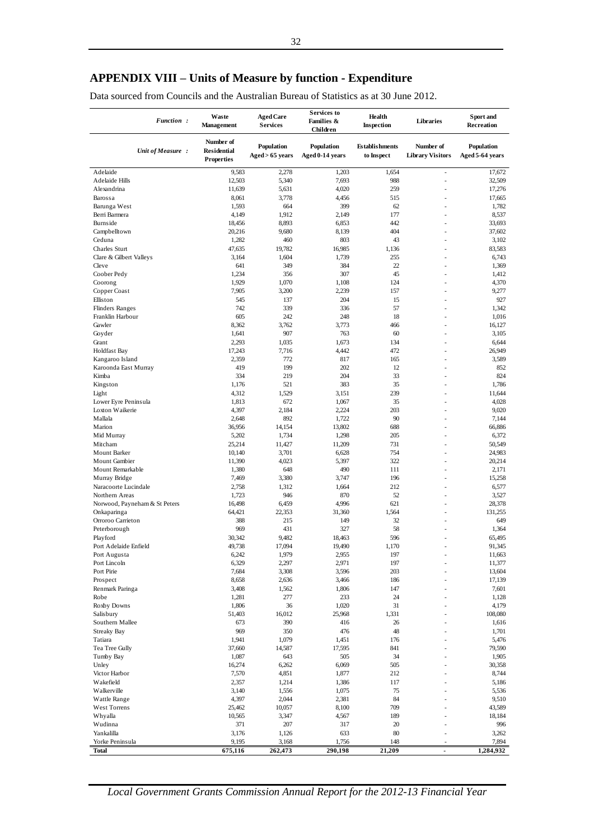## **APPENDIX VIII – Units of Measure by function - Expenditure**

Data sourced from Councils and the Australian Bureau of Statistics as at 30 June 2012.

| Number of<br>Population<br><b>Establishments</b><br>Number of<br>Population<br>Population<br><b>Residential</b><br>Unit of Measure :<br>Aged > 65 years<br>Aged 0-14 years<br>to Inspect<br><b>Library Visitors</b><br>Aged 5 64 years<br><b>Properties</b><br>Adelaide<br>9,583<br>2,278<br>1,203<br>1,654<br>17,672<br>÷,<br>7,693<br>988<br>32,509<br>Adelaide Hills<br>12,503<br>5,340<br>ä,<br>4,020<br>259<br>17,276<br>Alexandrina<br>11,639<br>5,631<br>Barossa<br>8,061<br>3,778<br>4,456<br>515<br>17,665<br>٠<br>Barunga West<br>1,593<br>664<br>399<br>62<br>1,782<br>177<br>8,537<br>Berri Barmera<br>4,149<br>1,912<br>2,149<br>8,893<br>442<br>33,693<br>Burnside<br>18,456<br>6,853<br>×<br>404<br>37,602<br>Campbelltown<br>20,216<br>9,680<br>8,139<br>803<br>43<br>Ceduna<br>1,282<br>460<br>3,102<br>19,782<br>16,985<br>83,583<br>Charles Sturt<br>47,635<br>1,136<br>J.<br>255<br>6,743<br>Clare & Gilbert Valleys<br>3,164<br>1,604<br>1,739<br>ä,<br>22<br>Cleve<br>641<br>349<br>384<br>1,369<br>1,234<br>356<br>307<br>45<br>Coober Pedy<br>1,412<br>٠<br>1,929<br>1,070<br>124<br>4,370<br>Coorong<br>1,108<br>×,<br>Copper Coast<br>7,905<br>3,200<br>2,239<br>157<br>9,277<br>204<br>15<br>927<br>Elliston<br>545<br>137<br>٠<br>742<br>339<br>336<br>57<br><b>Flinders Ranges</b><br>1,342<br>605<br>18<br>1,016<br>Franklin Harbour<br>242<br>248<br>3,762<br>3,773<br>466<br>Gawler<br>8,362<br>16,127<br>٠<br>907<br>763<br>60<br>3,105<br>Goyder<br>1,641<br>ä,<br>1,673<br>Grant<br>2,293<br>1,035<br>134<br>6,644<br>L,<br>472<br>26,949<br><b>Holdfast Bay</b><br>17,243<br>7,716<br>4,442<br>Kangaroo Island<br>2,359<br>772<br>817<br>165<br>3,589<br>٠<br>Karoonda East Murray<br>419<br>199<br>202<br>12<br>852<br>334<br>219<br>204<br>33<br>824<br>Kimba<br>1,176<br>521<br>383<br>35<br>1,786<br>Kingston<br>٠<br>239<br>Light<br>4,312<br>1,529<br>3,151<br>11,644<br>35<br>Lower Eyre Peninsula<br>1,813<br>672<br>1,067<br>4,028<br>Loxton Waikerie<br>4,397<br>2,184<br>2,224<br>203<br>9,020<br>J.<br>892<br>90<br>Mallala<br>2,648<br>1,722<br>7,144<br>688<br>66,886<br>Marion<br>36,956<br>14,154<br>13,802<br>5,202<br>1,298<br>205<br>6,372<br>Mid Murray<br>1,734<br>٠<br>25,214<br>731<br>50,549<br>Mitcham<br>11,427<br>11,209<br>×,<br>754<br>24,983<br>Mount Barker<br>10,140<br>3,701<br>6,628<br>5,397<br>322<br>20,214<br>Mount Gambier<br>11,390<br>4,023<br>÷.<br>648<br>490<br>2,171<br>Mount Remarkable<br>1,380<br>111<br>٠<br>196<br>15,258<br>7,469<br>3,380<br>3,747<br>Murray Bridge<br>212<br>6,577<br>Naracoorte Lucindale<br>2,758<br>1,312<br>1,664<br>×<br>946<br>870<br>52<br>3,527<br>Northern Areas<br>1,723<br>٠<br>4,996<br>621<br>28,378<br>Norwood, Payneham & St Peters<br>16,498<br>6,459<br>ä,<br>64,421<br>1,564<br>131,255<br>22,353<br>31,360<br>Onkaparinga<br>÷.<br>215<br>149<br>32<br>649<br>Orroroo Carrieton<br>388<br>ä,<br>58<br>Peterborough<br>969<br>431<br>327<br>1,364<br>596<br>65,495<br>30,342<br>9,482<br>18,463<br>Playford<br>49,738<br>1,170<br>91,345<br>Port Adelaide Enfield<br>17,094<br>19,490<br>$\overline{\phantom{a}}$<br>6,242<br>1,979<br>2,955<br>197<br>11,663<br>Port Augusta<br>6,329<br>2,297<br>2,971<br>197<br>11,377<br>Port Lincoln<br>Port Pirie<br>7,684<br>3,308<br>3,596<br>203<br>13,604<br>Prospect<br>8,658<br>186<br>17,139<br>2,636<br>3,466<br>Renmark Paringa<br>3,408<br>1,562<br>1,806<br>147<br>7,601<br>24<br>1,281<br>277<br>233<br>1,128<br>Robe<br>Roxby Downs<br>36<br>31<br>4,179<br>1,806<br>1,020<br>Salisbury<br>51,403<br>16,012<br>25,968<br>1,331<br>108,080<br>Southern Mallee<br>673<br>390<br>416<br>26<br>1,616<br>969<br>350<br>476<br>48<br><b>Streaky Bay</b><br>1,701<br>Tatiara<br>1,941<br>1,079<br>1,451<br>176<br>5,476<br>Tea Tree Gully<br>37,660<br>14,587<br>17,595<br>841<br>79,590<br>Tumby Bay<br>1,087<br>643<br>505<br>34<br>1,905<br>16,274<br>505<br>30,358<br>Unley<br>6,262<br>6,069<br>Victor Harbor<br>7,570<br>4,851<br>1,877<br>212<br>8,744<br>Wakefield<br>2,357<br>117<br>5,186<br>1,214<br>1,386<br>Walkerville<br>75<br>5,536<br>3,140<br>1,556<br>1,075<br>Wattle Range<br>4,397<br>2,044<br>2,381<br>84<br>9,510<br>West Torrens<br>25,462<br>10,057<br>8,100<br>709<br>43,589<br>Whyalla<br>10,565<br>3,347<br>189<br>18,184<br>4,567<br>Wudinna<br>371<br>207<br>317<br>20<br>996<br>Yankalilla<br>3,176<br>633<br>80<br>3,262<br>1,126<br>Yorke Peninsula<br>9,195<br>148<br>7,894<br>3,168<br>1,756<br>290,198<br>Total<br>675,116<br>262,473<br>21,209<br>1,284,932 | <b>Function:</b> | Waste<br><b>Management</b> | <b>Aged Care</b><br><b>Services</b> | <b>Services</b> to<br>Families &<br>Children | Health<br><b>Inspection</b> | Libraries | Sport and<br>Recreation |
|-------------------------------------------------------------------------------------------------------------------------------------------------------------------------------------------------------------------------------------------------------------------------------------------------------------------------------------------------------------------------------------------------------------------------------------------------------------------------------------------------------------------------------------------------------------------------------------------------------------------------------------------------------------------------------------------------------------------------------------------------------------------------------------------------------------------------------------------------------------------------------------------------------------------------------------------------------------------------------------------------------------------------------------------------------------------------------------------------------------------------------------------------------------------------------------------------------------------------------------------------------------------------------------------------------------------------------------------------------------------------------------------------------------------------------------------------------------------------------------------------------------------------------------------------------------------------------------------------------------------------------------------------------------------------------------------------------------------------------------------------------------------------------------------------------------------------------------------------------------------------------------------------------------------------------------------------------------------------------------------------------------------------------------------------------------------------------------------------------------------------------------------------------------------------------------------------------------------------------------------------------------------------------------------------------------------------------------------------------------------------------------------------------------------------------------------------------------------------------------------------------------------------------------------------------------------------------------------------------------------------------------------------------------------------------------------------------------------------------------------------------------------------------------------------------------------------------------------------------------------------------------------------------------------------------------------------------------------------------------------------------------------------------------------------------------------------------------------------------------------------------------------------------------------------------------------------------------------------------------------------------------------------------------------------------------------------------------------------------------------------------------------------------------------------------------------------------------------------------------------------------------------------------------------------------------------------------------------------------------------------------------------------------------------------------------------------------------------------------------------------------------------------------------------------------------------------------------------------------------------------------------------------------------------------------------------------------------------------------------------------------------------------------------------------------------------------------------------------------------------------------------------------------------------------------------------------------------------------------------------------------------------------------------------------------------------------------------------------------------------------------------------------------------------------------------------------------------------------------------------------------------------------------------------------------------------------|------------------|----------------------------|-------------------------------------|----------------------------------------------|-----------------------------|-----------|-------------------------|
|                                                                                                                                                                                                                                                                                                                                                                                                                                                                                                                                                                                                                                                                                                                                                                                                                                                                                                                                                                                                                                                                                                                                                                                                                                                                                                                                                                                                                                                                                                                                                                                                                                                                                                                                                                                                                                                                                                                                                                                                                                                                                                                                                                                                                                                                                                                                                                                                                                                                                                                                                                                                                                                                                                                                                                                                                                                                                                                                                                                                                                                                                                                                                                                                                                                                                                                                                                                                                                                                                                                                                                                                                                                                                                                                                                                                                                                                                                                                                                                                                                                                                                                                                                                                                                                                                                                                                                                                                                                                                                                                                                         |                  |                            |                                     |                                              |                             |           |                         |
|                                                                                                                                                                                                                                                                                                                                                                                                                                                                                                                                                                                                                                                                                                                                                                                                                                                                                                                                                                                                                                                                                                                                                                                                                                                                                                                                                                                                                                                                                                                                                                                                                                                                                                                                                                                                                                                                                                                                                                                                                                                                                                                                                                                                                                                                                                                                                                                                                                                                                                                                                                                                                                                                                                                                                                                                                                                                                                                                                                                                                                                                                                                                                                                                                                                                                                                                                                                                                                                                                                                                                                                                                                                                                                                                                                                                                                                                                                                                                                                                                                                                                                                                                                                                                                                                                                                                                                                                                                                                                                                                                                         |                  |                            |                                     |                                              |                             |           |                         |
|                                                                                                                                                                                                                                                                                                                                                                                                                                                                                                                                                                                                                                                                                                                                                                                                                                                                                                                                                                                                                                                                                                                                                                                                                                                                                                                                                                                                                                                                                                                                                                                                                                                                                                                                                                                                                                                                                                                                                                                                                                                                                                                                                                                                                                                                                                                                                                                                                                                                                                                                                                                                                                                                                                                                                                                                                                                                                                                                                                                                                                                                                                                                                                                                                                                                                                                                                                                                                                                                                                                                                                                                                                                                                                                                                                                                                                                                                                                                                                                                                                                                                                                                                                                                                                                                                                                                                                                                                                                                                                                                                                         |                  |                            |                                     |                                              |                             |           |                         |
|                                                                                                                                                                                                                                                                                                                                                                                                                                                                                                                                                                                                                                                                                                                                                                                                                                                                                                                                                                                                                                                                                                                                                                                                                                                                                                                                                                                                                                                                                                                                                                                                                                                                                                                                                                                                                                                                                                                                                                                                                                                                                                                                                                                                                                                                                                                                                                                                                                                                                                                                                                                                                                                                                                                                                                                                                                                                                                                                                                                                                                                                                                                                                                                                                                                                                                                                                                                                                                                                                                                                                                                                                                                                                                                                                                                                                                                                                                                                                                                                                                                                                                                                                                                                                                                                                                                                                                                                                                                                                                                                                                         |                  |                            |                                     |                                              |                             |           |                         |
|                                                                                                                                                                                                                                                                                                                                                                                                                                                                                                                                                                                                                                                                                                                                                                                                                                                                                                                                                                                                                                                                                                                                                                                                                                                                                                                                                                                                                                                                                                                                                                                                                                                                                                                                                                                                                                                                                                                                                                                                                                                                                                                                                                                                                                                                                                                                                                                                                                                                                                                                                                                                                                                                                                                                                                                                                                                                                                                                                                                                                                                                                                                                                                                                                                                                                                                                                                                                                                                                                                                                                                                                                                                                                                                                                                                                                                                                                                                                                                                                                                                                                                                                                                                                                                                                                                                                                                                                                                                                                                                                                                         |                  |                            |                                     |                                              |                             |           |                         |
|                                                                                                                                                                                                                                                                                                                                                                                                                                                                                                                                                                                                                                                                                                                                                                                                                                                                                                                                                                                                                                                                                                                                                                                                                                                                                                                                                                                                                                                                                                                                                                                                                                                                                                                                                                                                                                                                                                                                                                                                                                                                                                                                                                                                                                                                                                                                                                                                                                                                                                                                                                                                                                                                                                                                                                                                                                                                                                                                                                                                                                                                                                                                                                                                                                                                                                                                                                                                                                                                                                                                                                                                                                                                                                                                                                                                                                                                                                                                                                                                                                                                                                                                                                                                                                                                                                                                                                                                                                                                                                                                                                         |                  |                            |                                     |                                              |                             |           |                         |
|                                                                                                                                                                                                                                                                                                                                                                                                                                                                                                                                                                                                                                                                                                                                                                                                                                                                                                                                                                                                                                                                                                                                                                                                                                                                                                                                                                                                                                                                                                                                                                                                                                                                                                                                                                                                                                                                                                                                                                                                                                                                                                                                                                                                                                                                                                                                                                                                                                                                                                                                                                                                                                                                                                                                                                                                                                                                                                                                                                                                                                                                                                                                                                                                                                                                                                                                                                                                                                                                                                                                                                                                                                                                                                                                                                                                                                                                                                                                                                                                                                                                                                                                                                                                                                                                                                                                                                                                                                                                                                                                                                         |                  |                            |                                     |                                              |                             |           |                         |
|                                                                                                                                                                                                                                                                                                                                                                                                                                                                                                                                                                                                                                                                                                                                                                                                                                                                                                                                                                                                                                                                                                                                                                                                                                                                                                                                                                                                                                                                                                                                                                                                                                                                                                                                                                                                                                                                                                                                                                                                                                                                                                                                                                                                                                                                                                                                                                                                                                                                                                                                                                                                                                                                                                                                                                                                                                                                                                                                                                                                                                                                                                                                                                                                                                                                                                                                                                                                                                                                                                                                                                                                                                                                                                                                                                                                                                                                                                                                                                                                                                                                                                                                                                                                                                                                                                                                                                                                                                                                                                                                                                         |                  |                            |                                     |                                              |                             |           |                         |
|                                                                                                                                                                                                                                                                                                                                                                                                                                                                                                                                                                                                                                                                                                                                                                                                                                                                                                                                                                                                                                                                                                                                                                                                                                                                                                                                                                                                                                                                                                                                                                                                                                                                                                                                                                                                                                                                                                                                                                                                                                                                                                                                                                                                                                                                                                                                                                                                                                                                                                                                                                                                                                                                                                                                                                                                                                                                                                                                                                                                                                                                                                                                                                                                                                                                                                                                                                                                                                                                                                                                                                                                                                                                                                                                                                                                                                                                                                                                                                                                                                                                                                                                                                                                                                                                                                                                                                                                                                                                                                                                                                         |                  |                            |                                     |                                              |                             |           |                         |
|                                                                                                                                                                                                                                                                                                                                                                                                                                                                                                                                                                                                                                                                                                                                                                                                                                                                                                                                                                                                                                                                                                                                                                                                                                                                                                                                                                                                                                                                                                                                                                                                                                                                                                                                                                                                                                                                                                                                                                                                                                                                                                                                                                                                                                                                                                                                                                                                                                                                                                                                                                                                                                                                                                                                                                                                                                                                                                                                                                                                                                                                                                                                                                                                                                                                                                                                                                                                                                                                                                                                                                                                                                                                                                                                                                                                                                                                                                                                                                                                                                                                                                                                                                                                                                                                                                                                                                                                                                                                                                                                                                         |                  |                            |                                     |                                              |                             |           |                         |
|                                                                                                                                                                                                                                                                                                                                                                                                                                                                                                                                                                                                                                                                                                                                                                                                                                                                                                                                                                                                                                                                                                                                                                                                                                                                                                                                                                                                                                                                                                                                                                                                                                                                                                                                                                                                                                                                                                                                                                                                                                                                                                                                                                                                                                                                                                                                                                                                                                                                                                                                                                                                                                                                                                                                                                                                                                                                                                                                                                                                                                                                                                                                                                                                                                                                                                                                                                                                                                                                                                                                                                                                                                                                                                                                                                                                                                                                                                                                                                                                                                                                                                                                                                                                                                                                                                                                                                                                                                                                                                                                                                         |                  |                            |                                     |                                              |                             |           |                         |
|                                                                                                                                                                                                                                                                                                                                                                                                                                                                                                                                                                                                                                                                                                                                                                                                                                                                                                                                                                                                                                                                                                                                                                                                                                                                                                                                                                                                                                                                                                                                                                                                                                                                                                                                                                                                                                                                                                                                                                                                                                                                                                                                                                                                                                                                                                                                                                                                                                                                                                                                                                                                                                                                                                                                                                                                                                                                                                                                                                                                                                                                                                                                                                                                                                                                                                                                                                                                                                                                                                                                                                                                                                                                                                                                                                                                                                                                                                                                                                                                                                                                                                                                                                                                                                                                                                                                                                                                                                                                                                                                                                         |                  |                            |                                     |                                              |                             |           |                         |
|                                                                                                                                                                                                                                                                                                                                                                                                                                                                                                                                                                                                                                                                                                                                                                                                                                                                                                                                                                                                                                                                                                                                                                                                                                                                                                                                                                                                                                                                                                                                                                                                                                                                                                                                                                                                                                                                                                                                                                                                                                                                                                                                                                                                                                                                                                                                                                                                                                                                                                                                                                                                                                                                                                                                                                                                                                                                                                                                                                                                                                                                                                                                                                                                                                                                                                                                                                                                                                                                                                                                                                                                                                                                                                                                                                                                                                                                                                                                                                                                                                                                                                                                                                                                                                                                                                                                                                                                                                                                                                                                                                         |                  |                            |                                     |                                              |                             |           |                         |
|                                                                                                                                                                                                                                                                                                                                                                                                                                                                                                                                                                                                                                                                                                                                                                                                                                                                                                                                                                                                                                                                                                                                                                                                                                                                                                                                                                                                                                                                                                                                                                                                                                                                                                                                                                                                                                                                                                                                                                                                                                                                                                                                                                                                                                                                                                                                                                                                                                                                                                                                                                                                                                                                                                                                                                                                                                                                                                                                                                                                                                                                                                                                                                                                                                                                                                                                                                                                                                                                                                                                                                                                                                                                                                                                                                                                                                                                                                                                                                                                                                                                                                                                                                                                                                                                                                                                                                                                                                                                                                                                                                         |                  |                            |                                     |                                              |                             |           |                         |
|                                                                                                                                                                                                                                                                                                                                                                                                                                                                                                                                                                                                                                                                                                                                                                                                                                                                                                                                                                                                                                                                                                                                                                                                                                                                                                                                                                                                                                                                                                                                                                                                                                                                                                                                                                                                                                                                                                                                                                                                                                                                                                                                                                                                                                                                                                                                                                                                                                                                                                                                                                                                                                                                                                                                                                                                                                                                                                                                                                                                                                                                                                                                                                                                                                                                                                                                                                                                                                                                                                                                                                                                                                                                                                                                                                                                                                                                                                                                                                                                                                                                                                                                                                                                                                                                                                                                                                                                                                                                                                                                                                         |                  |                            |                                     |                                              |                             |           |                         |
|                                                                                                                                                                                                                                                                                                                                                                                                                                                                                                                                                                                                                                                                                                                                                                                                                                                                                                                                                                                                                                                                                                                                                                                                                                                                                                                                                                                                                                                                                                                                                                                                                                                                                                                                                                                                                                                                                                                                                                                                                                                                                                                                                                                                                                                                                                                                                                                                                                                                                                                                                                                                                                                                                                                                                                                                                                                                                                                                                                                                                                                                                                                                                                                                                                                                                                                                                                                                                                                                                                                                                                                                                                                                                                                                                                                                                                                                                                                                                                                                                                                                                                                                                                                                                                                                                                                                                                                                                                                                                                                                                                         |                  |                            |                                     |                                              |                             |           |                         |
|                                                                                                                                                                                                                                                                                                                                                                                                                                                                                                                                                                                                                                                                                                                                                                                                                                                                                                                                                                                                                                                                                                                                                                                                                                                                                                                                                                                                                                                                                                                                                                                                                                                                                                                                                                                                                                                                                                                                                                                                                                                                                                                                                                                                                                                                                                                                                                                                                                                                                                                                                                                                                                                                                                                                                                                                                                                                                                                                                                                                                                                                                                                                                                                                                                                                                                                                                                                                                                                                                                                                                                                                                                                                                                                                                                                                                                                                                                                                                                                                                                                                                                                                                                                                                                                                                                                                                                                                                                                                                                                                                                         |                  |                            |                                     |                                              |                             |           |                         |
|                                                                                                                                                                                                                                                                                                                                                                                                                                                                                                                                                                                                                                                                                                                                                                                                                                                                                                                                                                                                                                                                                                                                                                                                                                                                                                                                                                                                                                                                                                                                                                                                                                                                                                                                                                                                                                                                                                                                                                                                                                                                                                                                                                                                                                                                                                                                                                                                                                                                                                                                                                                                                                                                                                                                                                                                                                                                                                                                                                                                                                                                                                                                                                                                                                                                                                                                                                                                                                                                                                                                                                                                                                                                                                                                                                                                                                                                                                                                                                                                                                                                                                                                                                                                                                                                                                                                                                                                                                                                                                                                                                         |                  |                            |                                     |                                              |                             |           |                         |
|                                                                                                                                                                                                                                                                                                                                                                                                                                                                                                                                                                                                                                                                                                                                                                                                                                                                                                                                                                                                                                                                                                                                                                                                                                                                                                                                                                                                                                                                                                                                                                                                                                                                                                                                                                                                                                                                                                                                                                                                                                                                                                                                                                                                                                                                                                                                                                                                                                                                                                                                                                                                                                                                                                                                                                                                                                                                                                                                                                                                                                                                                                                                                                                                                                                                                                                                                                                                                                                                                                                                                                                                                                                                                                                                                                                                                                                                                                                                                                                                                                                                                                                                                                                                                                                                                                                                                                                                                                                                                                                                                                         |                  |                            |                                     |                                              |                             |           |                         |
|                                                                                                                                                                                                                                                                                                                                                                                                                                                                                                                                                                                                                                                                                                                                                                                                                                                                                                                                                                                                                                                                                                                                                                                                                                                                                                                                                                                                                                                                                                                                                                                                                                                                                                                                                                                                                                                                                                                                                                                                                                                                                                                                                                                                                                                                                                                                                                                                                                                                                                                                                                                                                                                                                                                                                                                                                                                                                                                                                                                                                                                                                                                                                                                                                                                                                                                                                                                                                                                                                                                                                                                                                                                                                                                                                                                                                                                                                                                                                                                                                                                                                                                                                                                                                                                                                                                                                                                                                                                                                                                                                                         |                  |                            |                                     |                                              |                             |           |                         |
|                                                                                                                                                                                                                                                                                                                                                                                                                                                                                                                                                                                                                                                                                                                                                                                                                                                                                                                                                                                                                                                                                                                                                                                                                                                                                                                                                                                                                                                                                                                                                                                                                                                                                                                                                                                                                                                                                                                                                                                                                                                                                                                                                                                                                                                                                                                                                                                                                                                                                                                                                                                                                                                                                                                                                                                                                                                                                                                                                                                                                                                                                                                                                                                                                                                                                                                                                                                                                                                                                                                                                                                                                                                                                                                                                                                                                                                                                                                                                                                                                                                                                                                                                                                                                                                                                                                                                                                                                                                                                                                                                                         |                  |                            |                                     |                                              |                             |           |                         |
|                                                                                                                                                                                                                                                                                                                                                                                                                                                                                                                                                                                                                                                                                                                                                                                                                                                                                                                                                                                                                                                                                                                                                                                                                                                                                                                                                                                                                                                                                                                                                                                                                                                                                                                                                                                                                                                                                                                                                                                                                                                                                                                                                                                                                                                                                                                                                                                                                                                                                                                                                                                                                                                                                                                                                                                                                                                                                                                                                                                                                                                                                                                                                                                                                                                                                                                                                                                                                                                                                                                                                                                                                                                                                                                                                                                                                                                                                                                                                                                                                                                                                                                                                                                                                                                                                                                                                                                                                                                                                                                                                                         |                  |                            |                                     |                                              |                             |           |                         |
|                                                                                                                                                                                                                                                                                                                                                                                                                                                                                                                                                                                                                                                                                                                                                                                                                                                                                                                                                                                                                                                                                                                                                                                                                                                                                                                                                                                                                                                                                                                                                                                                                                                                                                                                                                                                                                                                                                                                                                                                                                                                                                                                                                                                                                                                                                                                                                                                                                                                                                                                                                                                                                                                                                                                                                                                                                                                                                                                                                                                                                                                                                                                                                                                                                                                                                                                                                                                                                                                                                                                                                                                                                                                                                                                                                                                                                                                                                                                                                                                                                                                                                                                                                                                                                                                                                                                                                                                                                                                                                                                                                         |                  |                            |                                     |                                              |                             |           |                         |
|                                                                                                                                                                                                                                                                                                                                                                                                                                                                                                                                                                                                                                                                                                                                                                                                                                                                                                                                                                                                                                                                                                                                                                                                                                                                                                                                                                                                                                                                                                                                                                                                                                                                                                                                                                                                                                                                                                                                                                                                                                                                                                                                                                                                                                                                                                                                                                                                                                                                                                                                                                                                                                                                                                                                                                                                                                                                                                                                                                                                                                                                                                                                                                                                                                                                                                                                                                                                                                                                                                                                                                                                                                                                                                                                                                                                                                                                                                                                                                                                                                                                                                                                                                                                                                                                                                                                                                                                                                                                                                                                                                         |                  |                            |                                     |                                              |                             |           |                         |
|                                                                                                                                                                                                                                                                                                                                                                                                                                                                                                                                                                                                                                                                                                                                                                                                                                                                                                                                                                                                                                                                                                                                                                                                                                                                                                                                                                                                                                                                                                                                                                                                                                                                                                                                                                                                                                                                                                                                                                                                                                                                                                                                                                                                                                                                                                                                                                                                                                                                                                                                                                                                                                                                                                                                                                                                                                                                                                                                                                                                                                                                                                                                                                                                                                                                                                                                                                                                                                                                                                                                                                                                                                                                                                                                                                                                                                                                                                                                                                                                                                                                                                                                                                                                                                                                                                                                                                                                                                                                                                                                                                         |                  |                            |                                     |                                              |                             |           |                         |
|                                                                                                                                                                                                                                                                                                                                                                                                                                                                                                                                                                                                                                                                                                                                                                                                                                                                                                                                                                                                                                                                                                                                                                                                                                                                                                                                                                                                                                                                                                                                                                                                                                                                                                                                                                                                                                                                                                                                                                                                                                                                                                                                                                                                                                                                                                                                                                                                                                                                                                                                                                                                                                                                                                                                                                                                                                                                                                                                                                                                                                                                                                                                                                                                                                                                                                                                                                                                                                                                                                                                                                                                                                                                                                                                                                                                                                                                                                                                                                                                                                                                                                                                                                                                                                                                                                                                                                                                                                                                                                                                                                         |                  |                            |                                     |                                              |                             |           |                         |
|                                                                                                                                                                                                                                                                                                                                                                                                                                                                                                                                                                                                                                                                                                                                                                                                                                                                                                                                                                                                                                                                                                                                                                                                                                                                                                                                                                                                                                                                                                                                                                                                                                                                                                                                                                                                                                                                                                                                                                                                                                                                                                                                                                                                                                                                                                                                                                                                                                                                                                                                                                                                                                                                                                                                                                                                                                                                                                                                                                                                                                                                                                                                                                                                                                                                                                                                                                                                                                                                                                                                                                                                                                                                                                                                                                                                                                                                                                                                                                                                                                                                                                                                                                                                                                                                                                                                                                                                                                                                                                                                                                         |                  |                            |                                     |                                              |                             |           |                         |
|                                                                                                                                                                                                                                                                                                                                                                                                                                                                                                                                                                                                                                                                                                                                                                                                                                                                                                                                                                                                                                                                                                                                                                                                                                                                                                                                                                                                                                                                                                                                                                                                                                                                                                                                                                                                                                                                                                                                                                                                                                                                                                                                                                                                                                                                                                                                                                                                                                                                                                                                                                                                                                                                                                                                                                                                                                                                                                                                                                                                                                                                                                                                                                                                                                                                                                                                                                                                                                                                                                                                                                                                                                                                                                                                                                                                                                                                                                                                                                                                                                                                                                                                                                                                                                                                                                                                                                                                                                                                                                                                                                         |                  |                            |                                     |                                              |                             |           |                         |
|                                                                                                                                                                                                                                                                                                                                                                                                                                                                                                                                                                                                                                                                                                                                                                                                                                                                                                                                                                                                                                                                                                                                                                                                                                                                                                                                                                                                                                                                                                                                                                                                                                                                                                                                                                                                                                                                                                                                                                                                                                                                                                                                                                                                                                                                                                                                                                                                                                                                                                                                                                                                                                                                                                                                                                                                                                                                                                                                                                                                                                                                                                                                                                                                                                                                                                                                                                                                                                                                                                                                                                                                                                                                                                                                                                                                                                                                                                                                                                                                                                                                                                                                                                                                                                                                                                                                                                                                                                                                                                                                                                         |                  |                            |                                     |                                              |                             |           |                         |
|                                                                                                                                                                                                                                                                                                                                                                                                                                                                                                                                                                                                                                                                                                                                                                                                                                                                                                                                                                                                                                                                                                                                                                                                                                                                                                                                                                                                                                                                                                                                                                                                                                                                                                                                                                                                                                                                                                                                                                                                                                                                                                                                                                                                                                                                                                                                                                                                                                                                                                                                                                                                                                                                                                                                                                                                                                                                                                                                                                                                                                                                                                                                                                                                                                                                                                                                                                                                                                                                                                                                                                                                                                                                                                                                                                                                                                                                                                                                                                                                                                                                                                                                                                                                                                                                                                                                                                                                                                                                                                                                                                         |                  |                            |                                     |                                              |                             |           |                         |
|                                                                                                                                                                                                                                                                                                                                                                                                                                                                                                                                                                                                                                                                                                                                                                                                                                                                                                                                                                                                                                                                                                                                                                                                                                                                                                                                                                                                                                                                                                                                                                                                                                                                                                                                                                                                                                                                                                                                                                                                                                                                                                                                                                                                                                                                                                                                                                                                                                                                                                                                                                                                                                                                                                                                                                                                                                                                                                                                                                                                                                                                                                                                                                                                                                                                                                                                                                                                                                                                                                                                                                                                                                                                                                                                                                                                                                                                                                                                                                                                                                                                                                                                                                                                                                                                                                                                                                                                                                                                                                                                                                         |                  |                            |                                     |                                              |                             |           |                         |
|                                                                                                                                                                                                                                                                                                                                                                                                                                                                                                                                                                                                                                                                                                                                                                                                                                                                                                                                                                                                                                                                                                                                                                                                                                                                                                                                                                                                                                                                                                                                                                                                                                                                                                                                                                                                                                                                                                                                                                                                                                                                                                                                                                                                                                                                                                                                                                                                                                                                                                                                                                                                                                                                                                                                                                                                                                                                                                                                                                                                                                                                                                                                                                                                                                                                                                                                                                                                                                                                                                                                                                                                                                                                                                                                                                                                                                                                                                                                                                                                                                                                                                                                                                                                                                                                                                                                                                                                                                                                                                                                                                         |                  |                            |                                     |                                              |                             |           |                         |
|                                                                                                                                                                                                                                                                                                                                                                                                                                                                                                                                                                                                                                                                                                                                                                                                                                                                                                                                                                                                                                                                                                                                                                                                                                                                                                                                                                                                                                                                                                                                                                                                                                                                                                                                                                                                                                                                                                                                                                                                                                                                                                                                                                                                                                                                                                                                                                                                                                                                                                                                                                                                                                                                                                                                                                                                                                                                                                                                                                                                                                                                                                                                                                                                                                                                                                                                                                                                                                                                                                                                                                                                                                                                                                                                                                                                                                                                                                                                                                                                                                                                                                                                                                                                                                                                                                                                                                                                                                                                                                                                                                         |                  |                            |                                     |                                              |                             |           |                         |
|                                                                                                                                                                                                                                                                                                                                                                                                                                                                                                                                                                                                                                                                                                                                                                                                                                                                                                                                                                                                                                                                                                                                                                                                                                                                                                                                                                                                                                                                                                                                                                                                                                                                                                                                                                                                                                                                                                                                                                                                                                                                                                                                                                                                                                                                                                                                                                                                                                                                                                                                                                                                                                                                                                                                                                                                                                                                                                                                                                                                                                                                                                                                                                                                                                                                                                                                                                                                                                                                                                                                                                                                                                                                                                                                                                                                                                                                                                                                                                                                                                                                                                                                                                                                                                                                                                                                                                                                                                                                                                                                                                         |                  |                            |                                     |                                              |                             |           |                         |
|                                                                                                                                                                                                                                                                                                                                                                                                                                                                                                                                                                                                                                                                                                                                                                                                                                                                                                                                                                                                                                                                                                                                                                                                                                                                                                                                                                                                                                                                                                                                                                                                                                                                                                                                                                                                                                                                                                                                                                                                                                                                                                                                                                                                                                                                                                                                                                                                                                                                                                                                                                                                                                                                                                                                                                                                                                                                                                                                                                                                                                                                                                                                                                                                                                                                                                                                                                                                                                                                                                                                                                                                                                                                                                                                                                                                                                                                                                                                                                                                                                                                                                                                                                                                                                                                                                                                                                                                                                                                                                                                                                         |                  |                            |                                     |                                              |                             |           |                         |
|                                                                                                                                                                                                                                                                                                                                                                                                                                                                                                                                                                                                                                                                                                                                                                                                                                                                                                                                                                                                                                                                                                                                                                                                                                                                                                                                                                                                                                                                                                                                                                                                                                                                                                                                                                                                                                                                                                                                                                                                                                                                                                                                                                                                                                                                                                                                                                                                                                                                                                                                                                                                                                                                                                                                                                                                                                                                                                                                                                                                                                                                                                                                                                                                                                                                                                                                                                                                                                                                                                                                                                                                                                                                                                                                                                                                                                                                                                                                                                                                                                                                                                                                                                                                                                                                                                                                                                                                                                                                                                                                                                         |                  |                            |                                     |                                              |                             |           |                         |
|                                                                                                                                                                                                                                                                                                                                                                                                                                                                                                                                                                                                                                                                                                                                                                                                                                                                                                                                                                                                                                                                                                                                                                                                                                                                                                                                                                                                                                                                                                                                                                                                                                                                                                                                                                                                                                                                                                                                                                                                                                                                                                                                                                                                                                                                                                                                                                                                                                                                                                                                                                                                                                                                                                                                                                                                                                                                                                                                                                                                                                                                                                                                                                                                                                                                                                                                                                                                                                                                                                                                                                                                                                                                                                                                                                                                                                                                                                                                                                                                                                                                                                                                                                                                                                                                                                                                                                                                                                                                                                                                                                         |                  |                            |                                     |                                              |                             |           |                         |
|                                                                                                                                                                                                                                                                                                                                                                                                                                                                                                                                                                                                                                                                                                                                                                                                                                                                                                                                                                                                                                                                                                                                                                                                                                                                                                                                                                                                                                                                                                                                                                                                                                                                                                                                                                                                                                                                                                                                                                                                                                                                                                                                                                                                                                                                                                                                                                                                                                                                                                                                                                                                                                                                                                                                                                                                                                                                                                                                                                                                                                                                                                                                                                                                                                                                                                                                                                                                                                                                                                                                                                                                                                                                                                                                                                                                                                                                                                                                                                                                                                                                                                                                                                                                                                                                                                                                                                                                                                                                                                                                                                         |                  |                            |                                     |                                              |                             |           |                         |
|                                                                                                                                                                                                                                                                                                                                                                                                                                                                                                                                                                                                                                                                                                                                                                                                                                                                                                                                                                                                                                                                                                                                                                                                                                                                                                                                                                                                                                                                                                                                                                                                                                                                                                                                                                                                                                                                                                                                                                                                                                                                                                                                                                                                                                                                                                                                                                                                                                                                                                                                                                                                                                                                                                                                                                                                                                                                                                                                                                                                                                                                                                                                                                                                                                                                                                                                                                                                                                                                                                                                                                                                                                                                                                                                                                                                                                                                                                                                                                                                                                                                                                                                                                                                                                                                                                                                                                                                                                                                                                                                                                         |                  |                            |                                     |                                              |                             |           |                         |
|                                                                                                                                                                                                                                                                                                                                                                                                                                                                                                                                                                                                                                                                                                                                                                                                                                                                                                                                                                                                                                                                                                                                                                                                                                                                                                                                                                                                                                                                                                                                                                                                                                                                                                                                                                                                                                                                                                                                                                                                                                                                                                                                                                                                                                                                                                                                                                                                                                                                                                                                                                                                                                                                                                                                                                                                                                                                                                                                                                                                                                                                                                                                                                                                                                                                                                                                                                                                                                                                                                                                                                                                                                                                                                                                                                                                                                                                                                                                                                                                                                                                                                                                                                                                                                                                                                                                                                                                                                                                                                                                                                         |                  |                            |                                     |                                              |                             |           |                         |
|                                                                                                                                                                                                                                                                                                                                                                                                                                                                                                                                                                                                                                                                                                                                                                                                                                                                                                                                                                                                                                                                                                                                                                                                                                                                                                                                                                                                                                                                                                                                                                                                                                                                                                                                                                                                                                                                                                                                                                                                                                                                                                                                                                                                                                                                                                                                                                                                                                                                                                                                                                                                                                                                                                                                                                                                                                                                                                                                                                                                                                                                                                                                                                                                                                                                                                                                                                                                                                                                                                                                                                                                                                                                                                                                                                                                                                                                                                                                                                                                                                                                                                                                                                                                                                                                                                                                                                                                                                                                                                                                                                         |                  |                            |                                     |                                              |                             |           |                         |
|                                                                                                                                                                                                                                                                                                                                                                                                                                                                                                                                                                                                                                                                                                                                                                                                                                                                                                                                                                                                                                                                                                                                                                                                                                                                                                                                                                                                                                                                                                                                                                                                                                                                                                                                                                                                                                                                                                                                                                                                                                                                                                                                                                                                                                                                                                                                                                                                                                                                                                                                                                                                                                                                                                                                                                                                                                                                                                                                                                                                                                                                                                                                                                                                                                                                                                                                                                                                                                                                                                                                                                                                                                                                                                                                                                                                                                                                                                                                                                                                                                                                                                                                                                                                                                                                                                                                                                                                                                                                                                                                                                         |                  |                            |                                     |                                              |                             |           |                         |
|                                                                                                                                                                                                                                                                                                                                                                                                                                                                                                                                                                                                                                                                                                                                                                                                                                                                                                                                                                                                                                                                                                                                                                                                                                                                                                                                                                                                                                                                                                                                                                                                                                                                                                                                                                                                                                                                                                                                                                                                                                                                                                                                                                                                                                                                                                                                                                                                                                                                                                                                                                                                                                                                                                                                                                                                                                                                                                                                                                                                                                                                                                                                                                                                                                                                                                                                                                                                                                                                                                                                                                                                                                                                                                                                                                                                                                                                                                                                                                                                                                                                                                                                                                                                                                                                                                                                                                                                                                                                                                                                                                         |                  |                            |                                     |                                              |                             |           |                         |
|                                                                                                                                                                                                                                                                                                                                                                                                                                                                                                                                                                                                                                                                                                                                                                                                                                                                                                                                                                                                                                                                                                                                                                                                                                                                                                                                                                                                                                                                                                                                                                                                                                                                                                                                                                                                                                                                                                                                                                                                                                                                                                                                                                                                                                                                                                                                                                                                                                                                                                                                                                                                                                                                                                                                                                                                                                                                                                                                                                                                                                                                                                                                                                                                                                                                                                                                                                                                                                                                                                                                                                                                                                                                                                                                                                                                                                                                                                                                                                                                                                                                                                                                                                                                                                                                                                                                                                                                                                                                                                                                                                         |                  |                            |                                     |                                              |                             |           |                         |
|                                                                                                                                                                                                                                                                                                                                                                                                                                                                                                                                                                                                                                                                                                                                                                                                                                                                                                                                                                                                                                                                                                                                                                                                                                                                                                                                                                                                                                                                                                                                                                                                                                                                                                                                                                                                                                                                                                                                                                                                                                                                                                                                                                                                                                                                                                                                                                                                                                                                                                                                                                                                                                                                                                                                                                                                                                                                                                                                                                                                                                                                                                                                                                                                                                                                                                                                                                                                                                                                                                                                                                                                                                                                                                                                                                                                                                                                                                                                                                                                                                                                                                                                                                                                                                                                                                                                                                                                                                                                                                                                                                         |                  |                            |                                     |                                              |                             |           |                         |
|                                                                                                                                                                                                                                                                                                                                                                                                                                                                                                                                                                                                                                                                                                                                                                                                                                                                                                                                                                                                                                                                                                                                                                                                                                                                                                                                                                                                                                                                                                                                                                                                                                                                                                                                                                                                                                                                                                                                                                                                                                                                                                                                                                                                                                                                                                                                                                                                                                                                                                                                                                                                                                                                                                                                                                                                                                                                                                                                                                                                                                                                                                                                                                                                                                                                                                                                                                                                                                                                                                                                                                                                                                                                                                                                                                                                                                                                                                                                                                                                                                                                                                                                                                                                                                                                                                                                                                                                                                                                                                                                                                         |                  |                            |                                     |                                              |                             |           |                         |
|                                                                                                                                                                                                                                                                                                                                                                                                                                                                                                                                                                                                                                                                                                                                                                                                                                                                                                                                                                                                                                                                                                                                                                                                                                                                                                                                                                                                                                                                                                                                                                                                                                                                                                                                                                                                                                                                                                                                                                                                                                                                                                                                                                                                                                                                                                                                                                                                                                                                                                                                                                                                                                                                                                                                                                                                                                                                                                                                                                                                                                                                                                                                                                                                                                                                                                                                                                                                                                                                                                                                                                                                                                                                                                                                                                                                                                                                                                                                                                                                                                                                                                                                                                                                                                                                                                                                                                                                                                                                                                                                                                         |                  |                            |                                     |                                              |                             |           |                         |
|                                                                                                                                                                                                                                                                                                                                                                                                                                                                                                                                                                                                                                                                                                                                                                                                                                                                                                                                                                                                                                                                                                                                                                                                                                                                                                                                                                                                                                                                                                                                                                                                                                                                                                                                                                                                                                                                                                                                                                                                                                                                                                                                                                                                                                                                                                                                                                                                                                                                                                                                                                                                                                                                                                                                                                                                                                                                                                                                                                                                                                                                                                                                                                                                                                                                                                                                                                                                                                                                                                                                                                                                                                                                                                                                                                                                                                                                                                                                                                                                                                                                                                                                                                                                                                                                                                                                                                                                                                                                                                                                                                         |                  |                            |                                     |                                              |                             |           |                         |
|                                                                                                                                                                                                                                                                                                                                                                                                                                                                                                                                                                                                                                                                                                                                                                                                                                                                                                                                                                                                                                                                                                                                                                                                                                                                                                                                                                                                                                                                                                                                                                                                                                                                                                                                                                                                                                                                                                                                                                                                                                                                                                                                                                                                                                                                                                                                                                                                                                                                                                                                                                                                                                                                                                                                                                                                                                                                                                                                                                                                                                                                                                                                                                                                                                                                                                                                                                                                                                                                                                                                                                                                                                                                                                                                                                                                                                                                                                                                                                                                                                                                                                                                                                                                                                                                                                                                                                                                                                                                                                                                                                         |                  |                            |                                     |                                              |                             |           |                         |
|                                                                                                                                                                                                                                                                                                                                                                                                                                                                                                                                                                                                                                                                                                                                                                                                                                                                                                                                                                                                                                                                                                                                                                                                                                                                                                                                                                                                                                                                                                                                                                                                                                                                                                                                                                                                                                                                                                                                                                                                                                                                                                                                                                                                                                                                                                                                                                                                                                                                                                                                                                                                                                                                                                                                                                                                                                                                                                                                                                                                                                                                                                                                                                                                                                                                                                                                                                                                                                                                                                                                                                                                                                                                                                                                                                                                                                                                                                                                                                                                                                                                                                                                                                                                                                                                                                                                                                                                                                                                                                                                                                         |                  |                            |                                     |                                              |                             |           |                         |
|                                                                                                                                                                                                                                                                                                                                                                                                                                                                                                                                                                                                                                                                                                                                                                                                                                                                                                                                                                                                                                                                                                                                                                                                                                                                                                                                                                                                                                                                                                                                                                                                                                                                                                                                                                                                                                                                                                                                                                                                                                                                                                                                                                                                                                                                                                                                                                                                                                                                                                                                                                                                                                                                                                                                                                                                                                                                                                                                                                                                                                                                                                                                                                                                                                                                                                                                                                                                                                                                                                                                                                                                                                                                                                                                                                                                                                                                                                                                                                                                                                                                                                                                                                                                                                                                                                                                                                                                                                                                                                                                                                         |                  |                            |                                     |                                              |                             |           |                         |
|                                                                                                                                                                                                                                                                                                                                                                                                                                                                                                                                                                                                                                                                                                                                                                                                                                                                                                                                                                                                                                                                                                                                                                                                                                                                                                                                                                                                                                                                                                                                                                                                                                                                                                                                                                                                                                                                                                                                                                                                                                                                                                                                                                                                                                                                                                                                                                                                                                                                                                                                                                                                                                                                                                                                                                                                                                                                                                                                                                                                                                                                                                                                                                                                                                                                                                                                                                                                                                                                                                                                                                                                                                                                                                                                                                                                                                                                                                                                                                                                                                                                                                                                                                                                                                                                                                                                                                                                                                                                                                                                                                         |                  |                            |                                     |                                              |                             |           |                         |
|                                                                                                                                                                                                                                                                                                                                                                                                                                                                                                                                                                                                                                                                                                                                                                                                                                                                                                                                                                                                                                                                                                                                                                                                                                                                                                                                                                                                                                                                                                                                                                                                                                                                                                                                                                                                                                                                                                                                                                                                                                                                                                                                                                                                                                                                                                                                                                                                                                                                                                                                                                                                                                                                                                                                                                                                                                                                                                                                                                                                                                                                                                                                                                                                                                                                                                                                                                                                                                                                                                                                                                                                                                                                                                                                                                                                                                                                                                                                                                                                                                                                                                                                                                                                                                                                                                                                                                                                                                                                                                                                                                         |                  |                            |                                     |                                              |                             |           |                         |
|                                                                                                                                                                                                                                                                                                                                                                                                                                                                                                                                                                                                                                                                                                                                                                                                                                                                                                                                                                                                                                                                                                                                                                                                                                                                                                                                                                                                                                                                                                                                                                                                                                                                                                                                                                                                                                                                                                                                                                                                                                                                                                                                                                                                                                                                                                                                                                                                                                                                                                                                                                                                                                                                                                                                                                                                                                                                                                                                                                                                                                                                                                                                                                                                                                                                                                                                                                                                                                                                                                                                                                                                                                                                                                                                                                                                                                                                                                                                                                                                                                                                                                                                                                                                                                                                                                                                                                                                                                                                                                                                                                         |                  |                            |                                     |                                              |                             |           |                         |
|                                                                                                                                                                                                                                                                                                                                                                                                                                                                                                                                                                                                                                                                                                                                                                                                                                                                                                                                                                                                                                                                                                                                                                                                                                                                                                                                                                                                                                                                                                                                                                                                                                                                                                                                                                                                                                                                                                                                                                                                                                                                                                                                                                                                                                                                                                                                                                                                                                                                                                                                                                                                                                                                                                                                                                                                                                                                                                                                                                                                                                                                                                                                                                                                                                                                                                                                                                                                                                                                                                                                                                                                                                                                                                                                                                                                                                                                                                                                                                                                                                                                                                                                                                                                                                                                                                                                                                                                                                                                                                                                                                         |                  |                            |                                     |                                              |                             |           |                         |
|                                                                                                                                                                                                                                                                                                                                                                                                                                                                                                                                                                                                                                                                                                                                                                                                                                                                                                                                                                                                                                                                                                                                                                                                                                                                                                                                                                                                                                                                                                                                                                                                                                                                                                                                                                                                                                                                                                                                                                                                                                                                                                                                                                                                                                                                                                                                                                                                                                                                                                                                                                                                                                                                                                                                                                                                                                                                                                                                                                                                                                                                                                                                                                                                                                                                                                                                                                                                                                                                                                                                                                                                                                                                                                                                                                                                                                                                                                                                                                                                                                                                                                                                                                                                                                                                                                                                                                                                                                                                                                                                                                         |                  |                            |                                     |                                              |                             |           |                         |
|                                                                                                                                                                                                                                                                                                                                                                                                                                                                                                                                                                                                                                                                                                                                                                                                                                                                                                                                                                                                                                                                                                                                                                                                                                                                                                                                                                                                                                                                                                                                                                                                                                                                                                                                                                                                                                                                                                                                                                                                                                                                                                                                                                                                                                                                                                                                                                                                                                                                                                                                                                                                                                                                                                                                                                                                                                                                                                                                                                                                                                                                                                                                                                                                                                                                                                                                                                                                                                                                                                                                                                                                                                                                                                                                                                                                                                                                                                                                                                                                                                                                                                                                                                                                                                                                                                                                                                                                                                                                                                                                                                         |                  |                            |                                     |                                              |                             |           |                         |
|                                                                                                                                                                                                                                                                                                                                                                                                                                                                                                                                                                                                                                                                                                                                                                                                                                                                                                                                                                                                                                                                                                                                                                                                                                                                                                                                                                                                                                                                                                                                                                                                                                                                                                                                                                                                                                                                                                                                                                                                                                                                                                                                                                                                                                                                                                                                                                                                                                                                                                                                                                                                                                                                                                                                                                                                                                                                                                                                                                                                                                                                                                                                                                                                                                                                                                                                                                                                                                                                                                                                                                                                                                                                                                                                                                                                                                                                                                                                                                                                                                                                                                                                                                                                                                                                                                                                                                                                                                                                                                                                                                         |                  |                            |                                     |                                              |                             |           |                         |
|                                                                                                                                                                                                                                                                                                                                                                                                                                                                                                                                                                                                                                                                                                                                                                                                                                                                                                                                                                                                                                                                                                                                                                                                                                                                                                                                                                                                                                                                                                                                                                                                                                                                                                                                                                                                                                                                                                                                                                                                                                                                                                                                                                                                                                                                                                                                                                                                                                                                                                                                                                                                                                                                                                                                                                                                                                                                                                                                                                                                                                                                                                                                                                                                                                                                                                                                                                                                                                                                                                                                                                                                                                                                                                                                                                                                                                                                                                                                                                                                                                                                                                                                                                                                                                                                                                                                                                                                                                                                                                                                                                         |                  |                            |                                     |                                              |                             |           |                         |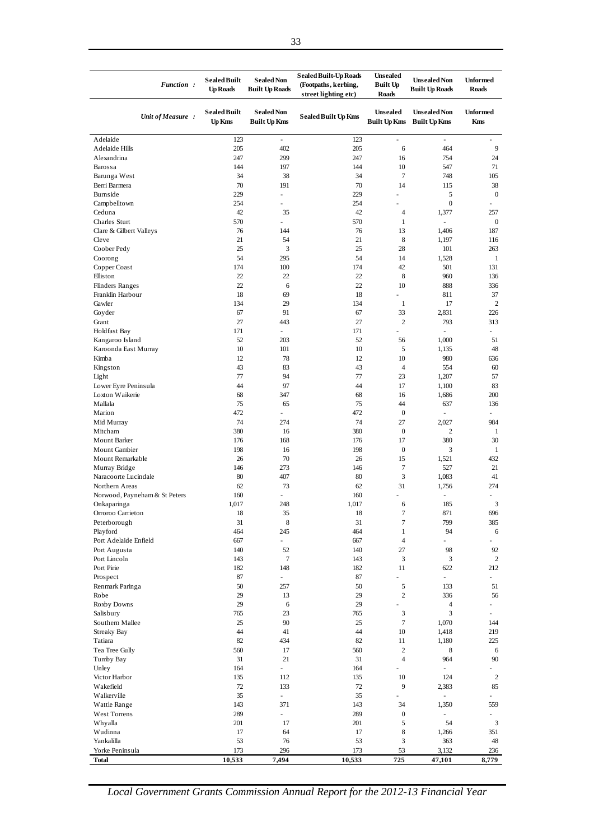| Function:                                | <b>Sealed Built</b><br><b>Up Roads</b> | <b>Sealed Non</b><br><b>Built Up Roads</b> | <b>Sealed Built-Up Roads</b><br>(Footpaths, kerbing,<br>street lighting etc) | <b>Unsealed</b><br><b>Built Up</b><br><b>Roads</b> | <b>Unsealed Non</b><br><b>Built Up Roads</b> | <b>Unformed</b><br><b>Roads</b> |
|------------------------------------------|----------------------------------------|--------------------------------------------|------------------------------------------------------------------------------|----------------------------------------------------|----------------------------------------------|---------------------------------|
| Unit of Measure:                         | <b>Sealed Built</b><br><b>Up Kms</b>   | <b>Sealed Non</b><br><b>Built Up Kms</b>   | <b>Sealed Built Up Kms</b>                                                   | <b>Unsealed</b><br><b>Built Up Kms</b>             | <b>Unsealed Non</b><br><b>Built Up Kms</b>   | <b>Unformed</b><br>Kms          |
| Adelaide                                 | 123                                    | $\blacksquare$                             | 123                                                                          | ä,                                                 | $\blacksquare$                               |                                 |
| Adelaide Hills                           | 205                                    | 402                                        | 205                                                                          | 6                                                  | 464                                          | 9                               |
| Alexandrina<br>Barossa                   | 247<br>144                             | 299<br>197                                 | 247<br>144                                                                   | 16<br>10                                           | 754<br>547                                   | 24<br>71                        |
| Barunga West                             | 34                                     | 38                                         | 34                                                                           | 7                                                  | 748                                          | 105                             |
| Berri Barmera                            | 70                                     | 191                                        | 70                                                                           | 14                                                 | 115                                          | 38                              |
| Burnside                                 | 229                                    | ä,                                         | 229                                                                          |                                                    | 5                                            | $\boldsymbol{0}$                |
| Campbelltown                             | 254                                    |                                            | 254                                                                          |                                                    | $\boldsymbol{0}$                             |                                 |
| Ceduna                                   | 42                                     | 35                                         | 42                                                                           | $\overline{4}$                                     | 1,377                                        | 257                             |
| Charles Sturt<br>Clare & Gilbert Valleys | 570<br>76                              | $\overline{\phantom{a}}$<br>144            | 570<br>76                                                                    | 1<br>13                                            | $\overline{\phantom{a}}$<br>1,406            | $\boldsymbol{0}$<br>187         |
| Cleve                                    | 21                                     | 54                                         | 21                                                                           | 8                                                  | 1,197                                        | 116                             |
| Coober Pedy                              | 25                                     | 3                                          | 25                                                                           | 28                                                 | 101                                          | 263                             |
| Coorong                                  | 54                                     | 295                                        | 54                                                                           | 14                                                 | 1,528                                        | 1                               |
| Copper Coast                             | 174                                    | 100                                        | 174                                                                          | 42                                                 | 501                                          | 131                             |
| Elliston                                 | 22                                     | 22                                         | 22                                                                           | 8                                                  | 960                                          | 136                             |
| <b>Flinders Ranges</b>                   | 22                                     | 6                                          | 22                                                                           | 10                                                 | 888                                          | 336                             |
| Franklin Harbour<br>Gawler               | 18<br>134                              | 69<br>29                                   | 18<br>134                                                                    | ä,<br>$\mathbf{1}$                                 | 811<br>17                                    | 37<br>2                         |
| Goyder                                   | 67                                     | 91                                         | 67                                                                           | 33                                                 | 2,831                                        | 226                             |
| Grant                                    | 27                                     | 443                                        | 27                                                                           | $\overline{c}$                                     | 793                                          | 313                             |
| Holdfast Bay                             | 171                                    | $\overline{\phantom{a}}$                   | 171                                                                          |                                                    | $\overline{\phantom{a}}$                     |                                 |
| Kangaroo Island                          | 52                                     | 203                                        | 52                                                                           | 56                                                 | 1,000                                        | 51                              |
| Karoonda East Murray                     | 10                                     | 101                                        | 10                                                                           | 5                                                  | 1,135                                        | 48                              |
| Kimba                                    | 12                                     | 78                                         | 12                                                                           | 10                                                 | 980                                          | 636                             |
| Kingston<br>Light                        | 43<br>77                               | 83<br>94                                   | 43<br>77                                                                     | $\overline{4}$<br>23                               | 554<br>1,207                                 | 60<br>57                        |
| Lower Eyre Peninsula                     | 44                                     | 97                                         | 44                                                                           | 17                                                 | 1,100                                        | 83                              |
| Loxton Waikerie                          | 68                                     | 347                                        | 68                                                                           | 16                                                 | 1,686                                        | 200                             |
| Mallala                                  | 75                                     | 65                                         | 75                                                                           | 44                                                 | 637                                          | 136                             |
| Marion                                   | 472                                    | $\overline{\phantom{a}}$                   | 472                                                                          | $\boldsymbol{0}$                                   |                                              |                                 |
| Mid Murray                               | 74                                     | 274                                        | 74                                                                           | 27                                                 | 2,027                                        | 984                             |
| Mitcham<br>Mount Barker                  | 380<br>176                             | 16<br>168                                  | 380<br>176                                                                   | $\boldsymbol{0}$<br>17                             | $\overline{2}$<br>380                        | 1<br>30                         |
| Mount Gambier                            | 198                                    | 16                                         | 198                                                                          | $\boldsymbol{0}$                                   | 3                                            | $\mathbf{1}$                    |
| Mount Remarkable                         | 26                                     | 70                                         | 26                                                                           | 15                                                 | 1,521                                        | 432                             |
| Murray Bridge                            | 146                                    | 273                                        | 146                                                                          | $\tau$                                             | 527                                          | 21                              |
| Naracoorte Lucindale                     | 80                                     | 407                                        | 80                                                                           | 3                                                  | 1,083                                        | 41                              |
| Northern Areas                           | 62                                     | 73                                         | 62                                                                           | 31                                                 | 1,756                                        | 274                             |
| Norwood, Payneham & St Peters            | 160                                    | ÷,<br>248                                  | 160                                                                          |                                                    |                                              | 3                               |
| Onkaparinga<br>Orroroo Carrieton         | 1,017<br>18                            | 35                                         | 1,017<br>18                                                                  | 6<br>7                                             | 185<br>871                                   | 696                             |
| Peterborough                             | 31                                     | 8                                          | 31                                                                           | 7                                                  | 799                                          | 385                             |
| Playford                                 | 464                                    | 245                                        | 464                                                                          | $\mathbf{1}$                                       | 94                                           | 6                               |
| Port Adelaide Enfield                    | 667                                    | $\sim$                                     | 667                                                                          | $\overline{4}$                                     | ÷,                                           |                                 |
| Port Augusta                             | 140                                    | 52                                         | 140                                                                          | 27                                                 | 98                                           | 92                              |
| Port Lincoln<br>Port Pirie               | 143<br>182                             | 7<br>148                                   | 143<br>182                                                                   | 3<br>11                                            | 3<br>622                                     | $\overline{c}$<br>212           |
| Prospect                                 | 87                                     | ÷.                                         | 87                                                                           | L,                                                 | $\omega$                                     | $\overline{\phantom{a}}$        |
| Renmark Paringa                          | 50                                     | 257                                        | 50                                                                           | 5                                                  | 133                                          | 51                              |
| Robe                                     | 29                                     | 13                                         | 29                                                                           | $\overline{c}$                                     | 336                                          | 56                              |
| Roxby Downs                              | 29                                     | 6                                          | 29                                                                           | ÷,                                                 | $\overline{4}$                               | $\frac{1}{2}$                   |
| Salisbury                                | 765                                    | 23                                         | 765                                                                          | 3                                                  | $\mathfrak{Z}$                               | $\frac{1}{2}$                   |
| Southern Mallee                          | 25                                     | 90                                         | 25                                                                           | $\tau$                                             | 1,070                                        | 144                             |
| <b>Streaky Bay</b><br>Tatiara            | 44<br>82                               | 41<br>434                                  | 44<br>82                                                                     | 10<br>11                                           | 1,418<br>1,180                               | 219<br>225                      |
| Tea Tree Gully                           | 560                                    | 17                                         | 560                                                                          | $\mathbf{2}$                                       | 8                                            | 6                               |
| Tumby Bay                                | 31                                     | 21                                         | 31                                                                           | $\overline{4}$                                     | 964                                          | 90                              |
| Unley                                    | 164                                    | $\sim$                                     | 164                                                                          | ä,                                                 | $\overline{\phantom{a}}$                     |                                 |
| Victor Harbor                            | 135                                    | 112                                        | 135                                                                          | 10                                                 | 124                                          | $\overline{c}$                  |
| Wakefield                                | 72                                     | 133                                        | 72                                                                           | 9                                                  | 2,383                                        | 85                              |
| Walkerville<br>Wattle Range              | 35<br>143                              | $\omega$<br>371                            | 35<br>143                                                                    | 34                                                 | $\overline{\phantom{a}}$<br>1,350            | 559                             |
| West Torrens                             | 289                                    | $\sim$                                     | 289                                                                          | $\boldsymbol{0}$                                   | $\blacksquare$                               |                                 |
| Whyalla                                  | 201                                    | 17                                         | 201                                                                          | 5                                                  | 54                                           | 3                               |
| Wudinna                                  | 17                                     | 64                                         | 17                                                                           | 8                                                  | 1,266                                        | 351                             |
| Yankalilla                               | 53                                     | 76                                         | 53                                                                           | 3                                                  | 363                                          | 48                              |
| Yorke Peninsula                          | 173                                    | 296                                        | 173                                                                          | 53                                                 | 3,132                                        | 236                             |
| Total                                    | 10,533                                 | 7,494                                      | 10,533                                                                       | 725                                                | 47,101                                       | 8,779                           |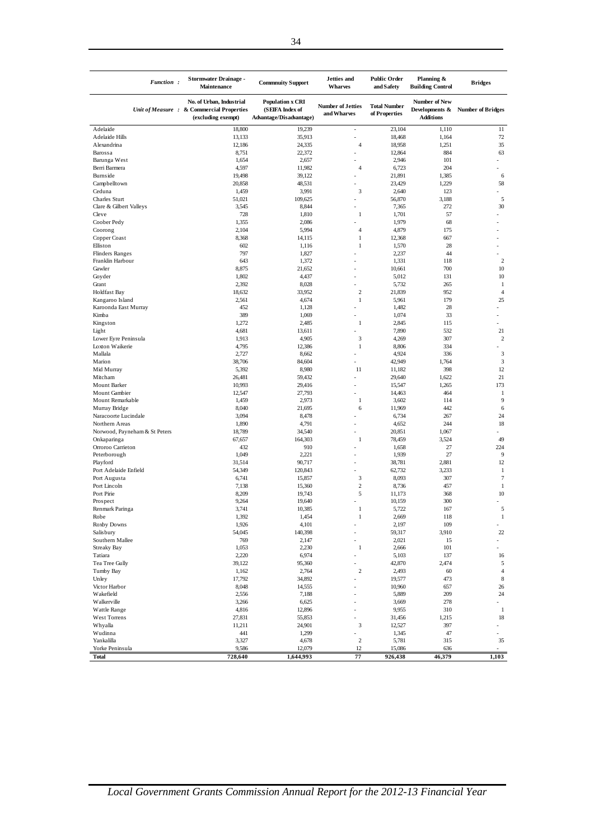| <b>Function:</b>                        | <b>Stormwater Drainage -</b><br>Maintenance                                                 | <b>Commuity Support</b>                                               | <b>Jetties</b> and<br><b>Wharves</b>    | <b>Public Order</b><br>and Safety    | Planning &<br><b>Building Control</b>                      | <b>Bridges</b>           |
|-----------------------------------------|---------------------------------------------------------------------------------------------|-----------------------------------------------------------------------|-----------------------------------------|--------------------------------------|------------------------------------------------------------|--------------------------|
|                                         | No. of Urban, Industrial<br>Unit of Measure : & Commercial Properties<br>(excluding exempt) | <b>Population x CRI</b><br>(SEIFA Index of<br>Advantage/Disadvantage) | <b>Number of Jetties</b><br>and Wharves | <b>Total Number</b><br>of Properties | <b>Number of New</b><br>Developments &<br><b>Additions</b> | <b>Number of Bridges</b> |
| Adelaide                                | 18,800                                                                                      | 19,239                                                                | ÷.                                      | 23,104                               | 1,110                                                      | 11                       |
| Adelaide Hills                          | 13,133                                                                                      | 35,913                                                                | ÷,                                      | 18,468                               | 1,164                                                      | 72                       |
| Alexandrina                             | 12,186                                                                                      | 24,335                                                                | $\overline{4}$<br>÷,                    | 18,958                               | 1,251<br>884                                               | 35                       |
| Barossa<br>Barunga West                 | 8,751<br>1,654                                                                              | 22,372<br>2,657                                                       |                                         | 12,864<br>2,946                      | 101                                                        | 63                       |
| Berri Barmera                           | 4,597                                                                                       | 11,982                                                                | $\overline{4}$                          | 6,723                                | 204                                                        |                          |
| Burnside                                | 19,498                                                                                      | 39,122                                                                | ٠                                       | 21,891                               | 1,385                                                      | 6                        |
| Campbelltown                            | 20,858                                                                                      | 48,531                                                                |                                         | 23,429                               | 1,229                                                      | 58                       |
| Ceduna                                  | 1,459                                                                                       | 3,991                                                                 | 3                                       | 2,640                                | 123                                                        |                          |
| <b>Charles Sturt</b>                    | 51,021                                                                                      | 109,625                                                               |                                         | 56,870                               | 3,188                                                      | 5                        |
| Clare & Gilbert Valleys<br>Cleve        | 3,545<br>728                                                                                | 8,844<br>1,810                                                        | $\mathbf{1}$                            | 7,365<br>1,701                       | 272<br>57                                                  | 30                       |
| Coober Pedy                             | 1,355                                                                                       | 2,086                                                                 |                                         | 1,979                                | 68                                                         | ÷                        |
| Coorong                                 | 2,104                                                                                       | 5,994                                                                 | $\overline{4}$                          | 4,879                                | 175                                                        | ÷                        |
| Copper Coast                            | 8,368                                                                                       | 14,115                                                                | $\mathbf{1}$                            | 12,368                               | 667                                                        |                          |
| Elliston                                | 602                                                                                         | 1,116                                                                 | $\mathbf{1}$                            | 1,570                                | 28                                                         |                          |
| <b>Flinders Ranges</b>                  | 797                                                                                         | 1,827                                                                 |                                         | 2,237                                | 44                                                         |                          |
| Franklin Harbour                        | 643                                                                                         | 1,372                                                                 |                                         | 1,331                                | 118                                                        | $\boldsymbol{2}$         |
| Gawler<br>Goyder                        | 8,875<br>1,802                                                                              | 21,652<br>4,437                                                       |                                         | 10,661<br>5,012                      | 700<br>131                                                 | 10<br>10                 |
| Grant                                   | 2,392                                                                                       | 8,028                                                                 |                                         | 5,732                                | 265                                                        | 1                        |
| <b>Holdfast Bay</b>                     | 18,632                                                                                      | 33,952                                                                | $\overline{c}$                          | 21,839                               | 952                                                        | $\overline{4}$           |
| Kangaroo Island                         | 2,561                                                                                       | 4,674                                                                 | $\mathbf{1}$                            | 5,961                                | 179                                                        | 25                       |
| Karoonda East Murray                    | 452                                                                                         | 1,128                                                                 | ٠                                       | 1,482                                | 28                                                         | ÷.                       |
| Kimba                                   | 389                                                                                         | 1,069                                                                 |                                         | 1,074                                | 33                                                         |                          |
| Kingston                                | 1,272                                                                                       | 2,485                                                                 | $\mathbf{1}$                            | 2,845                                | 115                                                        | ÷                        |
| Light                                   | 4,681                                                                                       | 13,611                                                                |                                         | 7,890                                | 532                                                        | 21                       |
| Lower Eyre Peninsula<br>Loxton Waikerie | 1,913<br>4,795                                                                              | 4,905<br>12,386                                                       | 3<br>$\mathbf{1}$                       | 4,269<br>8,806                       | 307<br>334                                                 | $\boldsymbol{2}$         |
| Mallala                                 | 2,727                                                                                       | 8,662                                                                 | ÷                                       | 4,924                                | 336                                                        | 3                        |
| Marion                                  | 38,706                                                                                      | 84,604                                                                | ÷,                                      | 42,949                               | 1,764                                                      | 3                        |
| Mid Murray                              | 5,392                                                                                       | 8,980                                                                 | 11                                      | 11,182                               | 398                                                        | 12                       |
| Mitcham                                 | 26,481                                                                                      | 59,432                                                                |                                         | 29,640                               | 1,622                                                      | 21                       |
| Mount Barker                            | 10,993                                                                                      | 29,416                                                                | ÷,                                      | 15,547                               | 1,265                                                      | 173                      |
| Mount Gambier                           | 12,547                                                                                      | 27,793                                                                |                                         | 14,463                               | 464                                                        | $\,1$<br>9               |
| Mount Remarkable<br>Murray Bridge       | 1,459<br>8,040                                                                              | 2,973<br>21,695                                                       | 1<br>6                                  | 3,602<br>11,969                      | 114<br>442                                                 | 6                        |
| Naracoorte Lucindale                    | 3,094                                                                                       | 8,478                                                                 |                                         | 6,734                                | 267                                                        | 24                       |
| Northern Areas                          | 1,890                                                                                       | 4,791                                                                 |                                         | 4,652                                | 244                                                        | 18                       |
| Norwood, Payneham & St Peters           | 18,789                                                                                      | 34,540                                                                | ÷,                                      | 20,851                               | 1,067                                                      |                          |
| Onkaparinga                             | 67,657                                                                                      | 164,303                                                               | $\,1$                                   | 78,459                               | 3,524                                                      | 49                       |
| Orroroo Carrieton                       | 432                                                                                         | 910                                                                   | ÷                                       | 1,658                                | 27                                                         | 224                      |
| Peterborough<br>Playford                | 1,049<br>31,514                                                                             | 2,221<br>90,717                                                       |                                         | 1,939<br>38,781                      | 27<br>2,881                                                | 9<br>12                  |
| Port Adelaide Enfield                   | 54,349                                                                                      | 120,843                                                               |                                         | 62,732                               | 3,233                                                      | 1                        |
| Port Augusta                            | 6,741                                                                                       | 15,857                                                                | 3                                       | 8,093                                | 307                                                        | $\tau$                   |
| Port Lincoln                            | 7,138                                                                                       | 15,360                                                                | $\sqrt{2}$                              | 8,736                                | 457                                                        | 1                        |
| Port Pirie                              | 8,209                                                                                       | 19,743                                                                | 5                                       | 11,173                               | 368                                                        | 10                       |
| Prospect                                | 9,264                                                                                       | 19,640                                                                |                                         | 10,159                               | 300                                                        |                          |
| Renmark Paringa                         | 3,741                                                                                       | 10,385                                                                | $\mathbf{1}$<br>$\mathbf{1}$            | 5,722                                | 167<br>118                                                 | 5                        |
| Robe<br>Roxby Downs                     | 1,392<br>1,926                                                                              | 1,454<br>4,101                                                        |                                         | 2,669<br>2,197                       | 109                                                        | $\mathbf{1}$<br>L,       |
| Salisbury                               | 54,045                                                                                      | 140,398                                                               | ÷,                                      | 59,317                               | 3,910                                                      | 22                       |
| Southern Mallee                         | 769                                                                                         | 2,147                                                                 |                                         | 2,021                                | 15                                                         |                          |
| Streaky Bay                             | 1,053                                                                                       | 2,230                                                                 | $\mathbf{1}$                            | 2,666                                | 101                                                        |                          |
| Tatiara                                 | 2,220                                                                                       | 6,974                                                                 | $\overline{a}$                          | 5,103                                | 137                                                        | 16                       |
| Tea Tree Gully                          | 39,122                                                                                      | 95,360                                                                | ÷,                                      | 42,870                               | 2,474                                                      | 5                        |
| Tumby Bay                               | 1,162                                                                                       | 2,764                                                                 | $\overline{c}$                          | 2,493                                | 60                                                         | $\overline{4}$           |
| Unley<br>Victor Harbor                  | 17,792<br>8,048                                                                             | 34,892<br>14,555                                                      | ÷,                                      | 19,577<br>10,960                     | 473<br>657                                                 | $\,$ 8 $\,$<br>26        |
| Wakefield                               | 2,556                                                                                       | 7,188                                                                 | ÷,                                      | 5,889                                | 209                                                        | 24                       |
| Walkerville                             | 3,266                                                                                       | 6,625                                                                 | ÷,                                      | 3,669                                | 278                                                        |                          |
| Wattle Range                            | 4,816                                                                                       | 12,896                                                                | ÷,                                      | 9,955                                | 310                                                        | $\,1$                    |
| West Torrens                            | 27,831                                                                                      | 55,853                                                                |                                         | 31,456                               | 1,215                                                      | 18                       |
| Whyalla                                 | 11,211                                                                                      | 24,901                                                                | 3                                       | 12,527                               | 397                                                        | ÷.                       |
| Wudinna                                 | 441                                                                                         | 1,299                                                                 |                                         | 1,345                                | 47                                                         |                          |
| Yankalilla<br>Yorke Peninsula           | 3,327<br>9,586                                                                              | 4,678<br>12,079                                                       | $\boldsymbol{2}$<br>12                  | 5,781<br>15,086                      | 315<br>636                                                 | 35                       |
| <b>Total</b>                            | 728,640                                                                                     | 1,644,993                                                             | 77                                      | 926,438                              | 46,379                                                     | 1,103                    |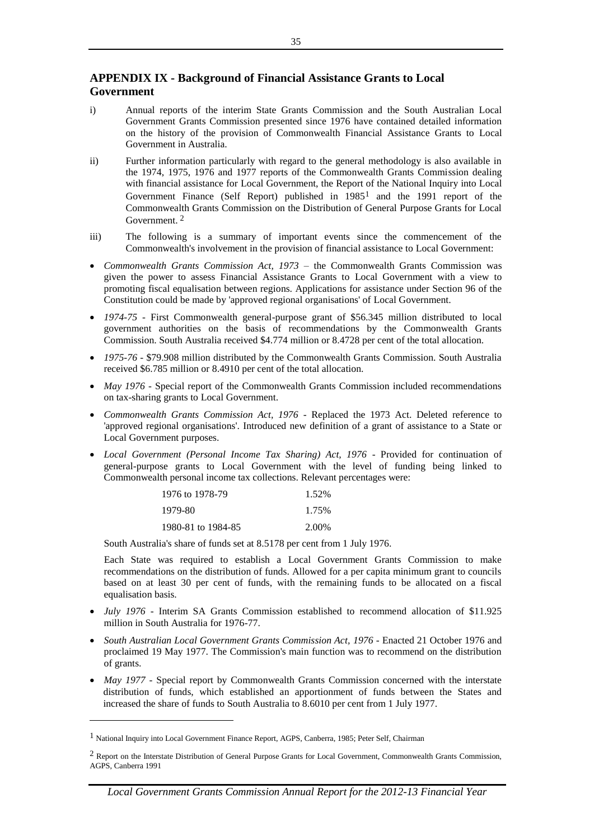## **APPENDIX IX - Background of Financial Assistance Grants to Local Government**

- i) Annual reports of the interim State Grants Commission and the South Australian Local Government Grants Commission presented since 1976 have contained detailed information on the history of the provision of Commonwealth Financial Assistance Grants to Local Government in Australia.
- ii) Further information particularly with regard to the general methodology is also available in the 1974, 1975, 1976 and 1977 reports of the Commonwealth Grants Commission dealing with financial assistance for Local Government, the Report of the National Inquiry into Local Government Finance (Self Report) published in 19851 and the 1991 report of the Commonwealth Grants Commission on the Distribution of General Purpose Grants for Local Government. 2
- iii) The following is a summary of important events since the commencement of the Commonwealth's involvement in the provision of financial assistance to Local Government:
- *Commonwealth Grants Commission Act, 1973 –* the Commonwealth Grants Commission was given the power to assess Financial Assistance Grants to Local Government with a view to promoting fiscal equalisation between regions. Applications for assistance under Section 96 of the Constitution could be made by 'approved regional organisations' of Local Government.
- *1974-75 -* First Commonwealth general-purpose grant of \$56.345 million distributed to local government authorities on the basis of recommendations by the Commonwealth Grants Commission. South Australia received \$4.774 million or 8.4728 per cent of the total allocation.
- *1975-76*  \$79.908 million distributed by the Commonwealth Grants Commission. South Australia received \$6.785 million or 8.4910 per cent of the total allocation.
- *May 1976 -* Special report of the Commonwealth Grants Commission included recommendations on tax-sharing grants to Local Government.
- *Commonwealth Grants Commission Act, 1976 -* Replaced the 1973 Act. Deleted reference to 'approved regional organisations'. Introduced new definition of a grant of assistance to a State or Local Government purposes.
- *Local Government (Personal Income Tax Sharing) Act, 1976 -* Provided for continuation of general-purpose grants to Local Government with the level of funding being linked to Commonwealth personal income tax collections. Relevant percentages were:

| 1976 to 1978-79    | 1.52% |
|--------------------|-------|
| 1979-80            | 1.75% |
| 1980-81 to 1984-85 | 2.00% |

South Australia's share of funds set at 8.5178 per cent from 1 July 1976.

Each State was required to establish a Local Government Grants Commission to make recommendations on the distribution of funds. Allowed for a per capita minimum grant to councils based on at least 30 per cent of funds, with the remaining funds to be allocated on a fiscal equalisation basis.

- *July 1976 -* Interim SA Grants Commission established to recommend allocation of \$11.925 million in South Australia for 1976-77.
- *South Australian Local Government Grants Commission Act, 1976 -* Enacted 21 October 1976 and proclaimed 19 May 1977. The Commission's main function was to recommend on the distribution of grants.
- *May 1977 -* Special report by Commonwealth Grants Commission concerned with the interstate distribution of funds, which established an apportionment of funds between the States and increased the share of funds to South Australia to 8.6010 per cent from 1 July 1977.

 $\overline{a}$ 

<sup>1</sup> National Inquiry into Local Government Finance Report, AGPS, Canberra, 1985; Peter Self, Chairman

 $2$  Report on the Interstate Distribution of General Purpose Grants for Local Government, Commonwealth Grants Commission, AGPS, Canberra 1991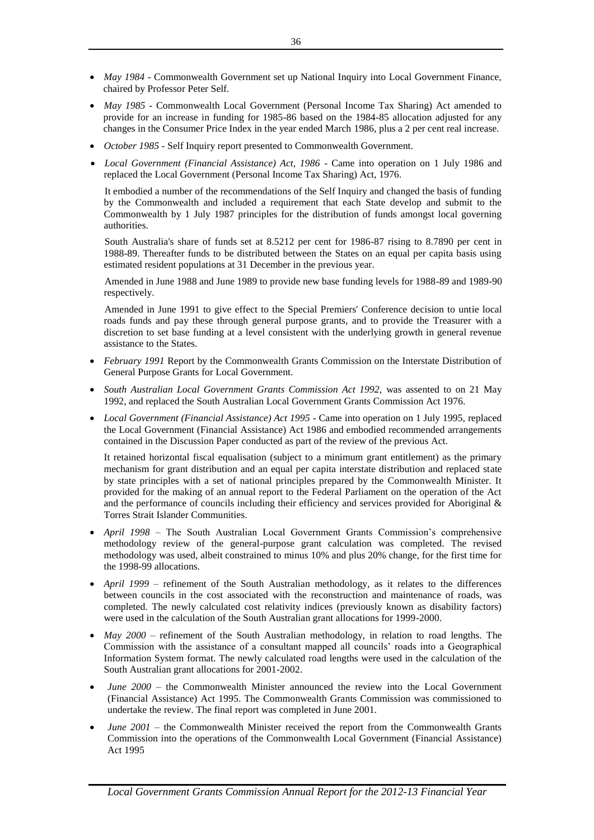- *May 1984 -* Commonwealth Government set up National Inquiry into Local Government Finance, chaired by Professor Peter Self.
- *May 1985 -* Commonwealth Local Government (Personal Income Tax Sharing) Act amended to provide for an increase in funding for 1985-86 based on the 1984-85 allocation adjusted for any changes in the Consumer Price Index in the year ended March 1986, plus a 2 per cent real increase.
- *October 1985 -* Self Inquiry report presented to Commonwealth Government.
- *Local Government (Financial Assistance) Act, 1986 -* Came into operation on 1 July 1986 and replaced the Local Government (Personal Income Tax Sharing) Act, 1976.

It embodied a number of the recommendations of the Self Inquiry and changed the basis of funding by the Commonwealth and included a requirement that each State develop and submit to the Commonwealth by 1 July 1987 principles for the distribution of funds amongst local governing authorities.

South Australia's share of funds set at 8.5212 per cent for 1986-87 rising to 8.7890 per cent in 1988-89. Thereafter funds to be distributed between the States on an equal per capita basis using estimated resident populations at 31 December in the previous year.

Amended in June 1988 and June 1989 to provide new base funding levels for 1988-89 and 1989-90 respectively.

Amended in June 1991 to give effect to the Special Premiers' Conference decision to untie local roads funds and pay these through general purpose grants, and to provide the Treasurer with a discretion to set base funding at a level consistent with the underlying growth in general revenue assistance to the States.

- *February 1991* Report by the Commonwealth Grants Commission on the Interstate Distribution of General Purpose Grants for Local Government.
- *South Australian Local Government Grants Commission Act 1992,* was assented to on 21 May 1992, and replaced the South Australian Local Government Grants Commission Act 1976.
- *Local Government (Financial Assistance) Act 1995 -* Came into operation on 1 July 1995, replaced the Local Government (Financial Assistance) Act 1986 and embodied recommended arrangements contained in the Discussion Paper conducted as part of the review of the previous Act.

It retained horizontal fiscal equalisation (subject to a minimum grant entitlement) as the primary mechanism for grant distribution and an equal per capita interstate distribution and replaced state by state principles with a set of national principles prepared by the Commonwealth Minister. It provided for the making of an annual report to the Federal Parliament on the operation of the Act and the performance of councils including their efficiency and services provided for Aboriginal & Torres Strait Islander Communities.

- *April 1998* The South Australian Local Government Grants Commission's comprehensive methodology review of the general-purpose grant calculation was completed. The revised methodology was used, albeit constrained to minus 10% and plus 20% change, for the first time for the 1998-99 allocations.
- *April 1999*  refinement of the South Australian methodology, as it relates to the differences between councils in the cost associated with the reconstruction and maintenance of roads, was completed. The newly calculated cost relativity indices (previously known as disability factors) were used in the calculation of the South Australian grant allocations for 1999-2000.
- *May 2000* refinement of the South Australian methodology, in relation to road lengths. The Commission with the assistance of a consultant mapped all councils' roads into a Geographical Information System format. The newly calculated road lengths were used in the calculation of the South Australian grant allocations for 2001-2002.
- *June 2000* the Commonwealth Minister announced the review into the Local Government (Financial Assistance) Act 1995. The Commonwealth Grants Commission was commissioned to undertake the review. The final report was completed in June 2001.
- *June 2001* the Commonwealth Minister received the report from the Commonwealth Grants Commission into the operations of the Commonwealth Local Government (Financial Assistance) Act 1995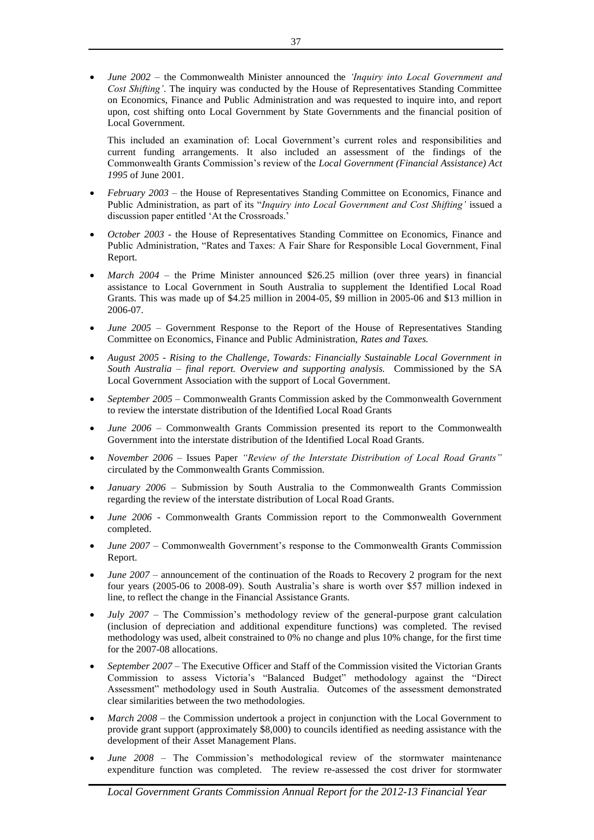*June 2002* – the Commonwealth Minister announced the *'Inquiry into Local Government and Cost Shifting'*. The inquiry was conducted by the House of Representatives Standing Committee on Economics, Finance and Public Administration and was requested to inquire into, and report upon, cost shifting onto Local Government by State Governments and the financial position of Local Government.

This included an examination of: Local Government's current roles and responsibilities and current funding arrangements. It also included an assessment of the findings of the Commonwealth Grants Commission's review of the *Local Government (Financial Assistance) Act 1995* of June 2001.

- *February 2003*  the House of Representatives Standing Committee on Economics, Finance and Public Administration, as part of its "*Inquiry into Local Government and Cost Shifting'* issued a discussion paper entitled 'At the Crossroads.'
- *October 2003 -* the House of Representatives Standing Committee on Economics, Finance and Public Administration, "Rates and Taxes: A Fair Share for Responsible Local Government, Final Report.
- *March 2004* the Prime Minister announced \$26.25 million (over three years) in financial assistance to Local Government in South Australia to supplement the Identified Local Road Grants. This was made up of \$4.25 million in 2004-05, \$9 million in 2005-06 and \$13 million in 2006-07.
- *June 2005 –* Government Response to the Report of the House of Representatives Standing Committee on Economics, Finance and Public Administration, *Rates and Taxes.*
- *August 2005 - Rising to the Challenge, Towards: Financially Sustainable Local Government in South Australia – final report. Overview and supporting analysis.* Commissioned by the SA Local Government Association with the support of Local Government.
- *September 2005 –* Commonwealth Grants Commission asked by the Commonwealth Government to review the interstate distribution of the Identified Local Road Grants
- *June 2006 –* Commonwealth Grants Commission presented its report to the Commonwealth Government into the interstate distribution of the Identified Local Road Grants.
- *November 2006 –* Issues Paper *"Review of the Interstate Distribution of Local Road Grants"*  circulated by the Commonwealth Grants Commission.
- *January 2006 –* Submission by South Australia to the Commonwealth Grants Commission regarding the review of the interstate distribution of Local Road Grants.
- *June 2006* Commonwealth Grants Commission report to the Commonwealth Government completed.
- *June 2007* Commonwealth Government's response to the Commonwealth Grants Commission Report.
- *June 2007 –* announcement of the continuation of the Roads to Recovery 2 program for the next four years (2005-06 to 2008-09). South Australia's share is worth over \$57 million indexed in line, to reflect the change in the Financial Assistance Grants.
- *July 2007* The Commission's methodology review of the general-purpose grant calculation (inclusion of depreciation and additional expenditure functions) was completed. The revised methodology was used, albeit constrained to 0% no change and plus 10% change, for the first time for the 2007-08 allocations.
- *September 2007*  The Executive Officer and Staff of the Commission visited the Victorian Grants Commission to assess Victoria's "Balanced Budget" methodology against the "Direct Assessment" methodology used in South Australia. Outcomes of the assessment demonstrated clear similarities between the two methodologies.
- *March 2008*  the Commission undertook a project in conjunction with the Local Government to provide grant support (approximately \$8,000) to councils identified as needing assistance with the development of their Asset Management Plans.
- *June 2008* The Commission's methodological review of the stormwater maintenance expenditure function was completed. The review re-assessed the cost driver for stormwater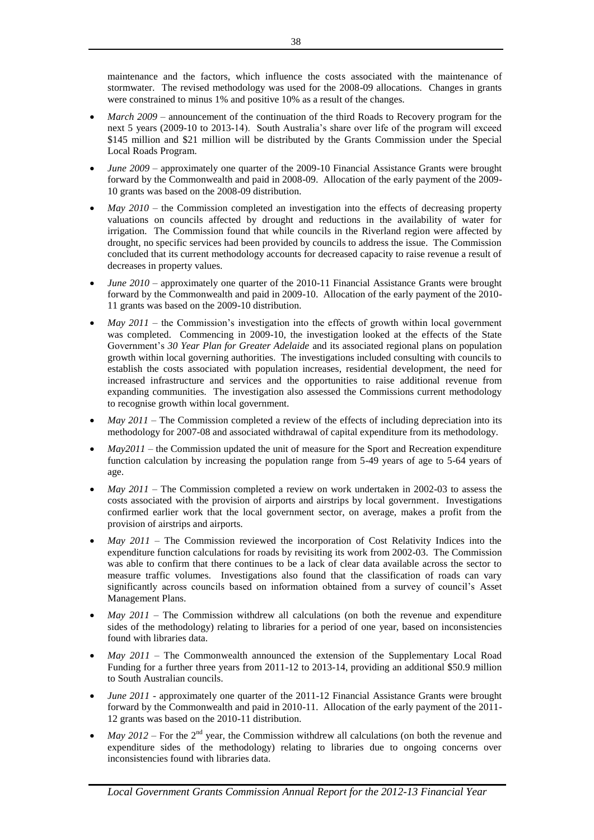maintenance and the factors, which influence the costs associated with the maintenance of stormwater. The revised methodology was used for the 2008-09 allocations. Changes in grants were constrained to minus 1% and positive 10% as a result of the changes.

- *March 2009* announcement of the continuation of the third Roads to Recovery program for the next 5 years (2009-10 to 2013-14). South Australia's share over life of the program will exceed \$145 million and \$21 million will be distributed by the Grants Commission under the Special Local Roads Program.
- *June 2009*  approximately one quarter of the 2009-10 Financial Assistance Grants were brought forward by the Commonwealth and paid in 2008-09. Allocation of the early payment of the 2009- 10 grants was based on the 2008-09 distribution.
- *May 2010* the Commission completed an investigation into the effects of decreasing property valuations on councils affected by drought and reductions in the availability of water for irrigation. The Commission found that while councils in the Riverland region were affected by drought, no specific services had been provided by councils to address the issue. The Commission concluded that its current methodology accounts for decreased capacity to raise revenue a result of decreases in property values.
- *June 2010 approximately one quarter of the 2010-11 Financial Assistance Grants were brought* forward by the Commonwealth and paid in 2009-10. Allocation of the early payment of the 2010- 11 grants was based on the 2009-10 distribution.
- *May 2011* the Commission's investigation into the effects of growth within local government was completed. Commencing in 2009-10, the investigation looked at the effects of the State Government's *30 Year Plan for Greater Adelaide* and its associated regional plans on population growth within local governing authorities. The investigations included consulting with councils to establish the costs associated with population increases, residential development, the need for increased infrastructure and services and the opportunities to raise additional revenue from expanding communities. The investigation also assessed the Commissions current methodology to recognise growth within local government.
- *May 2011* The Commission completed a review of the effects of including depreciation into its methodology for 2007-08 and associated withdrawal of capital expenditure from its methodology.
- *May2011*  the Commission updated the unit of measure for the Sport and Recreation expenditure function calculation by increasing the population range from 5-49 years of age to 5-64 years of age.
- *May 2011* The Commission completed a review on work undertaken in 2002-03 to assess the costs associated with the provision of airports and airstrips by local government. Investigations confirmed earlier work that the local government sector, on average, makes a profit from the provision of airstrips and airports.
- *May 2011*  The Commission reviewed the incorporation of Cost Relativity Indices into the expenditure function calculations for roads by revisiting its work from 2002-03. The Commission was able to confirm that there continues to be a lack of clear data available across the sector to measure traffic volumes. Investigations also found that the classification of roads can vary significantly across councils based on information obtained from a survey of council's Asset Management Plans.
- *May 2011*  The Commission withdrew all calculations (on both the revenue and expenditure sides of the methodology) relating to libraries for a period of one year, based on inconsistencies found with libraries data.
- *May 2011* The Commonwealth announced the extension of the Supplementary Local Road Funding for a further three years from 2011-12 to 2013-14, providing an additional \$50.9 million to South Australian councils.
- *June 2011* approximately one quarter of the 2011-12 Financial Assistance Grants were brought forward by the Commonwealth and paid in 2010-11. Allocation of the early payment of the 2011- 12 grants was based on the 2010-11 distribution.
- *May 2012* For the  $2<sup>nd</sup>$  year, the Commission withdrew all calculations (on both the revenue and expenditure sides of the methodology) relating to libraries due to ongoing concerns over inconsistencies found with libraries data.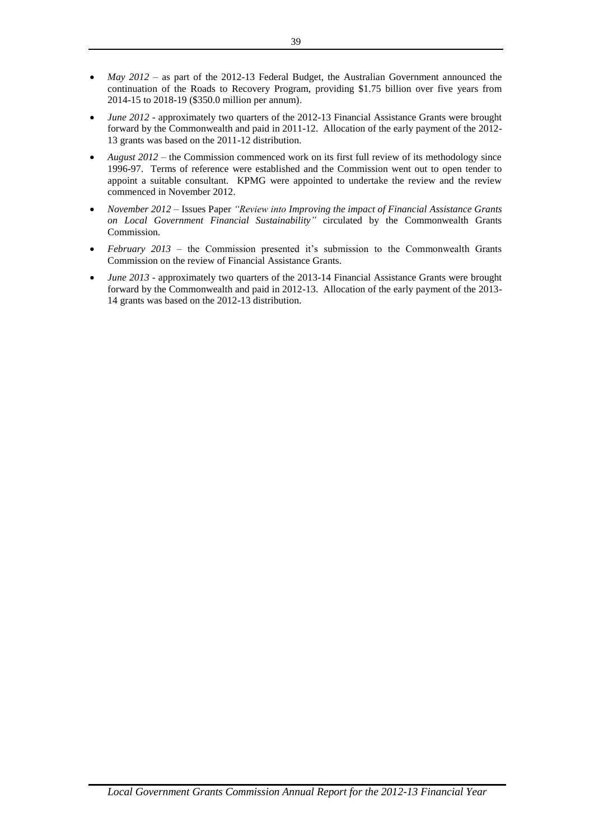- *May 2012*  as part of the 2012-13 Federal Budget, the Australian Government announced the continuation of the Roads to Recovery Program, providing \$1.75 billion over five years from 2014-15 to 2018-19 (\$350.0 million per annum).
- *June 2012* approximately two quarters of the 2012-13 Financial Assistance Grants were brought forward by the Commonwealth and paid in 2011-12. Allocation of the early payment of the 2012- 13 grants was based on the 2011-12 distribution.
- *August 2012*  the Commission commenced work on its first full review of its methodology since 1996-97. Terms of reference were established and the Commission went out to open tender to appoint a suitable consultant. KPMG were appointed to undertake the review and the review commenced in November 2012.
- *November 2012*  Issues Paper *"Review into Improving the impact of Financial Assistance Grants on Local Government Financial Sustainability"* circulated by the Commonwealth Grants Commission.
- *February 2013*  the Commission presented it's submission to the Commonwealth Grants Commission on the review of Financial Assistance Grants.
- *June 2013*  approximately two quarters of the 2013-14 Financial Assistance Grants were brought forward by the Commonwealth and paid in 2012-13. Allocation of the early payment of the 2013- 14 grants was based on the 2012-13 distribution.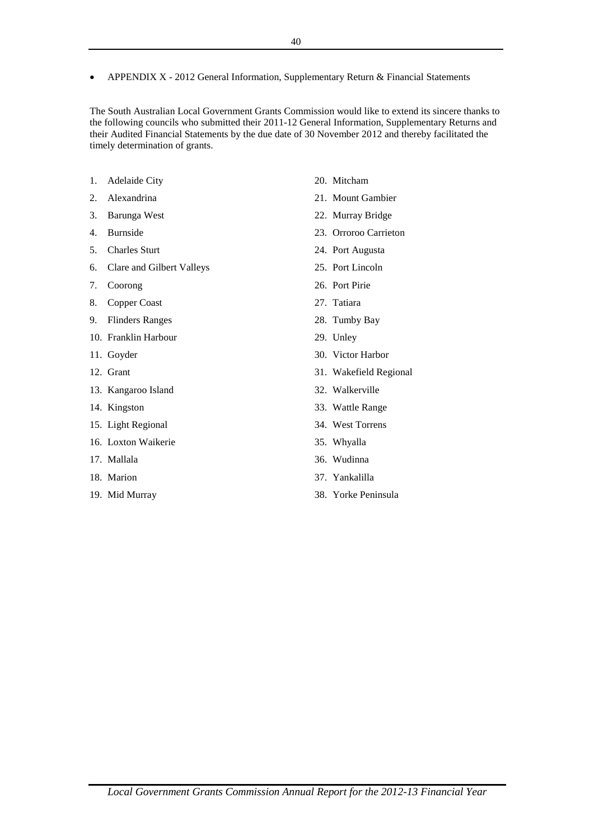APPENDIX X - 2012 General Information, Supplementary Return & Financial Statements

The South Australian Local Government Grants Commission would like to extend its sincere thanks to the following councils who submitted their 2011-12 General Information, Supplementary Returns and their Audited Financial Statements by the due date of 30 November 2012 and thereby facilitated the timely determination of grants.

- 1. Adelaide City
- 2. Alexandrina
- 3. Barunga West
- 4. Burnside
- 5. Charles Sturt
- 6. Clare and Gilbert Valleys
- 7. Coorong
- 8. Copper Coast
- 9. Flinders Ranges
- 10. Franklin Harbour
- 11. Goyder
- 12. Grant
- 13. Kangaroo Island
- 14. Kingston
- 15. Light Regional
- 16. Loxton Waikerie
- 17. Mallala
- 18. Marion
- 19. Mid Murray
- 20. Mitcham
- 21. Mount Gambier
- 22. Murray Bridge
- 23. Orroroo Carrieton
- 24. Port Augusta
- 25. Port Lincoln
- 26. Port Pirie
- 27. Tatiara
- 28. Tumby Bay
- 29. Unley
- 30. Victor Harbor
- 31. Wakefield Regional
- 32. Walkerville
- 33. Wattle Range
- 34. West Torrens
- 35. Whyalla
- 36. Wudinna
- 37. Yankalilla
- 38. Yorke Peninsula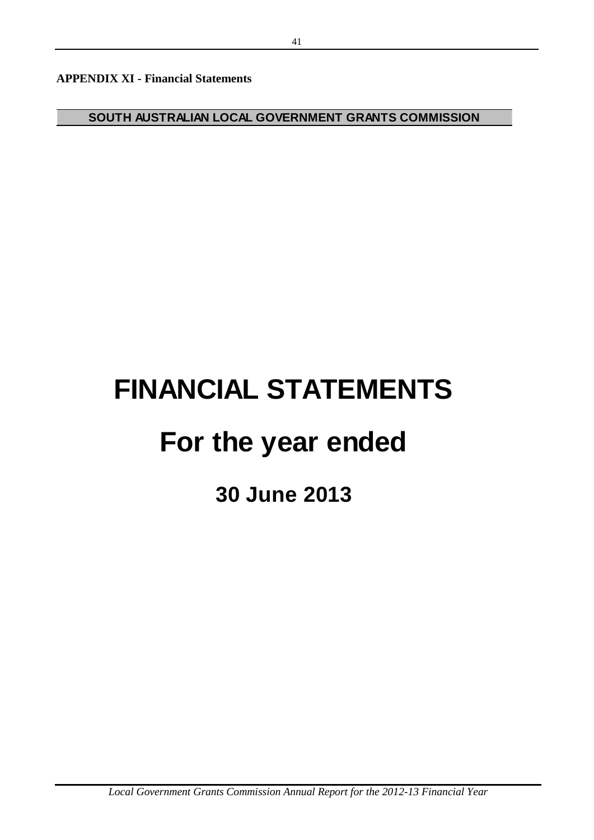**APPENDIX XI - Financial Statements**

**SOUTH AUSTRALIAN LOCAL GOVERNMENT GRANTS COMMISSION**

# **FINANCIAL STATEMENTS**

## **For the year ended**

**30 June 2013**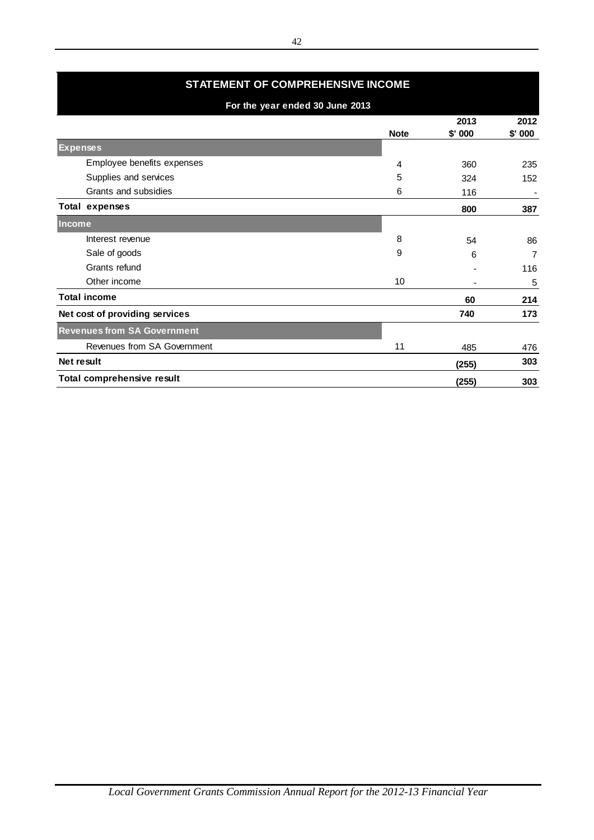| STATEMENT OF COMPREHENSIVE INCOME  |             |                  |                |
|------------------------------------|-------------|------------------|----------------|
| For the year ended 30 June 2013    |             |                  |                |
|                                    | <b>Note</b> | 2013<br>$$'$ 000 | 2012<br>\$'000 |
| <b>Expenses</b>                    |             |                  |                |
| Employee benefits expenses         | 4           | 360              | 235            |
| Supplies and services              | 5           | 324              | 152            |
| Grants and subsidies               | 6           | 116              |                |
| Total expenses                     |             | 800              | 387            |
| Income                             |             |                  |                |
| Interest revenue                   | 8           | 54               | 86             |
| Sale of goods                      | 9           | 6                | 7              |
| Grants refund                      |             |                  | 116            |
| Other income                       | 10          |                  | 5              |
| <b>Total income</b>                |             | 60               | 214            |
| Net cost of providing services     |             | 740              | 173            |
| <b>Revenues from SA Government</b> |             |                  |                |
| Revenues from SA Government        | 11          | 485              | 476            |
| Net result                         |             | (255)            | 303            |
| Total comprehensive result         |             | (255)            | 303            |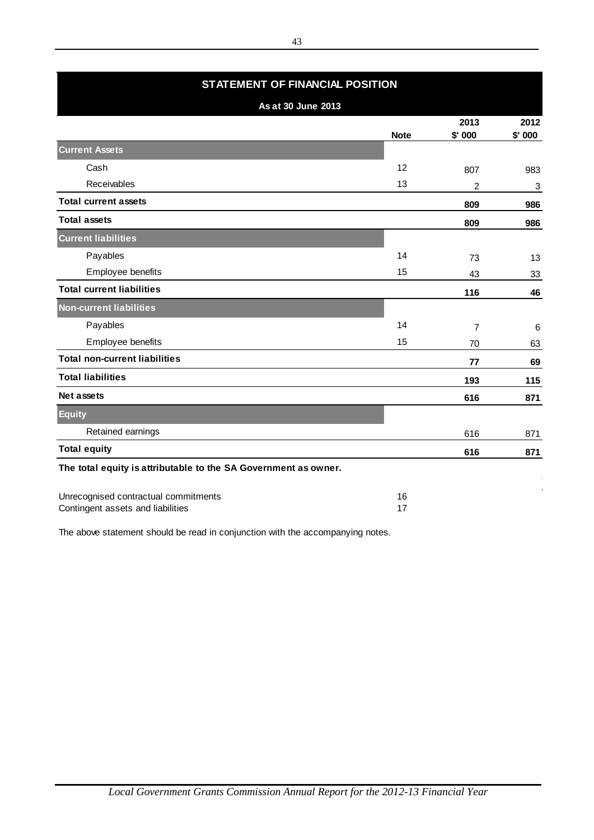| <b>STATEMENT OF FINANCIAL POSITION</b>                          |             |                  |                |
|-----------------------------------------------------------------|-------------|------------------|----------------|
| As at 30 June 2013                                              |             |                  |                |
|                                                                 | <b>Note</b> | 2013<br>$$'$ 000 | 2012<br>\$'000 |
| <b>Current Assets</b>                                           |             |                  |                |
| Cash                                                            | 12          | 807              | 983            |
| Receivables                                                     | 13          | $\overline{2}$   | 3              |
| <b>Total current assets</b>                                     |             | 809              | 986            |
| <b>Total assets</b>                                             |             | 809              | 986            |
| <b>Current liabilities</b>                                      |             |                  |                |
| Payables                                                        | 14          | 73               | 13             |
| Employee benefits                                               | 15          | 43               | 33             |
| <b>Total current liabilities</b>                                |             | 116              | 46             |
| <b>Non-current liabilities</b>                                  |             |                  |                |
| Payables                                                        | 14          | $\overline{7}$   | 6              |
| Employee benefits                                               | 15          | 70               | 63             |
| <b>Total non-current liabilities</b>                            |             | 77               | 69             |
| <b>Total liabilities</b>                                        |             | 193              | 115            |
| <b>Net assets</b>                                               |             | 616              | 871            |
| <b>Equity</b>                                                   |             |                  |                |
| Retained earnings                                               |             | 616              | 871            |
| <b>Total equity</b>                                             |             | 616              | 871            |
| The total equity is attributable to the SA Government as owner. |             |                  |                |
| Unrecognised contractual commitments                            | 16          |                  |                |

Contingent assets and liabilities 17

The above statement should be read in conjunction with the accompanying notes.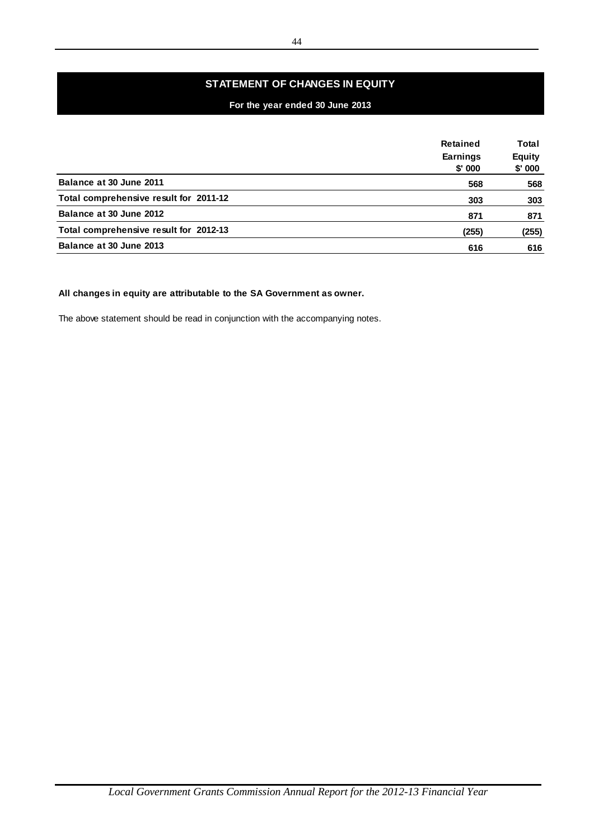## **STATEMENT OF CHANGES IN EQUITY**

## **For the year ended 30 June 2013**

|                                                                                 | Retained                  | Total                   |
|---------------------------------------------------------------------------------|---------------------------|-------------------------|
|                                                                                 | <b>Earnings</b><br>\$'000 | <b>Equity</b><br>\$'000 |
| Balance at 30 June 2011                                                         | 568                       | 568                     |
| Total comprehensive result for 2011-12                                          | 303                       | 303                     |
| Balance at 30 June 2012                                                         | 871                       | 871                     |
| Total comprehensive result for 2012-13                                          | (255)                     | (255)                   |
| Balance at 30 June 2013                                                         | 616                       | 616                     |
|                                                                                 |                           |                         |
|                                                                                 |                           |                         |
| All changes in equity are attributable to the SA Government as owner.           |                           |                         |
| The above statement should be read in conjunction with the accompanying notes.  |                           |                         |
|                                                                                 |                           |                         |
|                                                                                 |                           |                         |
|                                                                                 |                           |                         |
|                                                                                 |                           |                         |
|                                                                                 |                           |                         |
|                                                                                 |                           |                         |
|                                                                                 |                           |                         |
|                                                                                 |                           |                         |
|                                                                                 |                           |                         |
|                                                                                 |                           |                         |
|                                                                                 |                           |                         |
|                                                                                 |                           |                         |
|                                                                                 |                           |                         |
|                                                                                 |                           |                         |
|                                                                                 |                           |                         |
|                                                                                 |                           |                         |
|                                                                                 |                           |                         |
|                                                                                 |                           |                         |
|                                                                                 |                           |                         |
|                                                                                 |                           |                         |
|                                                                                 |                           |                         |
|                                                                                 |                           |                         |
|                                                                                 |                           |                         |
|                                                                                 |                           |                         |
|                                                                                 |                           |                         |
|                                                                                 |                           |                         |
|                                                                                 |                           |                         |
|                                                                                 |                           |                         |
|                                                                                 |                           |                         |
| Local Government Grants Commission Annual Report for the 2012-13 Financial Year |                           |                         |

## **All changes in equity are attributable to the SA Government as owner.**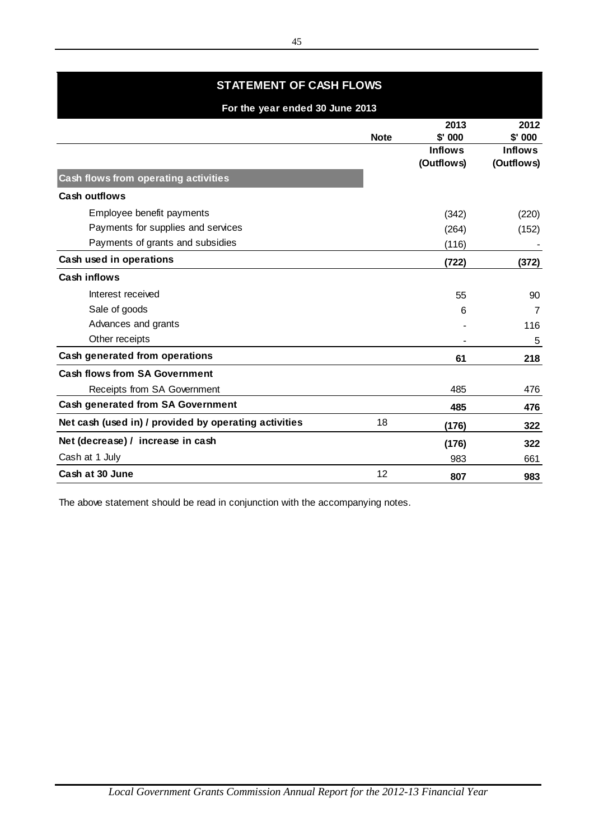## **STATEMENT OF CASH FLOWS**

| For the year ended 30 June 2013                       |             |                  |                  |
|-------------------------------------------------------|-------------|------------------|------------------|
|                                                       | <b>Note</b> | 2013<br>$$'$ 000 | 2012<br>$$'$ 000 |
|                                                       |             | <b>Inflows</b>   | <b>Inflows</b>   |
|                                                       |             | (Outflows)       | (Outflows)       |
| Cash flows from operating activities                  |             |                  |                  |
| <b>Cash outflows</b>                                  |             |                  |                  |
| Employee benefit payments                             |             | (342)            | (220)            |
| Payments for supplies and services                    |             | (264)            | (152)            |
| Payments of grants and subsidies                      |             | (116)            |                  |
| Cash used in operations                               |             | (722)            | (372)            |
| <b>Cash inflows</b>                                   |             |                  |                  |
| Interest received                                     |             | 55               | 90               |
| Sale of goods                                         |             | 6                | $\overline{7}$   |
| Advances and grants                                   |             |                  | 116              |
| Other receipts                                        |             |                  | 5                |
| Cash generated from operations                        |             | 61               | 218              |
| <b>Cash flows from SA Government</b>                  |             |                  |                  |
| Receipts from SA Government                           |             | 485              | 476              |
| <b>Cash generated from SA Government</b>              |             | 485              | 476              |
| Net cash (used in) / provided by operating activities | 18          | (176)            | 322              |
| Net (decrease) / increase in cash                     |             | (176)            | 322              |
| Cash at 1 July                                        |             | 983              | 661              |
| Cash at 30 June                                       | 12          | 807              | 983              |

The above statement should be read in conjunction with the accompanying notes.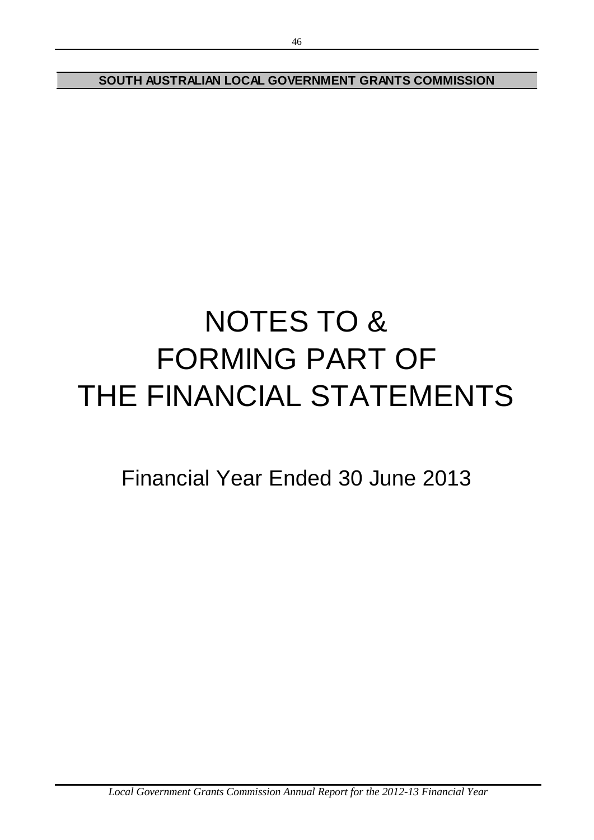**SOUTH AUSTRALIAN LOCAL GOVERNMENT GRANTS COMMISSION**

# NOTES TO & FORMING PART OF THE FINANCIAL STATEMENTS

Financial Year Ended 30 June 2013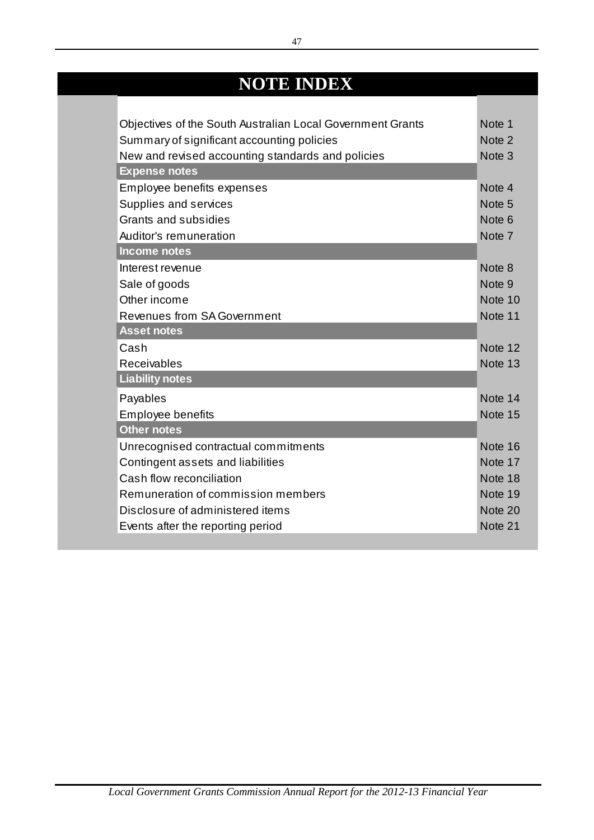## **NOTE INDEX**

| Objectives of the South Australian Local Government Grants | Note 1            |
|------------------------------------------------------------|-------------------|
| Summary of significant accounting policies                 | Note 2            |
| New and revised accounting standards and policies          | Note <sub>3</sub> |
| <b>Expense notes</b>                                       |                   |
| Employee benefits expenses                                 | Note 4            |
| Supplies and services                                      | Note <sub>5</sub> |
| Grants and subsidies                                       | Note <sub>6</sub> |
| Auditor's remuneration                                     | Note 7            |
| <b>Income notes</b>                                        |                   |
| Interest revenue                                           | Note 8            |
| Sale of goods                                              | Note 9            |
| Other income                                               | Note 10           |
| <b>Revenues from SA Government</b>                         | Note 11           |
| <b>Asset notes</b>                                         |                   |
| Cash                                                       | Note 12           |
| Receivables                                                | Note 13           |
| <b>Liability notes</b>                                     |                   |
| Payables                                                   | Note 14           |
| <b>Employee benefits</b>                                   | Note 15           |
| <b>Other notes</b>                                         |                   |
| Unrecognised contractual commitments                       | Note 16           |
| Contingent assets and liabilities                          | Note 17           |
| Cash flow reconciliation                                   | Note 18           |
| Remuneration of commission members                         | Note 19           |
| Disclosure of administered items                           | Note 20           |
| Events after the reporting period                          | Note 21           |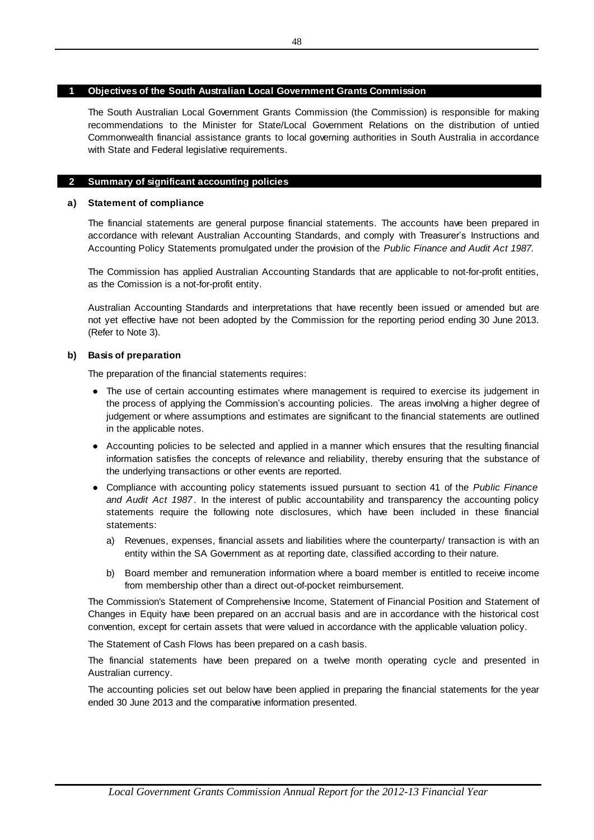## **1 Objectives of the South Australian Local Government Grants Commission**

The South Australian Local Government Grants Commission (the Commission) is responsible for making **Objectives of the South Australian Local Government Grants Commission**<br>The South Australian Local Government Grants Commission (the Commission) is responsible for making<br>recommendations to the Minister for State/Local Gov Objectives of the South Australian Local Government Grants Commission<br>The South Australian Local Government Grants Commission (the Commission) is responsible for making<br>recommendations to the Minister for State/Local Gover with State and Federal legislative requirements.

#### ı **2 Summary of significant accounting policies**

## **a ) Statement of compliance**

The financial statements are general purpose financial statements. The accounts have been prepared in<br>accordance with relevant Australian Accounting Standards, and comply with Treasurer's Instructions and<br>Accounting Policy The financial statements are general purpose financial statements. The accounts have been prepared in accordance with relevant Australian Accounting Standards, and comply with Treasurer's Instructions and Accounting Policy Statements promulgated under the provision of the *Public Finance and Audit Act 1987.*

as the Comission is a not-for-profit entity.

Australian Accounting Standards and interpretations that have recently been issued or amended but are not yet effective have not been adopted by the Commission for the reporting period ending 30 June 2013. (Refer to Note 3).

## **b) Basis of preparation**

The preparation of the financial statements requires:

- **●** is of preparation<br>preparation of the financial statements requires:<br>The use of certain accounting estimates where management is required to exercise its judgement in<br>the process of applying the Commission's accounting poli the process of applying the Commission's accounting policies. The areas involving a higher degree of preparation of the financial statements requires:<br>The use of certain accounting estimates where management is required to exercise its judgement in<br>the process of applying the Commission's accounting policies. The areas in in the applicable notes. the process of applying the Commission's accounting policies. The areas involving a higher degree of judgement or where assumptions and estimates are significant to the financial statements are outlined in the applicable n
- Accounting policies to be selected and applied in a manner which ensures that the resulting financial information satisfies the concepts of relevance and reliability, thereby ensuring that the substance of the underlying transactions or other events are reported. Accounting policies to be selected and applied in a manner which ensures that the resulting financia<br>information satisfies the concepts of relevance and reliability, thereby ensuring that the substance of<br>the underlying tr
- **●** *and Audit Act 1987* . In the interest of public accountability and transparency the accounting policy statements require the following note disclosures, which have been included in these financial statements:
	- a) Revenues, expenses, financial assets and liabilities where the counterparty/ transaction is with an entity within the SA Government as at reporting date, classified according to their nature. Board members, expenses, financial assets and liabilities where the counterparty/ transaction is with an<br>entity within the SA Government as at reporting date, classified according to their nature.<br>Board member and remunera
	- b) Board member and remuneration information where a board member is entitled to receive income from membership other than a direct out-of-pocket reimbursement.

The Commission's Statement of Comprehensive Income, Statement of Financial Position and Statement of Changes in Equity have been prepared on an accrual basis and are in accordance with the historical cost convention, except for certain assets that were valued in accordance with the applicable valuation policy.

The Statement of Cash Flows has been prepared on a cash basis.

The financial statements have been prepared on a twelve month operating cycle and presented in Australian currency.

The accounting policies set out below have been applied in preparing the financial statements for the year ended 30 June 2013 and the comparative information presented.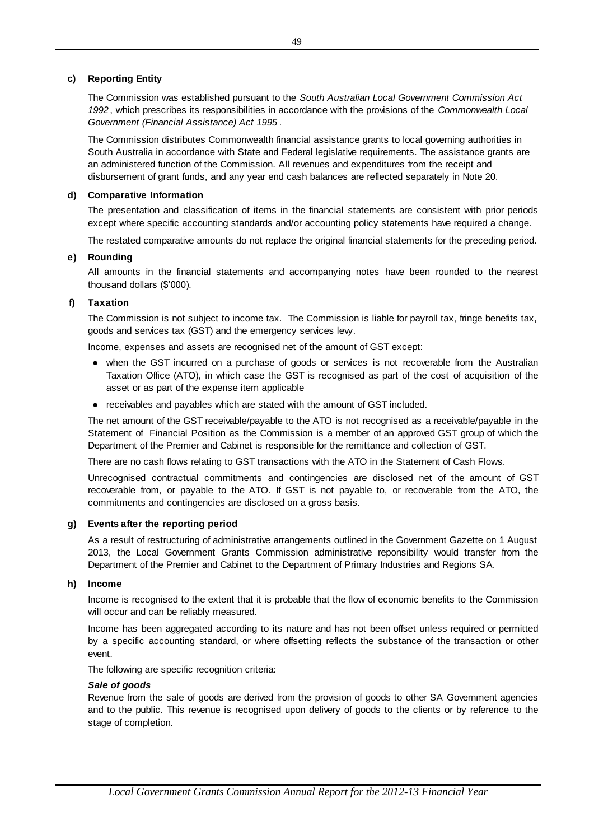## **c) Reporting Entity**

The Commission was established pursuant to the *South Australian Local Government Commission Act 1992*, which prescribes its responsibilities in accordance with the provisions of the *Commonwealth Local*  **Reporting Entity<br>
The Commission was established pursuant to<br>
1992, which prescribes its responsibilities in a<br>** *Government (Financial Assistance) Act 1995***.<br>
The Commission distributes Commonuselth fi** 

The Commission distributes Commonwealth financial assistance grants to local governing authorities in South Australia in accordance with State and Federal legislative requirements. The assistance grants are an administered function of the Commission. All revenues and expenditures from the receipt and disbursement of grant funds, and any year end cash balances are reflected separately in Note 20.

## **d) Comparative Information**

The presentation and classification of items in the financial statements are consistent with prior periods except where specific accounting standards and/or accounting policy statements have required a change.

The restated comparative amounts do not replace the original financial statements for the preceding period.

**e) Rounding**<br>All amounts in the financial statements and accompanying notes have been rounded to the nearest except where specific accounting standards and/or accounting policy statements have required a change.<br>The restated comparative amounts do not replace the original financial statements for the preceding period.<br>All amounts thousand dollars (\$'000).

## **f) Taxation**

The Commission is not subject to income tax. The Commission is liable for payroll tax, fringe benefits tax, goods and services tax (GST) and the emergency services levy.

Income, expenses and assets are recognised net of the amount of GST except:

- when the GST incurred on a purchase of goods or services is not recoverable from the Australian Taxation Office (ATO), in which case the GST is recognised as part of the cost of acquisition of the asset or as part of the expense item applicable
- **●** receivables and payables which are stated with the amount of GST included.

The net amount of the GST receivable/payable to the ATO is not recognised as a receivable/payable in the Statement of Financial Position as the Commission is a member of an approved GST group of which the Department of the Premier and Cabinet is responsible for the remittance and collection of GST.

There are no cash flows relating to GST transactions with the ATO in the Statement of Cash Flows.

Unrecognised contractual commitments and contingencies are disclosed net of the amount of GST recoverable from, or payable to the ATO. If GST is not payable to, or recoverable from the ATO, the commitments and contingencies are disclosed on a gross basis.

## **g) Events after the reporting period**

As a result of restructuring of administrative arrangements outlined in the Government Gazette on 1 August 2013, the Local Government Grants Commission administrative reponsibility would transfer from the Department of the Premier and Cabinet to the Department of Primary Industries and Regions SA.

## **h) Income**

Income is recognised to the extent that it is probable that the flow of economic benefits to the Commission will occur and can be reliably measured.

Income has been aggregated according to its nature and has not been offset unless required or permitted by a specific accounting standard, or where offsetting reflects the substance of the transaction or other event.

The following are specific recognition criteria:

## *Sale of goods*

Form the following are specific recognition criteria:<br> **Sale of goods<br>
Revenue from the sale of goods are derived from the provision of goods to other SA Government agencies<br>
and to the public. This revenue is recognised u** The following are specific recognition criteria:<br> **Sale of goods**<br>
Revenue from the sale of goods are derived from the provision of goods to other SA Government agencies<br>
and to the public. This revenue is recognised upon stage of completion.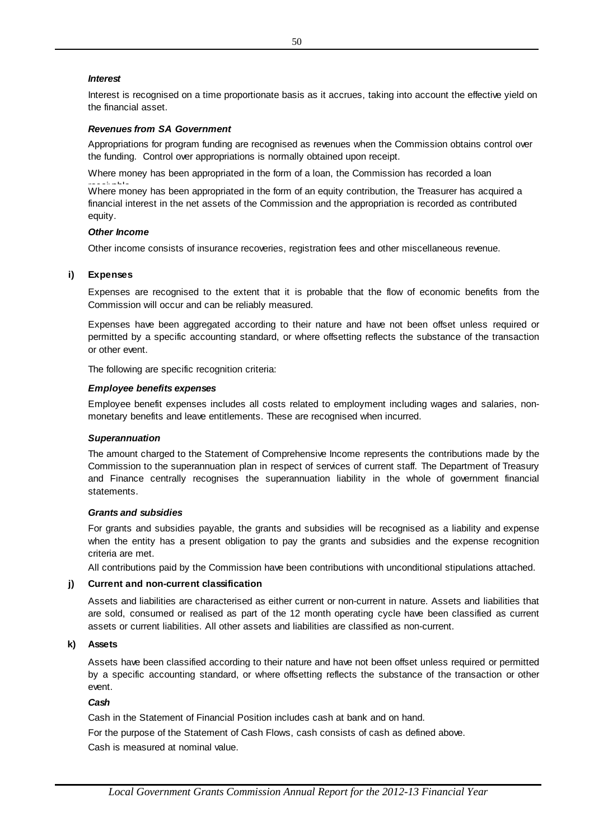## *Interest*

Interest is recognised on a time proportionate basis as it accrues, taking into account the effective yield on the financial asset.

## *Revenues from SA Government*

Appropriations for program funding are recognised as revenues when the Commission obtains control over the funding. Control over appropriations is normally obtained upon receipt.

Where money has been appropriated in the form of a loan, the Commission has recorded a loan

**EXECUTE**<br>Where money has been appropriated in the form of an equity contribution, the Treasurer has acquired a financial interest in the net assets of the Commission and the appropriation is recorded as contributed equity.

#### *Other Income*

Other income consists of insurance recoveries, registration fees and other miscellaneous revenue.

## **Expenses**

Other income consists of insurance recoveries, registration fees and other miscellaneous revenue.<br> **Expenses**<br>
Expenses are recognised to the extent that it is probable that the flow of economic benefits from the<br>
Commissi Commission will occur and can be reliably measured. Expenses are recognised to the extent that it is probable that the flow of economic benefits from the<br>Commission will occur and can be reliably measured.<br>Expenses have been aggregated according to their nature and have not

permitted by a specific accounting standard, or where offsetting reflects the substance of the transaction or other event.

The following are specific recognition criteria:

#### *Employee benefits expenses*

Employee benefit expenses includes all costs related to employment including wages and salaries, nonmonetary benefits and leave entitlements. These are recognised when incurred.

#### *Superannuation*

**Other Income**<br> **Charge Transfer Commission** of insurance recoveries, registration for a single particular commission Charge Expenses are recognised to the extern that it is probable that the flow of economic benefictance Employee benefit experises includes all costs related to employment including wages and salaries, non-<br>monetary benefits and leave entitlements. These are recognised when incurred.<br>The amount charged to the Statement of Co **Superannuation**<br>
The amount charged to the Statement of Comprehensive Income represents the contributions made by the<br>
Commission to the superannuation plan in respect of services of current staff. The Department of Treas and Finance centrally recognises the superannuation liability in the whole of government financial statements.

#### *Grants and subsidies*

For grants and subsidies payable, the grants and subsidies will be recognised as a liability and expense Grants and subsidies<br>For grants and subsidies payable, the grants and subsidies will be recognised as a liability and expense<br>when the entity has a present obligation to pay the grants and subsidies and the expense recogni criteria are met.

All contributions paid by the Commission have been contributions with unconditional stipulations attached.

# **j ) Current and non-current classification**

Assets and liabilities are characterised as either current or non-current in nature. Assets and liabilities that are sold, consumed or realised as part of the 12 month operating cycle have been classified as current assets or current liabilities. All other assets and liabilities are classified as non-current.

#### **k) Assets**

Assets have been classified according to their nature and have not been offset unless required or permitted by a specific accounting standard, or where offsetting reflects the substance of the transaction or other event.

## *Cash*

Cash in the Statement of Financial Position includes cash at bank and on hand.

Cash is measured at nominal value. For the purpose of the Statement of Cash Flows, cash consists of cash as defined above.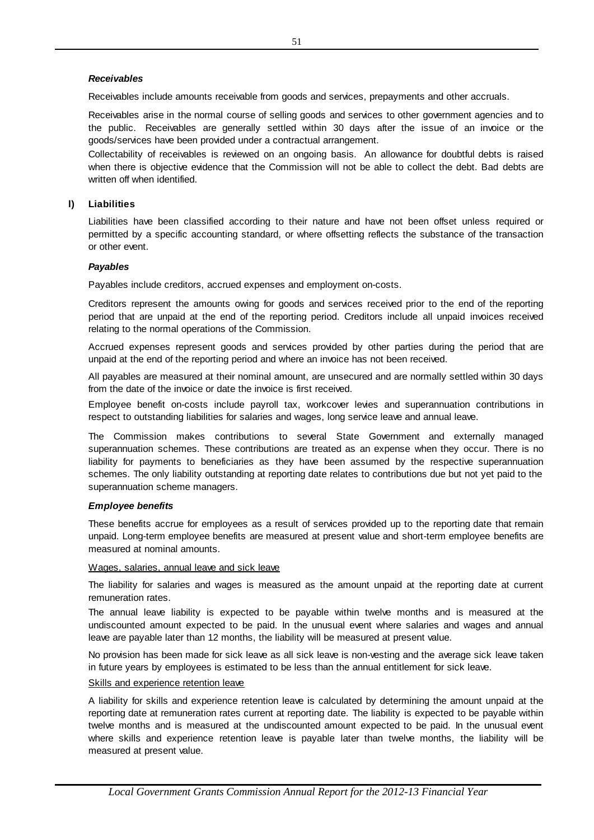## *Receivables*

Receivables include amounts receivable from goods and services, prepayments and other accruals.

Receivables arise in the normal course of selling goods and services to other government agencies and to<br>the public. Receivables are generally settled within 30 days after the issue of an invoice or the<br>goods/services have **Receivables**<br>Receivables include amounts receivable from goods and services, prepayments and other accruals.<br>Receivables arise in the normal course of selling goods and services to other government agencies and to<br>the pub the public. Receivables are generally settled within 30 days after the issue of an invoice or the goods/services have been provided under a contractual arrangement.

Collectability of receivables is reviewed on an ongoing basis. An allowance for doubtful debts is raised when there is objective evidence that the Commission will not be able to collect the debt. Bad debts are written off when identified.

#### **l) Liabilities**

Liabilities have been classified according to their nature and have not been offset unless required or permitted by a specific accounting standard, or where offsetting reflects the substance of the transaction or other event.

## *Payables*

Payables include creditors, accrued expenses and employment on-costs.

Creditors represent the amounts owing for goods and services received prior to the end of the reporting period that are unpaid at the end of the reporting period. Creditors include all unpaid invoices received relating to the normal operations of the Commission.

Accrued expenses represent goods and services provided by other parties during the period that are unpaid at the end of the reporting period and where an invoice has not been received.

All payables are measured at their nominal amount, are unsecured and are normally settled within 30 days from the date of the invoice or date the invoice is first received.

from the date of the invoice or date the invoice is first received.<br>
Employee benefit on-costs include payroll tax, workcover levies and superannuation contributions in<br>
respect to outstanding liabilities for salaries and Employee benefit on-costs include payroll tax, workcover levies and superannuation contributions in respect to outstanding liabilities for salaries and wages, long service leave and annual leave.

superannuation schemes. These contributions are treated as an expense when they occur. There is no The Commission makes contributions to several State Government and externally managed superannuation schemes. These contributions are treated as an expense when they occur. There is no liability for payments to beneficiari schemes. The only liability outstanding at reporting date relates to contributions due but not yet paid to the superannuation scheme managers.

## *Employee benefits*

These benefits accrue for employees as a result of services provided up to the reporting date that remain unpaid. Long-term employee benefits are measured at present value and short-term employee benefits are measured at nominal amounts.

#### Wages, salaries, annual leave and sick leave

Wages, salaries, annual leave and sick leave<br>The liability for salaries and wages is measured as the amount unpaid at the reporting date at current<br>remuneration rates.<br>The annual leave liability is expected to be payable w remuneration rates.

The liability for salaries and wages is measured as the amount unpaid at the reporting date at current<br>remuneration rates.<br>The annual leave liability is expected to be payable within twelve months and is measured at the<br>un leave are payable later than 12 months, the liability will be measured at present value.

No provision has been made for sick leave as all sick leave is non-vesting and the average sick leave taken in future years by employees is estimated to be less than the annual entitlement for sick leave.

## Skills and experience retention leave

A liability for skills and experience retention leave is calculated by determining the amount unpaid at the reporting date at remuneration rates current at reporting date. The liability is expected to be payable within twelve months and is measured at the undiscounted amount expected to be paid. In the unusual event where skills and experience retention leave is payable later than twelve months, the liability will be measured at present value.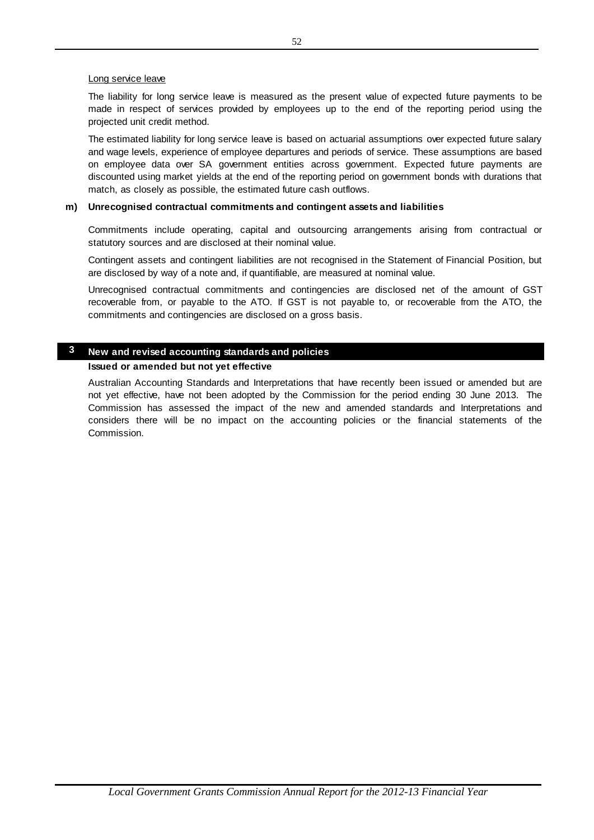## Long service leave

The liability for long service leave is measured as the present value of expected future payments to be<br>The liability for long service leave is measured as the present value of expected future payments to be<br>made in respec Long service leave<br>The liability for long service leave is measured as the present value of expected future payments to be<br>made in respect of services provided by employees up to the end of the reporting period using the<br>p projected unit credit method.

The estimated liability for long service leave is based on actuarial assumptions over expected future salary and wage levels, experience of employee departures and periods of service. These assumptions are based projected unit credit method.<br>The estimated liability for long service leave is based on actuarial assumptions over expected future salary<br>and wage levels, experience of employee departures and periods of service. These as discounted using market yields at the end of the reporting period on government bonds with durations that match, as closely as possible, the estimated future cash outflows.

## **Unrecognised contractual commitments and contingent assets and liabilities**

Commitments include operating, capital and outsourcing arrangements arising from contractual or statutory sources and are disclosed at their nominal value.

Contingent assets and contingent liabilities are not recognised in the Statement of Financial Position, but are disclosed by way of a note and, if quantifiable, are measured at nominal value.

Unrecognised contractual commitments and contingencies are disclosed net of the amount of GST Contingent assets and contingent liabilities are not recognised in the Statement of Financial Position, but<br>are disclosed by way of a note and, if quantifiable, are measured at nominal value.<br>Unrecognised contractual commi commitments and contingencies are disclosed on a gross basis.

## **3 New and revised accounting standards and policies**

## **Issued or amended but not yet effective**

or employee data one: 3A government emitties access government. Expected future products and one of the experiment Expected future products with match, as closely as possible, the estimated future candom others, and the an Australian Accounting Standards and Interpretations that have recently been issued or amended but are not yet effective, have not been adopted by the Commission for the period ending 30 June 2013. The Commission has assessed the impact of the new and amended standards and Interpretations and considers there will be no impact on the accounting policies or the financial statements of the Commission.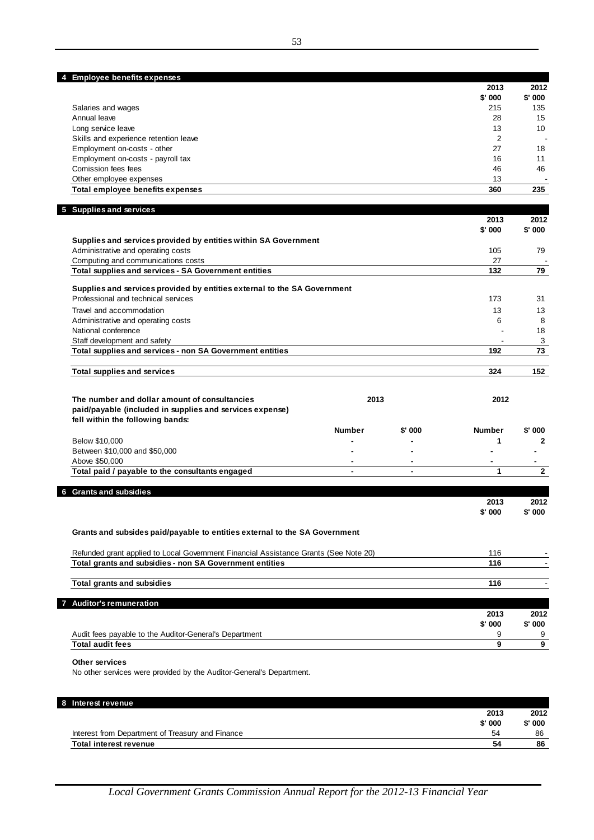| 4 Employee benefits expenses          |                  |                          |
|---------------------------------------|------------------|--------------------------|
|                                       | 2013<br>$$'$ 000 | 2012<br>$$'$ 000         |
| Salaries and wages                    | 215              | 135                      |
| Annual leave                          | 28               | 15                       |
| Long service leave                    | 13               | 10                       |
| Skills and experience retention leave | າ                | $\overline{\phantom{a}}$ |
| Employment on-costs - other           | 27               | 18                       |
| Employment on-costs - payroll tax     | 16               | 11                       |
| Comission fees fees                   | 46               | 46                       |
| Other employee expenses               | 13               |                          |

| 5 Supplies and services                                                  | 2013    | 2012    |
|--------------------------------------------------------------------------|---------|---------|
|                                                                          | \$' 000 | \$' 000 |
| Supplies and services provided by entities within SA Government          |         |         |
| Administrative and operating costs                                       | 105     | 79      |
| Computing and communications costs                                       | 27      |         |
| Total supplies and services - SA Government entities                     | 132     | 79      |
| Supplies and services provided by entities external to the SA Government |         |         |
| Professional and technical services                                      | 173     | 31      |
| Travel and accommodation                                                 | 13      | 13      |
| Administrative and operating costs                                       | 6       | 8       |
| National conference                                                      |         | 18      |
| Staff development and safety                                             |         | 3       |
| Total supplies and services - non SA Government entities                 | 192     | 73      |
| Total supplies and services                                              | 324     | 152     |

Other employee expenses 13 - **Total employee benefits expenses 360 235**

| The number and dollar amount of consultancies<br>paid/payable (included in supplies and services expense)<br>fell within the following bands: | 2013          |                          | 2012          |          |
|-----------------------------------------------------------------------------------------------------------------------------------------------|---------------|--------------------------|---------------|----------|
|                                                                                                                                               | <b>Number</b> | $$'$ 000                 | <b>Number</b> | $$'$ 000 |
| Below \$10,000                                                                                                                                |               |                          |               |          |
| Between \$10,000 and \$50,000                                                                                                                 |               | $\overline{\phantom{0}}$ |               |          |
| Above \$50,000                                                                                                                                |               |                          |               |          |
| Total paid / payable to the consultants engaged                                                                                               |               |                          |               |          |

| <b>Grants and subsidies</b><br>6                                                     |          |        |
|--------------------------------------------------------------------------------------|----------|--------|
|                                                                                      | 2013     | 2012   |
|                                                                                      | $$'$ 000 | \$'000 |
| Grants and subsides paid/payable to entities external to the SA Government           |          |        |
| Refunded grant applied to Local Government Financial Assistance Grants (See Note 20) | 116      |        |
| Total grants and subsidies - non SA Government entities                              | 116      |        |
| <b>Total grants and subsidies</b>                                                    | 116      |        |
| <b>Auditor's remuneration</b>                                                        |          |        |
|                                                                                      | 2013     | 2012   |
|                                                                                      | $$'$ 000 | \$'000 |
| Audit fees payable to the Auditor-General's Department                               | 9        | 9      |
| <b>Total audit fees</b>                                                              | 9        | 9      |

## **Other services**

No other services were provided by the Auditor-General's Department.

| 2013                                                   | 2012 |
|--------------------------------------------------------|------|
|                                                        |      |
| $$'$ 000<br>$$'$ 000                                   |      |
| Interest from Department of Treasury and Finance<br>54 | 86   |
| 54<br><b>Total interest revenue</b>                    | 86   |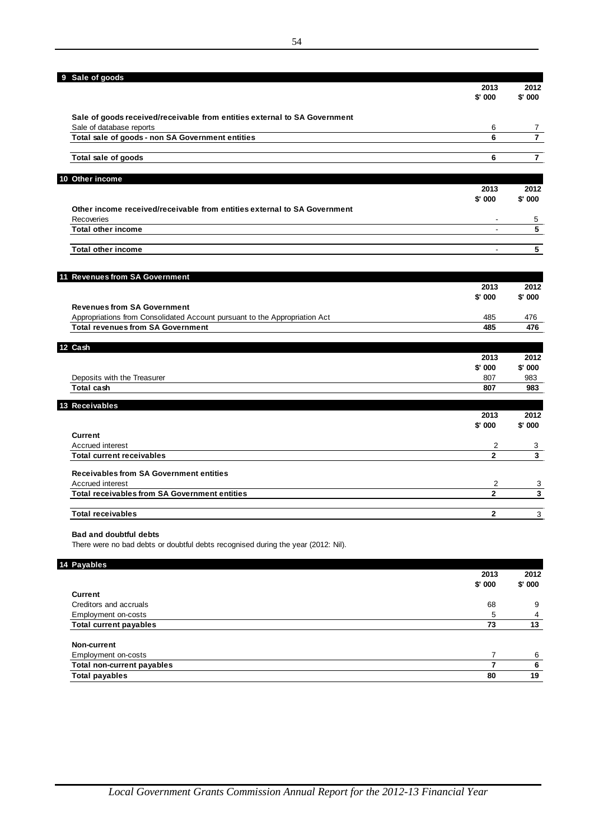| 9 Sale of goods                                                            | 2013           | 2012           |
|----------------------------------------------------------------------------|----------------|----------------|
|                                                                            | \$'000         | $$'$ 000       |
| Sale of goods received/receivable from entities external to SA Government  |                |                |
| Sale of database reports                                                   | 6              | 7              |
| Total sale of goods - non SA Government entities                           | 6              | $\overline{7}$ |
| Total sale of goods                                                        | 6              | $\overline{7}$ |
| 10 Other income                                                            |                |                |
|                                                                            | 2013           | 2012           |
|                                                                            | \$' 000        | $$'$ 000       |
| Other income received/receivable from entities external to SA Government   |                |                |
| Recoveries                                                                 |                | 5              |
| <b>Total other income</b>                                                  |                | 5              |
| <b>Total other income</b>                                                  | $\blacksquare$ | 5              |
| 11 Revenues from SA Government                                             |                |                |
|                                                                            | 2013           | 2012           |
|                                                                            | \$' 000        | $$'$ 000       |
| <b>Revenues from SA Government</b>                                         |                |                |
| Appropriations from Consolidated Account pursuant to the Appropriation Act | 485            | 476            |
| <b>Total revenues from SA Government</b>                                   | 485            | 476            |
| 12 Cash                                                                    |                |                |
|                                                                            | 2013           | 2012           |
|                                                                            | \$'000         | $$'$ 000       |
| Deposits with the Treasurer                                                | 807            | 983            |
| <b>Total cash</b>                                                          | 807            | 983            |
| 13 Receivables                                                             | 2013           | 2012           |
|                                                                            | \$' 000        | \$' 000        |
| <b>Current</b>                                                             |                |                |
| Accrued interest                                                           | 2              | 3              |
| <b>Total current receivables</b>                                           | $\overline{2}$ | 3              |
| <b>Receivables from SA Government entities</b>                             |                |                |
| Accrued interest                                                           | $\overline{2}$ | 3              |
| <b>Total receivables from SA Government entities</b>                       | $\overline{2}$ | 3              |
| <b>Total receivables</b>                                                   | $\overline{2}$ | 3              |

There were no bad debts or doubtful debts recognised during the year (2012: Nil).

| 14 Payables                       |          |          |
|-----------------------------------|----------|----------|
|                                   | 2013     | 2012     |
|                                   | $$'$ 000 | $$'$ 000 |
| <b>Current</b>                    |          |          |
| Creditors and accruals            | 68       | 9        |
| Employment on-costs               | 5        | 4        |
| <b>Total current payables</b>     | 73       | 13       |
| Non-current                       |          |          |
| Employment on-costs               |          | 6        |
| <b>Total non-current payables</b> |          | 6        |
| <b>Total payables</b>             | 80       | 19       |
|                                   |          |          |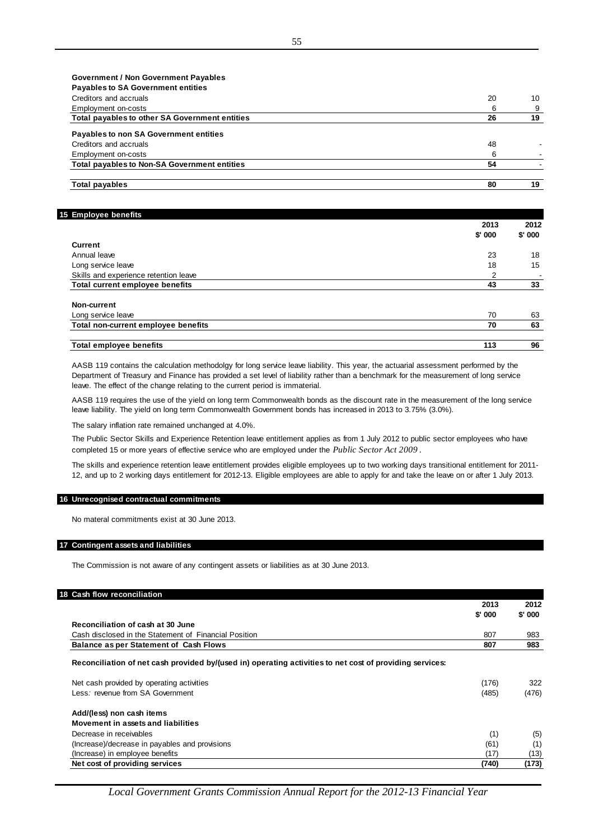| <b>Government / Non Government Payables</b>         |    |    |
|-----------------------------------------------------|----|----|
| <b>Payables to SA Government entities</b>           |    |    |
| Creditors and accruals                              | 20 | 10 |
| Employment on-costs                                 | 6  | 9  |
| Total payables to other SA Government entities      | 26 | 19 |
| <b>Payables to non SA Government entities</b>       |    |    |
| Creditors and accruals                              | 48 |    |
| Employment on-costs                                 | 6  |    |
| <b>Total payables to Non-SA Government entities</b> | 54 |    |
|                                                     |    |    |
| Total payables                                      | 80 | 19 |

#### **15 Employee benefits**

| $\sim$                                | 2013     | 2012<br>$$'$ 000 |
|---------------------------------------|----------|------------------|
|                                       | $$'$ 000 |                  |
| <b>Current</b>                        |          |                  |
| Annual leave                          | 23       | 18               |
| Long service leave                    | 18       | 15               |
| Skills and experience retention leave | 2        | -                |
| Total current employee benefits       | 43       | 33               |
| Non-current                           |          |                  |
| Long service leave                    | 70       | 63               |
| Total non-current employee benefits   | 70       | 63               |
| <b>Total employee benefits</b>        | 113      | 96               |

AASB 119 contains the calculation methodolgy for long service leave liability. This year, the actuarial assessment performed by the Department of Treasury and Finance has provided a set level of liability rather than a benchmark for the measurement of long service leave. The effect of the change relating to the current period is immaterial.

AASB 119 requires the use of the yield on long term Commonwealth bonds as the discount rate in the measurement of the long service leave liability. The yield on long term Commonwealth Government bonds has increased in 2013 to 3.75% (3.0%).

The salary inflation rate remained unchanged at 4.0%.

The Public Sector Skills and Experience Retention leave entitlement applies as from 1 July 2012 to public sector employees who have completed 15 or more years of effective service who are employed under the *Public Sector Act 2009* .

The skills and experience retention leave entitlement provides eligible employees up to two working days transitional entitlement for 2011- 12, and up to 2 working days entitlement for 2012-13. Eligible employees are able to apply for and take the leave on or after 1 July 2013.

## **16 Unrecognised contractual commitments**

No materal commitments exist at 30 June 2013.

#### **17 Contingent assets and liabilities**

The Commission is not aware of any contingent assets or liabilities as at 30 June 2013.

## **18 Cash flow reconciliation**

|                                                                                                          | 20 I J   | 20 I 2   |
|----------------------------------------------------------------------------------------------------------|----------|----------|
|                                                                                                          | $$'$ 000 | $$'$ 000 |
| Reconciliation of cash at 30 June                                                                        |          |          |
| Cash disclosed in the Statement of Financial Position                                                    | 807      | 983      |
| <b>Balance as per Statement of Cash Flows</b>                                                            | 807      | 983      |
| Reconciliation of net cash provided by/(used in) operating activities to net cost of providing services: |          |          |
| Net cash provided by operating activities                                                                | (176)    | 322      |
| Less: revenue from SA Government                                                                         | (485)    | (476)    |
| Add/(less) non cash items                                                                                |          |          |
| Movement in assets and liabilities                                                                       |          |          |
| Decrease in receivables                                                                                  | (1)      | (5)      |
| (Increase)/decrease in payables and provisions                                                           | (61)     | (1)      |
| (Increase) in employee benefits                                                                          | (17)     | (13)     |
| Net cost of providing services                                                                           | (740)    | (173)    |

**2013 2012**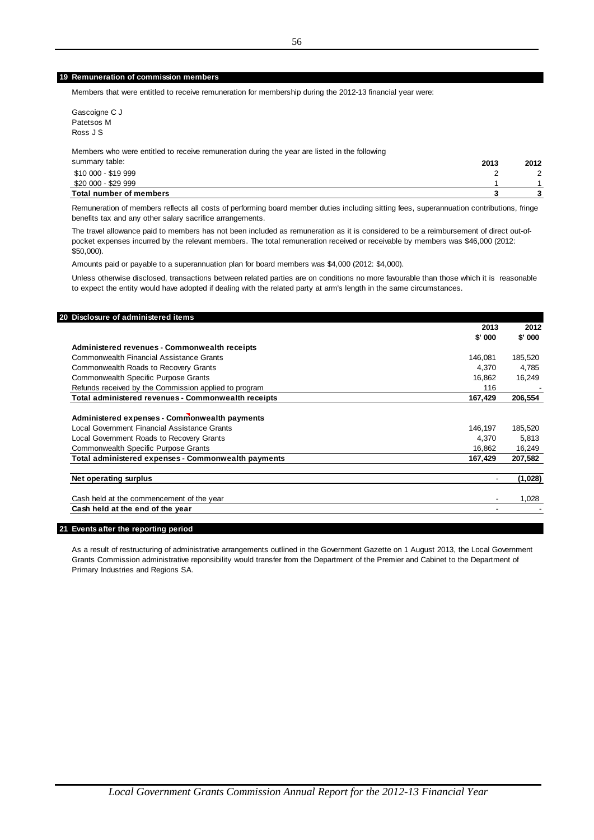#### **19 Remuneration of commission members**

Members that were entitled to receive remuneration for membership during the 2012-13 financial year were:

Gascoigne C J Patetsos M Ross J S

Members who were entitled to receive remuneration during the year are listed in the following

| summary table:                 | 2013 | 2012   |
|--------------------------------|------|--------|
| \$10 000 - \$19 999            |      | $\sim$ |
| \$20 000 - \$29 999            |      |        |
| <b>Total number of members</b> |      |        |

Remuneration of members reflects all costs of performing board member duties including sitting fees, superannuation contributions, fringe benefits tax and any other salary sacrifice arrangements.

The travel allowance paid to members has not been included as remuneration as it is considered to be a reimbursement of direct out-ofpocket expenses incurred by the relevant members. The total remuneration received or receivable by members was \$46,000 (2012: \$50,000).

Amounts paid or payable to a superannuation plan for board members was \$4,000 (2012: \$4,000).

Unless otherwise disclosed, transactions between related parties are on conditions no more favourable than those which it is reasonable to expect the entity would have adopted if dealing with the related party at arm's length in the same circumstances.

|                                                                                               | 2013    | 2012     |
|-----------------------------------------------------------------------------------------------|---------|----------|
|                                                                                               | \$' 000 | $$'$ 000 |
| Administered revenues - Commonwealth receipts                                                 |         |          |
| Commonwealth Financial Assistance Grants                                                      | 146.081 | 185,520  |
| Commonwealth Roads to Recovery Grants                                                         | 4,370   | 4,785    |
| <b>Commonwealth Specific Purpose Grants</b>                                                   | 16.862  | 16,249   |
| Refunds received by the Commission applied to program                                         | 116     |          |
| Total administered revenues - Commonwealth receipts                                           | 167,429 | 206,554  |
| Administered expenses - Commonwealth payments<br>Local Government Financial Assistance Grants | 146,197 | 185,520  |
| Local Government Roads to Recovery Grants                                                     | 4,370   | 5,813    |
| Commonwealth Specific Purpose Grants                                                          | 16,862  | 16,249   |
| Total administered expenses - Commonwealth payments                                           | 167,429 | 207,582  |
| Net operating surplus                                                                         |         | (1,028)  |
| Cash held at the commencement of the year                                                     |         | 1,028    |
|                                                                                               |         |          |

#### **21 Events after the reporting period**

As a result of restructuring of administrative arrangements outlined in the Government Gazette on 1 August 2013, the Local Government Grants Commission administrative reponsibility would transfer from the Department of the Premier and Cabinet to the Department of Primary Industries and Regions SA.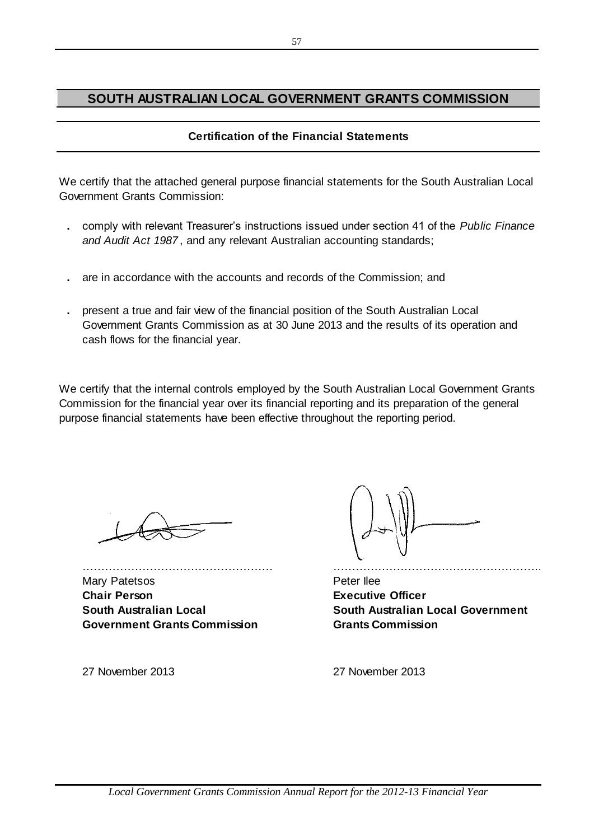## **SOUTH AUSTRALIAN LOCAL GOVERNMENT GRANTS COMMISSION**

## **Certification of the Financial Statements**

We certify that the attached general purpose financial statements for the South Australian Local Government Grants Commission:

- **.** comply with relevant Treasurer's instructions issued under section 41 of the *Public Finance and Audit Act 1987* , and any relevant Australian accounting standards;
- **.** are in accordance with the accounts and records of the Commission; and
- **.** present a true and fair view of the financial position of the South Australian Local Government Grants Commission as at 30 June 2013 and the results of its operation and cash flows for the financial year.

We certify that the internal controls employed by the South Australian Local Government Grants Commission for the financial year over its financial reporting and its preparation of the general purpose financial statements have been effective throughout the reporting period.

…………………………………………… ……………………………………………….. Mary Patetsos **Peter Ilee Chair Person Executive Officer South Australian Local Government Grants Commission**

**South Australian Local Government Grants Commission**

27 November 2013 27 November 2013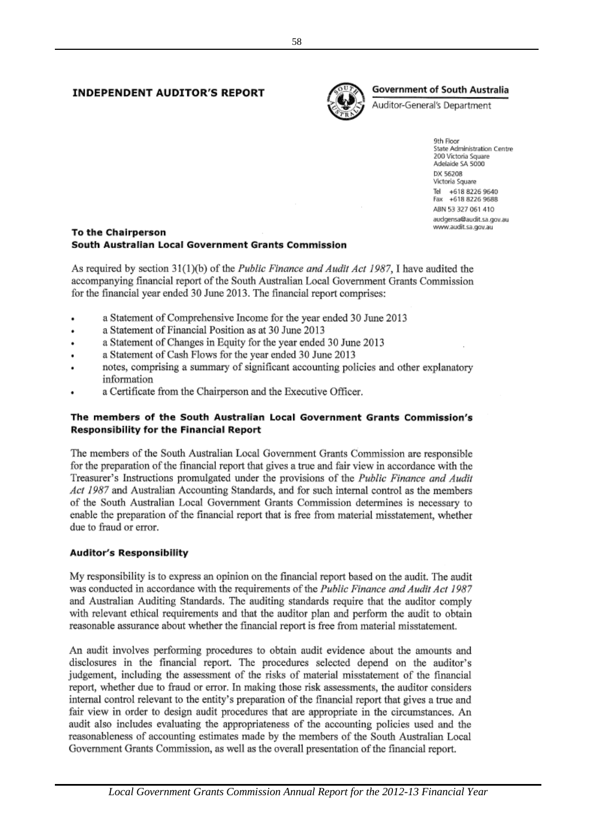## **INDEPENDENT AUDITOR'S REPORT**



## **Government of South Australia**

Auditor-General's Department

9th Floor State Administration Centre 200 Victoria Square Adelaide SA 5000 DX 56208 Victoria Square Tel +618 8226 9640 Fax +618 8226 9688 ABN 53 327 061 410 audgensa@audit.sa.gov.au www.audit.sa.gov.au

## To the Chairperson South Australian Local Government Grants Commission

As required by section  $31(1)(b)$  of the *Public Finance and Audit Act 1987*, I have audited the accompanying financial report of the South Australian Local Government Grants Commission for the financial year ended 30 June 2013. The financial report comprises:

- a Statement of Comprehensive Income for the year ended 30 June 2013
- a Statement of Financial Position as at 30 June 2013  $\ddot{\phantom{0}}$
- a Statement of Changes in Equity for the year ended 30 June 2013
- a Statement of Cash Flows for the year ended 30 June 2013
- notes, comprising a summary of significant accounting policies and other explanatory information
- a Certificate from the Chairperson and the Executive Officer.

## The members of the South Australian Local Government Grants Commission's **Responsibility for the Financial Report**

The members of the South Australian Local Government Grants Commission are responsible for the preparation of the financial report that gives a true and fair view in accordance with the Treasurer's Instructions promulgated under the provisions of the *Public Finance and Audit* Act 1987 and Australian Accounting Standards, and for such internal control as the members of the South Australian Local Government Grants Commission determines is necessary to enable the preparation of the financial report that is free from material misstatement, whether due to fraud or error.

## **Auditor's Responsibility**

My responsibility is to express an opinion on the financial report based on the audit. The audit was conducted in accordance with the requirements of the Public Finance and Audit Act 1987 and Australian Auditing Standards. The auditing standards require that the auditor comply with relevant ethical requirements and that the auditor plan and perform the audit to obtain reasonable assurance about whether the financial report is free from material misstatement.

An audit involves performing procedures to obtain audit evidence about the amounts and disclosures in the financial report. The procedures selected depend on the auditor's judgement, including the assessment of the risks of material misstatement of the financial report, whether due to fraud or error. In making those risk assessments, the auditor considers internal control relevant to the entity's preparation of the financial report that gives a true and fair view in order to design audit procedures that are appropriate in the circumstances. An audit also includes evaluating the appropriateness of the accounting policies used and the reasonableness of accounting estimates made by the members of the South Australian Local Government Grants Commission, as well as the overall presentation of the financial report.